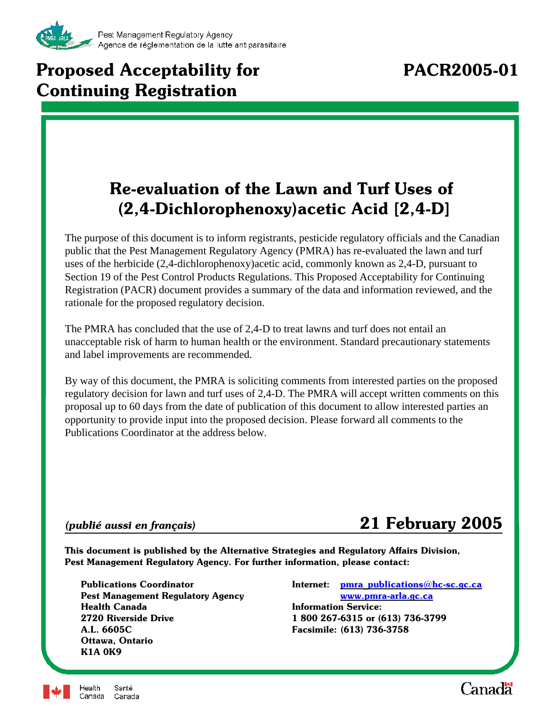

# **Proposed Acceptability for PACR2005-01 Continuing Registration**

# **Re-evaluation of the Lawn and Turf Uses of (2,4-Dichlorophenoxy)acetic Acid [2,4-D]**

The purpose of this document is to inform registrants, pesticide regulatory officials and the Canadian public that the Pest Management Regulatory Agency (PMRA) has re-evaluated the lawn and turf uses of the herbicide (2,4-dichlorophenoxy)acetic acid, commonly known as 2,4-D, pursuant to Section 19 of the Pest Control Products Regulations. This Proposed Acceptability for Continuing Registration (PACR) document provides a summary of the data and information reviewed, and the rationale for the proposed regulatory decision.

The PMRA has concluded that the use of 2,4-D to treat lawns and turf does not entail an unacceptable risk of harm to human health or the environment. Standard precautionary statements and label improvements are recommended.

By way of this document, the PMRA is soliciting comments from interested parties on the proposed regulatory decision for lawn and turf uses of 2,4-D. The PMRA will accept written comments on this proposal up to 60 days from the date of publication of this document to allow interested parties an opportunity to provide input into the proposed decision. Please forward all comments to the Publications Coordinator at the address below.

# *(publié aussi en français)* **21 February 2005**

**This document is published by the Alternative Strategies and Regulatory Affairs Division, Pest Management Regulatory Agency. For further information, please contact:**

**Pest Management Regulatory Agency [www.pmra-arla.gc.ca](http://www.pmra-arla.gc.ca) Health Canada Information Service: 2720 Riverside Drive 1 800 267-6315 or (613) 736-3799 A.L. 6605C Facsimile: (613) 736-3758 Ottawa, Ontario K1A 0K9**

**Publications Coordinator Internet: [pmra\\_publications@hc-sc.gc.ca](mailto:pmra_publications@hc-sc.gc.ca)**



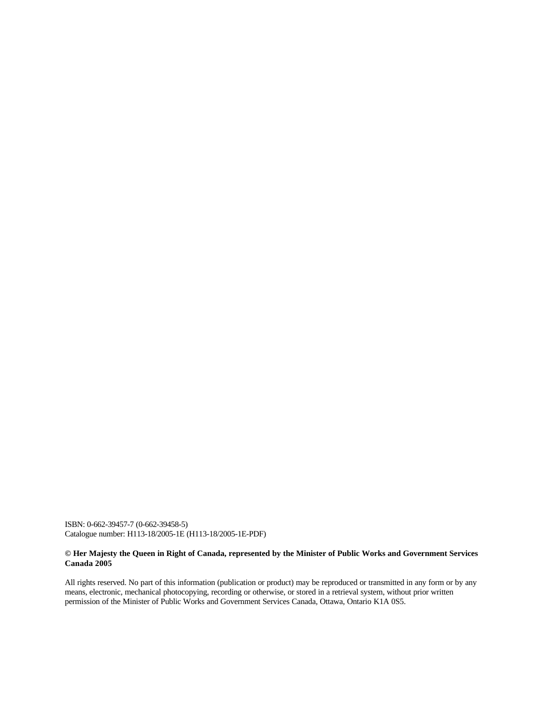ISBN: 0-662-39457-7 (0-662-39458-5) Catalogue number: H113-18/2005-1E (H113-18/2005-1E-PDF)

#### **© Her Majesty the Queen in Right of Canada, represented by the Minister of Public Works and Government Services Canada 2005**

All rights reserved. No part of this information (publication or product) may be reproduced or transmitted in any form or by any means, electronic, mechanical photocopying, recording or otherwise, or stored in a retrieval system, without prior written permission of the Minister of Public Works and Government Services Canada, Ottawa, Ontario K1A 0S5.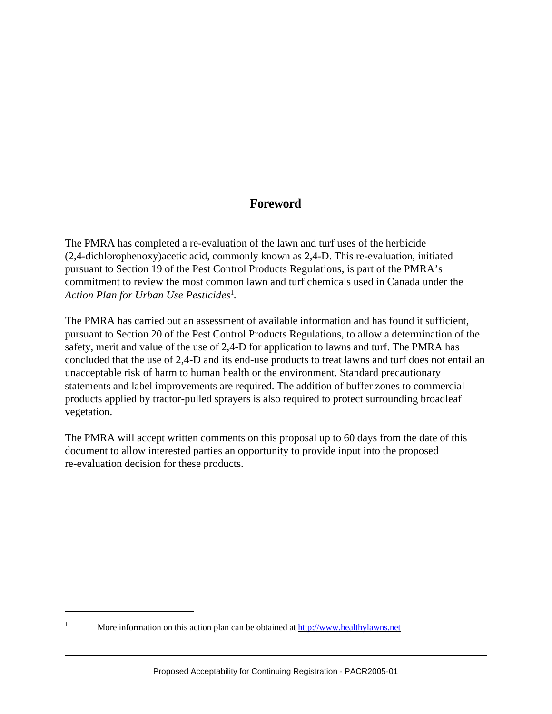# **Foreword**

The PMRA has completed a re-evaluation of the lawn and turf uses of the herbicide (2,4-dichlorophenoxy)acetic acid, commonly known as 2,4-D. This re-evaluation, initiated pursuant to Section 19 of the Pest Control Products Regulations, is part of the PMRA's commitment to review the most common lawn and turf chemicals used in Canada under the *Action Plan for Urban Use Pesticides*<sup>1</sup> .

The PMRA has carried out an assessment of available information and has found it sufficient, pursuant to Section 20 of the Pest Control Products Regulations, to allow a determination of the safety, merit and value of the use of 2,4-D for application to lawns and turf. The PMRA has concluded that the use of 2,4-D and its end-use products to treat lawns and turf does not entail an unacceptable risk of harm to human health or the environment. Standard precautionary statements and label improvements are required. The addition of buffer zones to commercial products applied by tractor-pulled sprayers is also required to protect surrounding broadleaf vegetation.

The PMRA will accept written comments on this proposal up to 60 days from the date of this document to allow interested parties an opportunity to provide input into the proposed re-evaluation decision for these products.

<sup>&</sup>lt;sup>1</sup> More information on this action plan can be obtained at<http://www.healthylawns.net>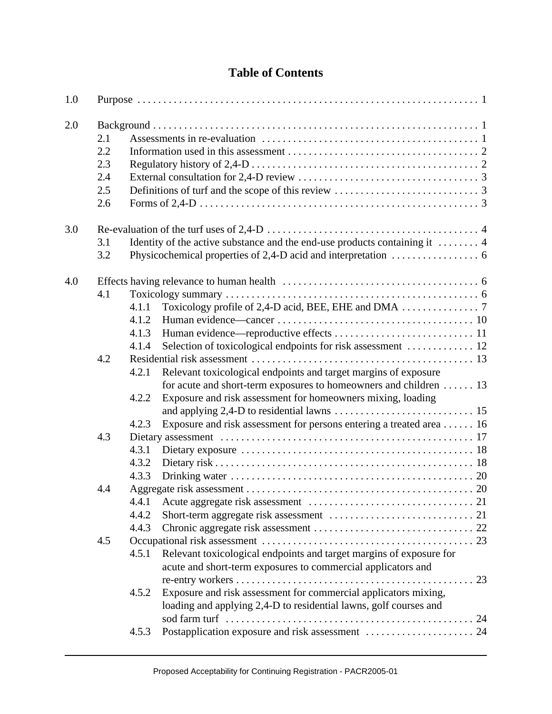# **Table of Contents**

| 1.0 |     |       |                                                                                   |  |  |  |  |  |  |
|-----|-----|-------|-----------------------------------------------------------------------------------|--|--|--|--|--|--|
| 2.0 |     |       |                                                                                   |  |  |  |  |  |  |
|     | 2.1 |       |                                                                                   |  |  |  |  |  |  |
|     | 2.2 |       |                                                                                   |  |  |  |  |  |  |
|     | 2.3 |       |                                                                                   |  |  |  |  |  |  |
|     | 2.4 |       |                                                                                   |  |  |  |  |  |  |
|     | 2.5 |       |                                                                                   |  |  |  |  |  |  |
|     | 2.6 |       |                                                                                   |  |  |  |  |  |  |
| 3.0 |     |       |                                                                                   |  |  |  |  |  |  |
|     | 3.1 |       | Identity of the active substance and the end-use products containing it $\dots$ . |  |  |  |  |  |  |
|     | 3.2 |       |                                                                                   |  |  |  |  |  |  |
| 4.0 |     |       |                                                                                   |  |  |  |  |  |  |
|     | 4.1 |       |                                                                                   |  |  |  |  |  |  |
|     |     | 4.1.1 |                                                                                   |  |  |  |  |  |  |
|     |     | 4.1.2 |                                                                                   |  |  |  |  |  |  |
|     |     | 4.1.3 |                                                                                   |  |  |  |  |  |  |
|     |     | 4.1.4 | Selection of toxicological endpoints for risk assessment  12                      |  |  |  |  |  |  |
|     | 4.2 |       |                                                                                   |  |  |  |  |  |  |
|     |     | 4.2.1 | Relevant toxicological endpoints and target margins of exposure                   |  |  |  |  |  |  |
|     |     |       | for acute and short-term exposures to homeowners and children  13                 |  |  |  |  |  |  |
|     |     | 4.2.2 | Exposure and risk assessment for homeowners mixing, loading                       |  |  |  |  |  |  |
|     |     |       |                                                                                   |  |  |  |  |  |  |
|     |     | 4.2.3 | Exposure and risk assessment for persons entering a treated area  16              |  |  |  |  |  |  |
|     | 4.3 |       |                                                                                   |  |  |  |  |  |  |
|     |     | 4.3.1 |                                                                                   |  |  |  |  |  |  |
|     |     | 4.3.2 |                                                                                   |  |  |  |  |  |  |
|     |     | 4.3.3 |                                                                                   |  |  |  |  |  |  |
|     | 4.4 |       |                                                                                   |  |  |  |  |  |  |
|     |     | 4.4.1 |                                                                                   |  |  |  |  |  |  |
|     |     | 4.4.2 |                                                                                   |  |  |  |  |  |  |
|     |     | 4.4.3 |                                                                                   |  |  |  |  |  |  |
|     | 4.5 |       |                                                                                   |  |  |  |  |  |  |
|     |     | 4.5.1 | Relevant toxicological endpoints and target margins of exposure for               |  |  |  |  |  |  |
|     |     |       | acute and short-term exposures to commercial applicators and                      |  |  |  |  |  |  |
|     |     |       |                                                                                   |  |  |  |  |  |  |
|     |     | 4.5.2 | Exposure and risk assessment for commercial applicators mixing,                   |  |  |  |  |  |  |
|     |     |       | loading and applying 2,4-D to residential lawns, golf courses and                 |  |  |  |  |  |  |
|     |     |       |                                                                                   |  |  |  |  |  |  |
|     |     | 4.5.3 |                                                                                   |  |  |  |  |  |  |
|     |     |       |                                                                                   |  |  |  |  |  |  |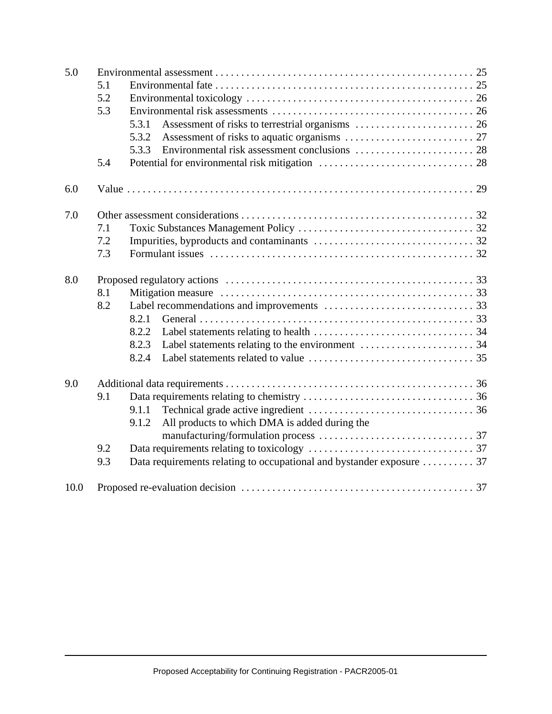| 5.0  |     |                                                                       |  |  |  |  |  |
|------|-----|-----------------------------------------------------------------------|--|--|--|--|--|
|      | 5.1 |                                                                       |  |  |  |  |  |
|      | 5.2 |                                                                       |  |  |  |  |  |
|      | 5.3 |                                                                       |  |  |  |  |  |
|      |     | 5.3.1                                                                 |  |  |  |  |  |
|      |     | 5.3.2                                                                 |  |  |  |  |  |
|      |     | 5.3.3                                                                 |  |  |  |  |  |
|      | 5.4 |                                                                       |  |  |  |  |  |
| 6.0  |     |                                                                       |  |  |  |  |  |
| 7.0  |     |                                                                       |  |  |  |  |  |
|      | 7.1 |                                                                       |  |  |  |  |  |
|      | 7.2 |                                                                       |  |  |  |  |  |
|      | 7.3 |                                                                       |  |  |  |  |  |
| 8.0  |     |                                                                       |  |  |  |  |  |
|      | 8.1 |                                                                       |  |  |  |  |  |
|      | 8.2 |                                                                       |  |  |  |  |  |
|      |     | 8.2.1                                                                 |  |  |  |  |  |
|      |     | 8.2.2                                                                 |  |  |  |  |  |
|      |     | 8.2.3                                                                 |  |  |  |  |  |
|      |     | 8.2.4                                                                 |  |  |  |  |  |
| 9.0  |     |                                                                       |  |  |  |  |  |
|      | 9.1 |                                                                       |  |  |  |  |  |
|      |     | 9.1.1                                                                 |  |  |  |  |  |
|      |     | All products to which DMA is added during the<br>9.1.2                |  |  |  |  |  |
|      | 9.2 |                                                                       |  |  |  |  |  |
|      |     |                                                                       |  |  |  |  |  |
|      | 9.3 | Data requirements relating to occupational and bystander exposure  37 |  |  |  |  |  |
| 10.0 |     |                                                                       |  |  |  |  |  |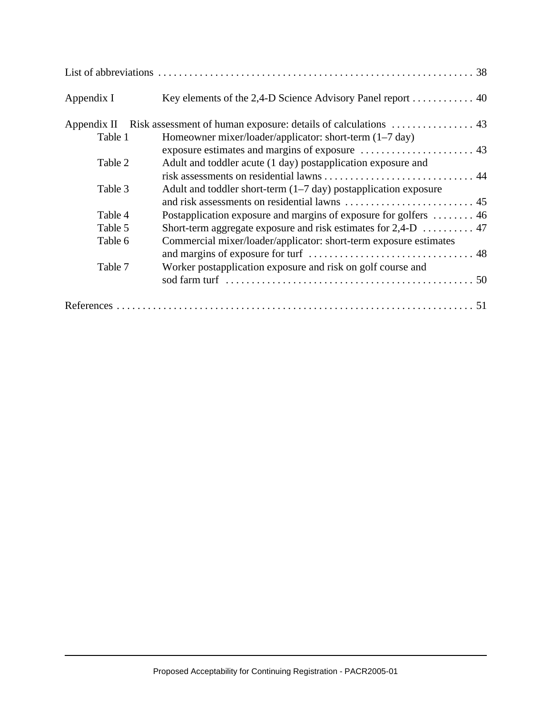| Appendix I | Key elements of the 2,4-D Science Advisory Panel report 40                |
|------------|---------------------------------------------------------------------------|
|            |                                                                           |
| Table 1    | Homeowner mixer/loader/applicator: short-term (1–7 day)                   |
|            |                                                                           |
| Table 2    | Adult and toddler acute (1 day) postapplication exposure and              |
|            |                                                                           |
| Table 3    | Adult and toddler short-term $(1-7 \text{ day})$ postapplication exposure |
|            |                                                                           |
| Table 4    | Postapplication exposure and margins of exposure for golfers  46          |
| Table 5    |                                                                           |
| Table 6    | Commercial mixer/loader/applicator: short-term exposure estimates         |
|            |                                                                           |
| Table 7    | Worker postapplication exposure and risk on golf course and               |
|            |                                                                           |
|            |                                                                           |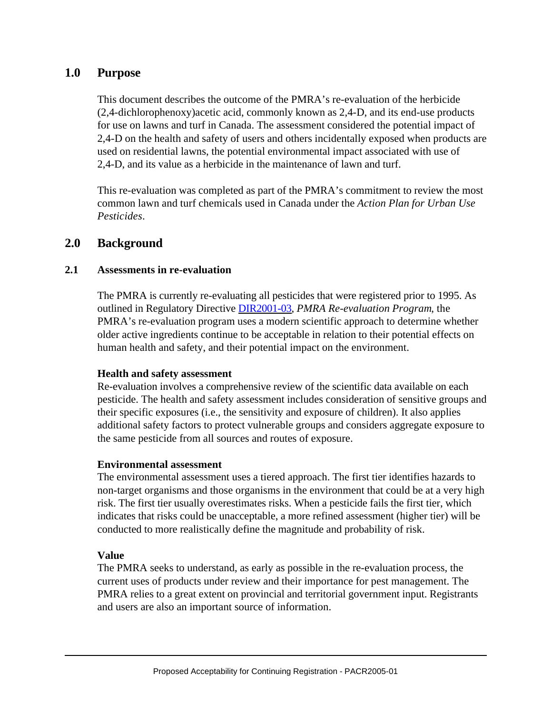# **1.0 Purpose**

This document describes the outcome of the PMRA's re-evaluation of the herbicide (2,4-dichlorophenoxy)acetic acid, commonly known as 2,4-D, and its end-use products for use on lawns and turf in Canada. The assessment considered the potential impact of 2,4-D on the health and safety of users and others incidentally exposed when products are used on residential lawns, the potential environmental impact associated with use of 2,4-D, and its value as a herbicide in the maintenance of lawn and turf.

This re-evaluation was completed as part of the PMRA's commitment to review the most common lawn and turf chemicals used in Canada under the *Action Plan for Urban Use Pesticides*.

# **2.0 Background**

#### **2.1 Assessments in re-evaluation**

The PMRA is currently re-evaluating all pesticides that were registered prior to 1995. As outlined in Regulatory Directiv[e DIR2001-03,](http://www.pmra-arla.gc.ca/english/pdf/dir/dir2001-03-e.pdf) *PMRA Re-evaluation Program*, the PMRA's re-evaluation program uses a modern scientific approach to determine whether older active ingredients continue to be acceptable in relation to their potential effects on human health and safety, and their potential impact on the environment.

#### **Health and safety assessment**

Re-evaluation involves a comprehensive review of the scientific data available on each pesticide. The health and safety assessment includes consideration of sensitive groups and their specific exposures (i.e., the sensitivity and exposure of children). It also applies additional safety factors to protect vulnerable groups and considers aggregate exposure to the same pesticide from all sources and routes of exposure.

#### **Environmental assessment**

The environmental assessment uses a tiered approach. The first tier identifies hazards to non-target organisms and those organisms in the environment that could be at a very high risk. The first tier usually overestimates risks. When a pesticide fails the first tier, which indicates that risks could be unacceptable, a more refined assessment (higher tier) will be conducted to more realistically define the magnitude and probability of risk.

#### **Value**

The PMRA seeks to understand, as early as possible in the re-evaluation process, the current uses of products under review and their importance for pest management. The PMRA relies to a great extent on provincial and territorial government input. Registrants and users are also an important source of information.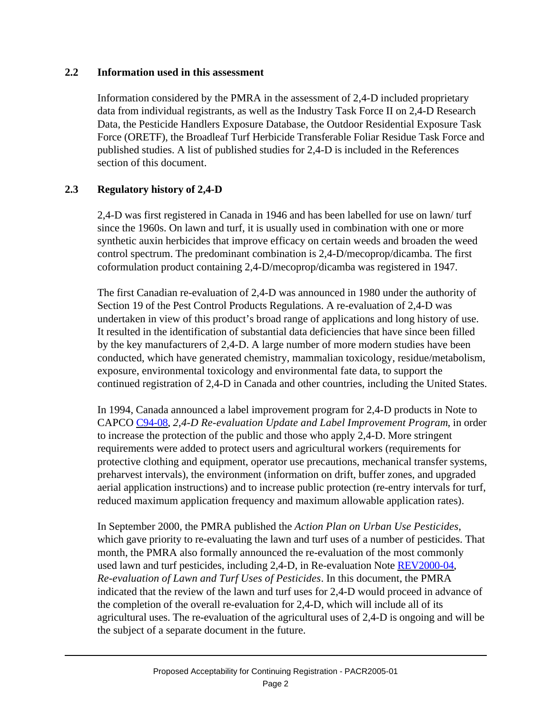#### **2.2 Information used in this assessment**

Information considered by the PMRA in the assessment of 2,4-D included proprietary data from individual registrants, as well as the Industry Task Force II on 2,4-D Research Data, the Pesticide Handlers Exposure Database, the Outdoor Residential Exposure Task Force (ORETF), the Broadleaf Turf Herbicide Transferable Foliar Residue Task Force and published studies. A list of published studies for 2,4-D is included in the References section of this document.

# **2.3 Regulatory history of 2,4-D**

2,4-D was first registered in Canada in 1946 and has been labelled for use on lawn/ turf since the 1960s. On lawn and turf, it is usually used in combination with one or more synthetic auxin herbicides that improve efficacy on certain weeds and broaden the weed control spectrum. The predominant combination is 2,4-D/mecoprop/dicamba. The first coformulation product containing 2,4-D/mecoprop/dicamba was registered in 1947.

The first Canadian re-evaluation of 2,4-D was announced in 1980 under the authority of Section 19 of the Pest Control Products Regulations. A re-evaluation of 2,4-D was undertaken in view of this product's broad range of applications and long history of use. It resulted in the identification of substantial data deficiencies that have since been filled by the key manufacturers of 2,4-D. A large number of more modern studies have been conducted, which have generated chemistry, mammalian toxicology, residue/metabolism, exposure, environmental toxicology and environmental fate data, to support the continued registration of 2,4-D in Canada and other countries, including the United States.

In 1994, Canada announced a label improvement program for 2,4-D products in Note to CAPC[O C94-08,](http://www.pmra-arla.gc.ca/english/pdf/reg/reg_c9408-e.pdf) *2,4-D Re-evaluation Update and Label Improvement Program*, in order to increase the protection of the public and those who apply 2,4-D. More stringent requirements were added to protect users and agricultural workers (requirements for protective clothing and equipment, operator use precautions, mechanical transfer systems, preharvest intervals), the environment (information on drift, buffer zones, and upgraded aerial application instructions) and to increase public protection (re-entry intervals for turf, reduced maximum application frequency and maximum allowable application rates).

In September 2000, the PMRA published the *Action Plan on Urban Use Pesticides*, which gave priority to re-evaluating the lawn and turf uses of a number of pesticides. That month, the PMRA also formally announced the re-evaluation of the most commonly used lawn and turf pesticides, including 2,4-D, in Re-evaluation Not[e REV2000-04,](http://www.pmra-arla.gc.ca/english/pdf/rev/rev2000-04-e.pdf) *Re-evaluation of Lawn and Turf Uses of Pesticides*. In this document, the PMRA indicated that the review of the lawn and turf uses for 2,4-D would proceed in advance of the completion of the overall re-evaluation for 2,4-D, which will include all of its agricultural uses. The re-evaluation of the agricultural uses of 2,4-D is ongoing and will be the subject of a separate document in the future.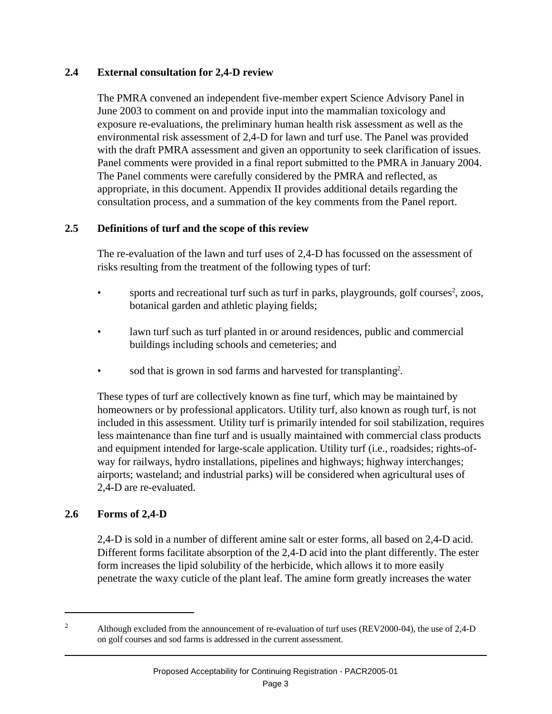#### **2.4 External consultation for 2,4-D review**

The PMRA convened an independent five-member expert Science Advisory Panel in June 2003 to comment on and provide input into the mammalian toxicology and exposure re-evaluations, the preliminary human health risk assessment as well as the environmental risk assessment of 2,4-D for lawn and turf use. The Panel was provided with the draft PMRA assessment and given an opportunity to seek clarification of issues. Panel comments were provided in a final report submitted to the PMRA in January 2004. The Panel comments were carefully considered by the PMRA and reflected, as appropriate, in this document. Appendix II provides additional details regarding the consultation process, and a summation of the key comments from the Panel report.

### **2.5 Definitions of turf and the scope of this review**

The re-evaluation of the lawn and turf uses of 2,4-D has focussed on the assessment of risks resulting from the treatment of the following types of turf:

- sports and recreational turf such as turf in parks, playgrounds, golf courses<sup>2</sup>, zoos, botanical garden and athletic playing fields;
- lawn turf such as turf planted in or around residences, public and commercial buildings including schools and cemeteries; and
- sod that is grown in sod farms and harvested for transplanting<sup>2</sup>.

These types of turf are collectively known as fine turf, which may be maintained by homeowners or by professional applicators. Utility turf, also known as rough turf, is not included in this assessment. Utility turf is primarily intended for soil stabilization, requires less maintenance than fine turf and is usually maintained with commercial class products and equipment intended for large-scale application. Utility turf (i.e., roadsides; rights-ofway for railways, hydro installations, pipelines and highways; highway interchanges; airports; wasteland; and industrial parks) will be considered when agricultural uses of 2,4-D are re-evaluated.

# **2.6 Forms of 2,4-D**

2,4-D is sold in a number of different amine salt or ester forms, all based on 2,4-D acid. Different forms facilitate absorption of the 2,4-D acid into the plant differently. The ester form increases the lipid solubility of the herbicide, which allows it to more easily penetrate the waxy cuticle of the plant leaf. The amine form greatly increases the water

<sup>&</sup>lt;sup>2</sup> Although excluded from the announcement of re-evaluation of turf uses (REV2000-04), the use of 2,4-D on golf courses and sod farms is addressed in the current assessment.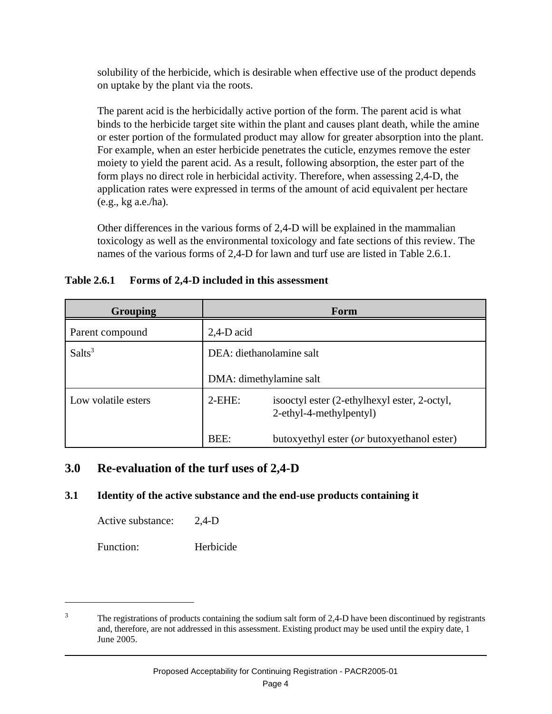solubility of the herbicide, which is desirable when effective use of the product depends on uptake by the plant via the roots.

The parent acid is the herbicidally active portion of the form. The parent acid is what binds to the herbicide target site within the plant and causes plant death, while the amine or ester portion of the formulated product may allow for greater absorption into the plant. For example, when an ester herbicide penetrates the cuticle, enzymes remove the ester moiety to yield the parent acid. As a result, following absorption, the ester part of the form plays no direct role in herbicidal activity. Therefore, when assessing 2,4-D, the application rates were expressed in terms of the amount of acid equivalent per hectare (e.g., kg a.e./ha).

Other differences in the various forms of 2,4-D will be explained in the mammalian toxicology as well as the environmental toxicology and fate sections of this review. The names of the various forms of 2,4-D for lawn and turf use are listed in Table 2.6.1.

### **Table 2.6.1 Forms of 2,4-D included in this assessment**

| <b>Grouping</b>     | Form                     |                                                                         |  |  |
|---------------------|--------------------------|-------------------------------------------------------------------------|--|--|
| Parent compound     | $2,4$ -D acid            |                                                                         |  |  |
| Salts <sup>3</sup>  | DEA: diethanolamine salt |                                                                         |  |  |
|                     | DMA: dimethylamine salt  |                                                                         |  |  |
| Low volatile esters | $2$ -EHE:                | isooctyl ester (2-ethylhexyl ester, 2-octyl,<br>2-ethyl-4-methylpentyl) |  |  |
|                     | BEE:                     | butoxyethyl ester (or butoxyethanol ester)                              |  |  |

# **3.0 Re-evaluation of the turf uses of 2,4-D**

# **3.1 Identity of the active substance and the end-use products containing it**

Active substance: 2,4-D

Function: Herbicide

<sup>&</sup>lt;sup>3</sup> The registrations of products containing the sodium salt form of 2,4-D have been discontinued by registrants and, therefore, are not addressed in this assessment. Existing product may be used until the expiry date, 1 June 2005.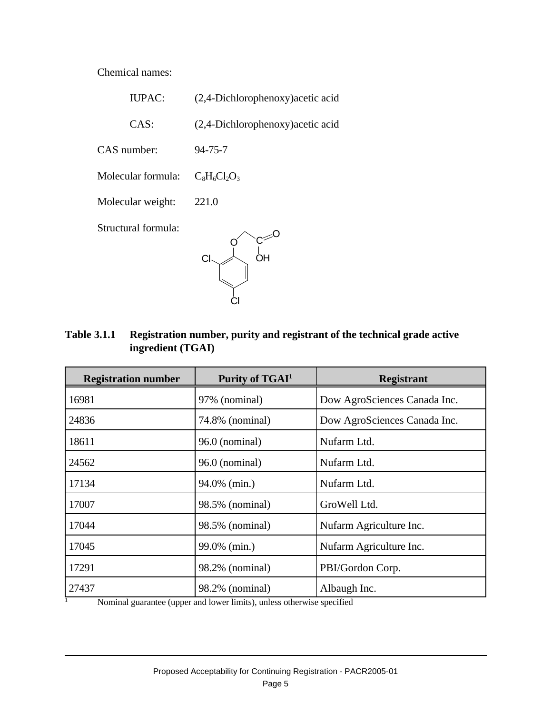Chemical names:

| <b>IUPAC:</b>       | (2,4-Dichlorophenoxy) acetic acid |
|---------------------|-----------------------------------|
| CAS:                | (2,4-Dichlorophenoxy) acetic acid |
| CAS number:         | $94 - 75 - 7$                     |
| Molecular formula:  | $C_8H_6Cl_2O_3$                   |
| Molecular weight:   | 221.0                             |
| Structural formula: | CI                                |

**Table 3.1.1 Registration number, purity and registrant of the technical grade active ingredient (TGAI)**

| <b>Registration number</b> | Purity of TGAI <sup>1</sup> | <b>Registrant</b>            |
|----------------------------|-----------------------------|------------------------------|
| 16981                      | 97% (nominal)               | Dow AgroSciences Canada Inc. |
| 24836                      | 74.8% (nominal)             | Dow AgroSciences Canada Inc. |
| 18611                      | $96.0$ (nominal)            | Nufarm Ltd.                  |
| 24562                      | 96.0 (nominal)              | Nufarm Ltd.                  |
| 17134                      | 94.0% (min.)                | Nufarm Ltd.                  |
| 17007                      | 98.5% (nominal)             | GroWell Ltd.                 |
| 17044                      | 98.5% (nominal)             | Nufarm Agriculture Inc.      |
| 17045                      | 99.0% (min.)                | Nufarm Agriculture Inc.      |
| 17291                      | 98.2% (nominal)             | PBI/Gordon Corp.             |
| 27437                      | 98.2% (nominal)             | Albaugh Inc.                 |

<sup>1</sup> Nominal guarantee (upper and lower limits), unless otherwise specified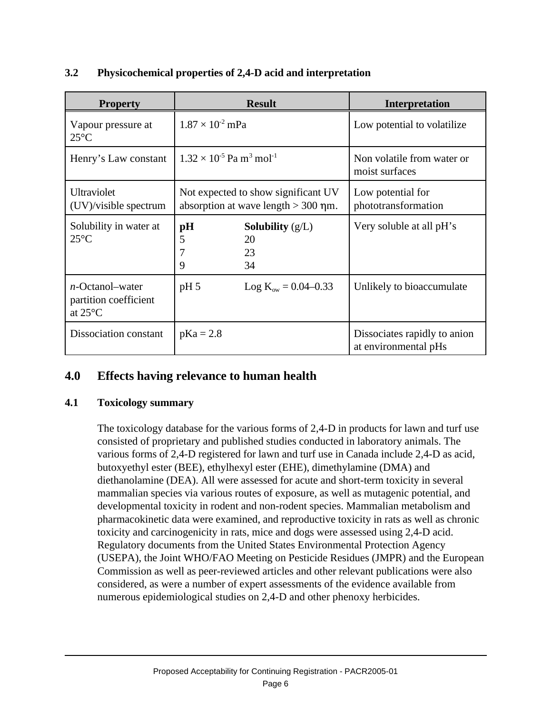| <b>Property</b>                                                  | <b>Result</b>                                                                | <b>Interpretation</b>                                |
|------------------------------------------------------------------|------------------------------------------------------------------------------|------------------------------------------------------|
| Vapour pressure at<br>$25^{\circ}$ C                             | $1.87 \times 10^{-2}$ mPa                                                    | Low potential to volatilize                          |
| Henry's Law constant                                             | $1.32 \times 10^{-5}$ Pa m <sup>3</sup> mol <sup>-1</sup>                    | Non volatile from water or<br>moist surfaces         |
| Ultraviolet<br>$(UV)/v$ is ible spectrum                         | Not expected to show significant UV<br>absorption at wave length $>$ 300 nm. | Low potential for<br>phototransformation             |
| Solubility in water at<br>$25^{\circ}$ C                         | $\mathbf{p}$ H<br><b>Solubility</b> $(g/L)$<br>5<br>20<br>23<br>34<br>9      | Very soluble at all pH's                             |
| $n$ -Octanol-water<br>partition coefficient<br>at $25^{\circ}$ C | pH <sub>5</sub><br>$Log K_{ow} = 0.04 - 0.33$                                | Unlikely to bioaccumulate                            |
| Dissociation constant                                            | $pKa = 2.8$                                                                  | Dissociates rapidly to anion<br>at environmental pHs |

# **3.2 Physicochemical properties of 2,4-D acid and interpretation**

# **4.0 Effects having relevance to human health**

#### **4.1 Toxicology summary**

The toxicology database for the various forms of 2,4-D in products for lawn and turf use consisted of proprietary and published studies conducted in laboratory animals. The various forms of 2,4-D registered for lawn and turf use in Canada include 2,4-D as acid, butoxyethyl ester (BEE), ethylhexyl ester (EHE), dimethylamine (DMA) and diethanolamine (DEA). All were assessed for acute and short-term toxicity in several mammalian species via various routes of exposure, as well as mutagenic potential, and developmental toxicity in rodent and non-rodent species. Mammalian metabolism and pharmacokinetic data were examined, and reproductive toxicity in rats as well as chronic toxicity and carcinogenicity in rats, mice and dogs were assessed using 2,4-D acid. Regulatory documents from the United States Environmental Protection Agency (USEPA), the Joint WHO/FAO Meeting on Pesticide Residues (JMPR) and the European Commission as well as peer-reviewed articles and other relevant publications were also considered, as were a number of expert assessments of the evidence available from numerous epidemiological studies on 2,4-D and other phenoxy herbicides.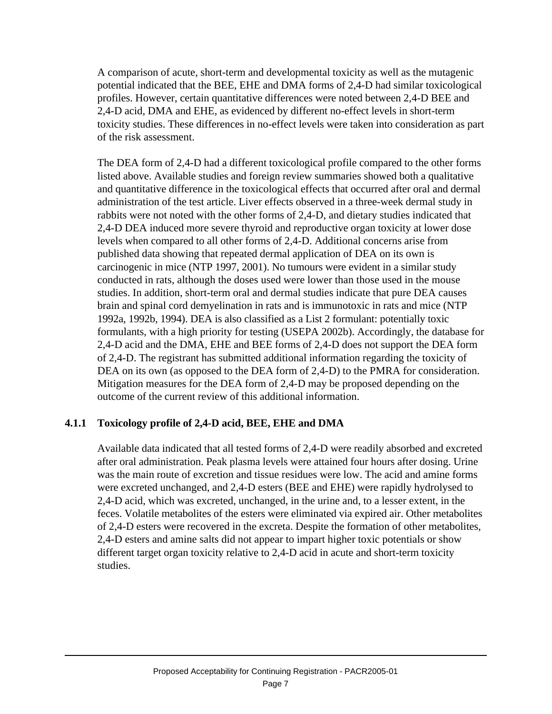A comparison of acute, short-term and developmental toxicity as well as the mutagenic potential indicated that the BEE, EHE and DMA forms of 2,4-D had similar toxicological profiles. However, certain quantitative differences were noted between 2,4-D BEE and 2,4-D acid, DMA and EHE, as evidenced by different no-effect levels in short-term toxicity studies. These differences in no-effect levels were taken into consideration as part of the risk assessment.

The DEA form of 2,4-D had a different toxicological profile compared to the other forms listed above. Available studies and foreign review summaries showed both a qualitative and quantitative difference in the toxicological effects that occurred after oral and dermal administration of the test article. Liver effects observed in a three-week dermal study in rabbits were not noted with the other forms of 2,4-D, and dietary studies indicated that 2,4-D DEA induced more severe thyroid and reproductive organ toxicity at lower dose levels when compared to all other forms of 2,4-D. Additional concerns arise from published data showing that repeated dermal application of DEA on its own is carcinogenic in mice (NTP 1997, 2001). No tumours were evident in a similar study conducted in rats, although the doses used were lower than those used in the mouse studies. In addition, short-term oral and dermal studies indicate that pure DEA causes brain and spinal cord demyelination in rats and is immunotoxic in rats and mice (NTP 1992a, 1992b, 1994). DEA is also classified as a List 2 formulant: potentially toxic formulants, with a high priority for testing (USEPA 2002b). Accordingly, the database for 2,4-D acid and the DMA, EHE and BEE forms of 2,4-D does not support the DEA form of 2,4-D. The registrant has submitted additional information regarding the toxicity of DEA on its own (as opposed to the DEA form of 2,4-D) to the PMRA for consideration. Mitigation measures for the DEA form of 2,4-D may be proposed depending on the outcome of the current review of this additional information.

# **4.1.1 Toxicology profile of 2,4-D acid, BEE, EHE and DMA**

Available data indicated that all tested forms of 2,4-D were readily absorbed and excreted after oral administration. Peak plasma levels were attained four hours after dosing. Urine was the main route of excretion and tissue residues were low. The acid and amine forms were excreted unchanged, and 2,4-D esters (BEE and EHE) were rapidly hydrolysed to 2,4-D acid, which was excreted, unchanged, in the urine and, to a lesser extent, in the feces. Volatile metabolites of the esters were eliminated via expired air. Other metabolites of 2,4-D esters were recovered in the excreta. Despite the formation of other metabolites, 2,4-D esters and amine salts did not appear to impart higher toxic potentials or show different target organ toxicity relative to 2,4-D acid in acute and short-term toxicity studies.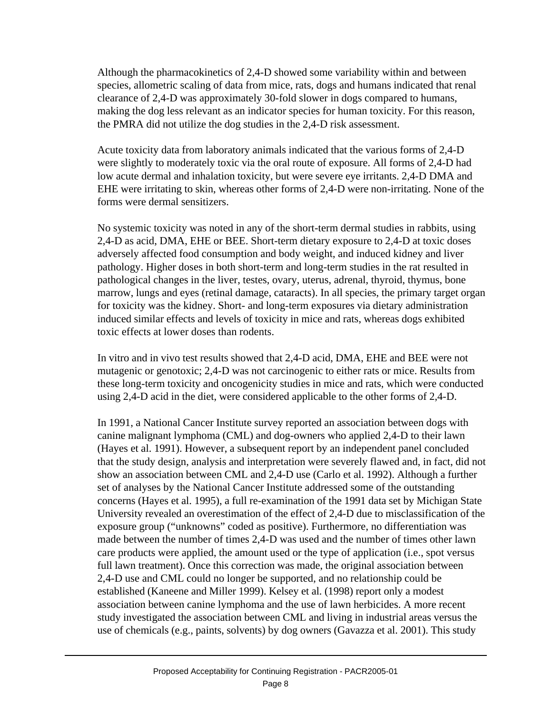Although the pharmacokinetics of 2,4-D showed some variability within and between species, allometric scaling of data from mice, rats, dogs and humans indicated that renal clearance of 2,4-D was approximately 30-fold slower in dogs compared to humans, making the dog less relevant as an indicator species for human toxicity. For this reason, the PMRA did not utilize the dog studies in the 2,4-D risk assessment.

Acute toxicity data from laboratory animals indicated that the various forms of 2,4-D were slightly to moderately toxic via the oral route of exposure. All forms of 2,4-D had low acute dermal and inhalation toxicity, but were severe eye irritants. 2,4-D DMA and EHE were irritating to skin, whereas other forms of 2,4-D were non-irritating. None of the forms were dermal sensitizers.

No systemic toxicity was noted in any of the short-term dermal studies in rabbits, using 2,4-D as acid, DMA, EHE or BEE. Short-term dietary exposure to 2,4-D at toxic doses adversely affected food consumption and body weight, and induced kidney and liver pathology. Higher doses in both short-term and long-term studies in the rat resulted in pathological changes in the liver, testes, ovary, uterus, adrenal, thyroid, thymus, bone marrow, lungs and eyes (retinal damage, cataracts). In all species, the primary target organ for toxicity was the kidney. Short- and long-term exposures via dietary administration induced similar effects and levels of toxicity in mice and rats, whereas dogs exhibited toxic effects at lower doses than rodents.

In vitro and in vivo test results showed that 2,4-D acid, DMA, EHE and BEE were not mutagenic or genotoxic; 2,4-D was not carcinogenic to either rats or mice. Results from these long-term toxicity and oncogenicity studies in mice and rats, which were conducted using 2,4-D acid in the diet, were considered applicable to the other forms of 2,4-D.

In 1991, a National Cancer Institute survey reported an association between dogs with canine malignant lymphoma (CML) and dog-owners who applied 2,4-D to their lawn (Hayes et al. 1991). However, a subsequent report by an independent panel concluded that the study design, analysis and interpretation were severely flawed and, in fact, did not show an association between CML and 2,4-D use (Carlo et al. 1992). Although a further set of analyses by the National Cancer Institute addressed some of the outstanding concerns (Hayes et al. 1995), a full re-examination of the 1991 data set by Michigan State University revealed an overestimation of the effect of 2,4-D due to misclassification of the exposure group ("unknowns" coded as positive). Furthermore, no differentiation was made between the number of times 2,4-D was used and the number of times other lawn care products were applied, the amount used or the type of application (i.e., spot versus full lawn treatment). Once this correction was made, the original association between 2,4-D use and CML could no longer be supported, and no relationship could be established (Kaneene and Miller 1999). Kelsey et al. (1998) report only a modest association between canine lymphoma and the use of lawn herbicides. A more recent study investigated the association between CML and living in industrial areas versus the use of chemicals (e.g., paints, solvents) by dog owners (Gavazza et al. 2001). This study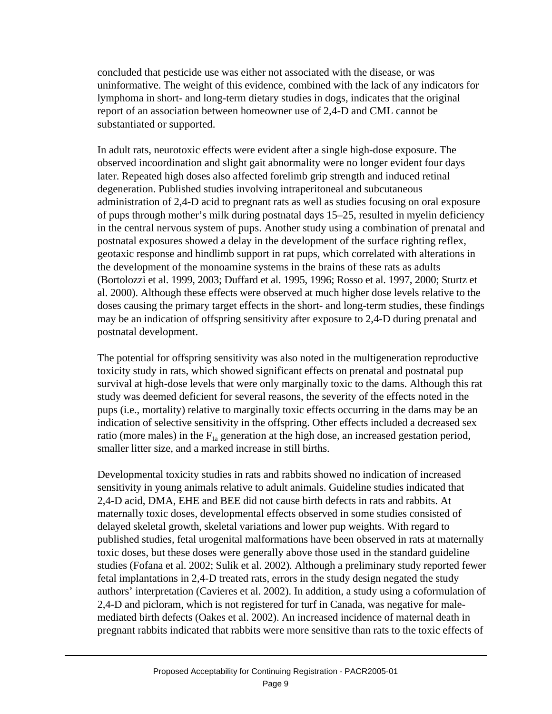concluded that pesticide use was either not associated with the disease, or was uninformative. The weight of this evidence, combined with the lack of any indicators for lymphoma in short- and long-term dietary studies in dogs, indicates that the original report of an association between homeowner use of 2,4-D and CML cannot be substantiated or supported.

In adult rats, neurotoxic effects were evident after a single high-dose exposure. The observed incoordination and slight gait abnormality were no longer evident four days later. Repeated high doses also affected forelimb grip strength and induced retinal degeneration. Published studies involving intraperitoneal and subcutaneous administration of 2,4-D acid to pregnant rats as well as studies focusing on oral exposure of pups through mother's milk during postnatal days 15–25, resulted in myelin deficiency in the central nervous system of pups. Another study using a combination of prenatal and postnatal exposures showed a delay in the development of the surface righting reflex, geotaxic response and hindlimb support in rat pups, which correlated with alterations in the development of the monoamine systems in the brains of these rats as adults (Bortolozzi et al. 1999, 2003; Duffard et al. 1995, 1996; Rosso et al. 1997, 2000; Sturtz et al. 2000). Although these effects were observed at much higher dose levels relative to the doses causing the primary target effects in the short- and long-term studies, these findings may be an indication of offspring sensitivity after exposure to 2,4-D during prenatal and postnatal development.

The potential for offspring sensitivity was also noted in the multigeneration reproductive toxicity study in rats, which showed significant effects on prenatal and postnatal pup survival at high-dose levels that were only marginally toxic to the dams. Although this rat study was deemed deficient for several reasons, the severity of the effects noted in the pups (i.e., mortality) relative to marginally toxic effects occurring in the dams may be an indication of selective sensitivity in the offspring. Other effects included a decreased sex ratio (more males) in the  $F_{1a}$  generation at the high dose, an increased gestation period, smaller litter size, and a marked increase in still births.

Developmental toxicity studies in rats and rabbits showed no indication of increased sensitivity in young animals relative to adult animals. Guideline studies indicated that 2,4-D acid, DMA, EHE and BEE did not cause birth defects in rats and rabbits. At maternally toxic doses, developmental effects observed in some studies consisted of delayed skeletal growth, skeletal variations and lower pup weights. With regard to published studies, fetal urogenital malformations have been observed in rats at maternally toxic doses, but these doses were generally above those used in the standard guideline studies (Fofana et al. 2002; Sulik et al. 2002). Although a preliminary study reported fewer fetal implantations in 2,4-D treated rats, errors in the study design negated the study authors' interpretation (Cavieres et al. 2002). In addition, a study using a coformulation of 2,4-D and picloram, which is not registered for turf in Canada, was negative for malemediated birth defects (Oakes et al. 2002). An increased incidence of maternal death in pregnant rabbits indicated that rabbits were more sensitive than rats to the toxic effects of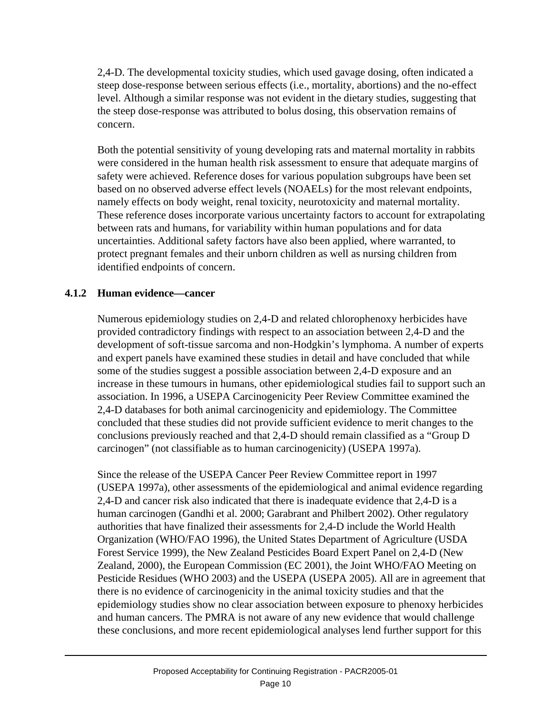2,4-D. The developmental toxicity studies, which used gavage dosing, often indicated a steep dose-response between serious effects (i.e., mortality, abortions) and the no-effect level. Although a similar response was not evident in the dietary studies, suggesting that the steep dose-response was attributed to bolus dosing, this observation remains of concern.

Both the potential sensitivity of young developing rats and maternal mortality in rabbits were considered in the human health risk assessment to ensure that adequate margins of safety were achieved. Reference doses for various population subgroups have been set based on no observed adverse effect levels (NOAELs) for the most relevant endpoints, namely effects on body weight, renal toxicity, neurotoxicity and maternal mortality. These reference doses incorporate various uncertainty factors to account for extrapolating between rats and humans, for variability within human populations and for data uncertainties. Additional safety factors have also been applied, where warranted, to protect pregnant females and their unborn children as well as nursing children from identified endpoints of concern.

### **4.1.2 Human evidence—cancer**

Numerous epidemiology studies on 2,4-D and related chlorophenoxy herbicides have provided contradictory findings with respect to an association between 2,4-D and the development of soft-tissue sarcoma and non-Hodgkin's lymphoma. A number of experts and expert panels have examined these studies in detail and have concluded that while some of the studies suggest a possible association between 2,4-D exposure and an increase in these tumours in humans, other epidemiological studies fail to support such an association. In 1996, a USEPA Carcinogenicity Peer Review Committee examined the 2,4-D databases for both animal carcinogenicity and epidemiology. The Committee concluded that these studies did not provide sufficient evidence to merit changes to the conclusions previously reached and that 2,4-D should remain classified as a "Group D carcinogen" (not classifiable as to human carcinogenicity) (USEPA 1997a).

Since the release of the USEPA Cancer Peer Review Committee report in 1997 (USEPA 1997a), other assessments of the epidemiological and animal evidence regarding 2,4-D and cancer risk also indicated that there is inadequate evidence that 2,4-D is a human carcinogen (Gandhi et al. 2000; Garabrant and Philbert 2002). Other regulatory authorities that have finalized their assessments for 2,4-D include the World Health Organization (WHO/FAO 1996), the United States Department of Agriculture (USDA Forest Service 1999), the New Zealand Pesticides Board Expert Panel on 2,4-D (New Zealand, 2000), the European Commission (EC 2001), the Joint WHO/FAO Meeting on Pesticide Residues (WHO 2003) and the USEPA (USEPA 2005). All are in agreement that there is no evidence of carcinogenicity in the animal toxicity studies and that the epidemiology studies show no clear association between exposure to phenoxy herbicides and human cancers. The PMRA is not aware of any new evidence that would challenge these conclusions, and more recent epidemiological analyses lend further support for this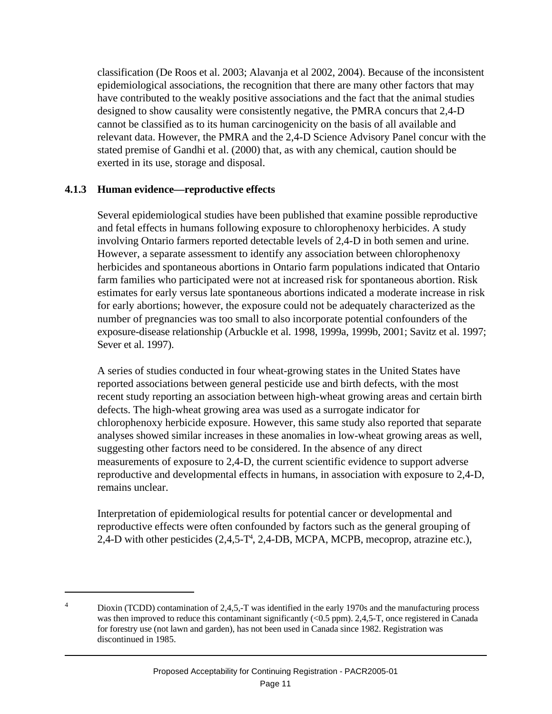classification (De Roos et al. 2003; Alavanja et al 2002, 2004). Because of the inconsistent epidemiological associations, the recognition that there are many other factors that may have contributed to the weakly positive associations and the fact that the animal studies designed to show causality were consistently negative, the PMRA concurs that 2,4-D cannot be classified as to its human carcinogenicity on the basis of all available and relevant data. However, the PMRA and the 2,4-D Science Advisory Panel concur with the stated premise of Gandhi et al. (2000) that, as with any chemical, caution should be exerted in its use, storage and disposal.

#### **4.1.3 Human evidence—reproductive effects**

Several epidemiological studies have been published that examine possible reproductive and fetal effects in humans following exposure to chlorophenoxy herbicides. A study involving Ontario farmers reported detectable levels of 2,4-D in both semen and urine. However, a separate assessment to identify any association between chlorophenoxy herbicides and spontaneous abortions in Ontario farm populations indicated that Ontario farm families who participated were not at increased risk for spontaneous abortion. Risk estimates for early versus late spontaneous abortions indicated a moderate increase in risk for early abortions; however, the exposure could not be adequately characterized as the number of pregnancies was too small to also incorporate potential confounders of the exposure-disease relationship (Arbuckle et al. 1998, 1999a, 1999b, 2001; Savitz et al. 1997; Sever et al. 1997).

A series of studies conducted in four wheat-growing states in the United States have reported associations between general pesticide use and birth defects, with the most recent study reporting an association between high-wheat growing areas and certain birth defects. The high-wheat growing area was used as a surrogate indicator for chlorophenoxy herbicide exposure. However, this same study also reported that separate analyses showed similar increases in these anomalies in low-wheat growing areas as well, suggesting other factors need to be considered. In the absence of any direct measurements of exposure to 2,4-D, the current scientific evidence to support adverse reproductive and developmental effects in humans, in association with exposure to 2,4-D, remains unclear.

Interpretation of epidemiological results for potential cancer or developmental and reproductive effects were often confounded by factors such as the general grouping of 2,4-D with other pesticides (2,4,5-T<sup>4</sup>, 2,4-DB, MCPA, MCPB, mecoprop, atrazine etc.),

<sup>&</sup>lt;sup>4</sup> Dioxin (TCDD) contamination of 2,4,5,-T was identified in the early 1970s and the manufacturing process was then improved to reduce this contaminant significantly (<0.5 ppm). 2,4,5-T, once registered in Canada for forestry use (not lawn and garden), has not been used in Canada since 1982. Registration was discontinued in 1985.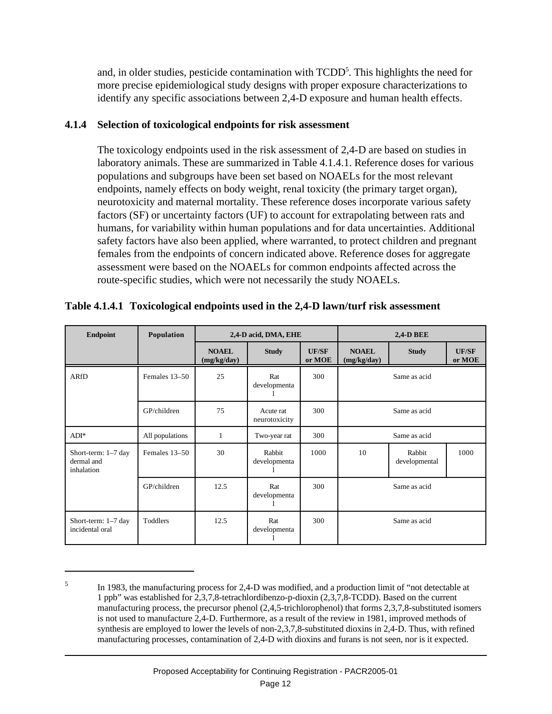and, in older studies, pesticide contamination with TCDD<sup>5</sup>. This highlights the need for more precise epidemiological study designs with proper exposure characterizations to identify any specific associations between 2,4-D exposure and human health effects.

#### **4.1.4 Selection of toxicological endpoints for risk assessment**

The toxicology endpoints used in the risk assessment of 2,4-D are based on studies in laboratory animals. These are summarized in Table 4.1.4.1. Reference doses for various populations and subgroups have been set based on NOAELs for the most relevant endpoints, namely effects on body weight, renal toxicity (the primary target organ), neurotoxicity and maternal mortality. These reference doses incorporate various safety factors (SF) or uncertainty factors (UF) to account for extrapolating between rats and humans, for variability within human populations and for data uncertainties. Additional safety factors have also been applied, where warranted, to protect children and pregnant females from the endpoints of concern indicated above. Reference doses for aggregate assessment were based on the NOAELs for common endpoints affected across the route-specific studies, which were not necessarily the study NOAELs.

| <b>Endpoint</b>                                 | Population      | 2,4-D acid, DMA, EHE        |                            |                        | <b>2,4-D BEE</b>            |                         |                        |
|-------------------------------------------------|-----------------|-----------------------------|----------------------------|------------------------|-----------------------------|-------------------------|------------------------|
|                                                 |                 | <b>NOAEL</b><br>(mg/kg/day) | <b>Study</b>               | <b>UF/SF</b><br>or MOE | <b>NOAEL</b><br>(mg/kg/day) | <b>Study</b>            | <b>UF/SF</b><br>or MOE |
| <b>ARfD</b>                                     | Females 13-50   | 25                          | Rat<br>developmenta        | 300                    |                             | Same as acid            |                        |
|                                                 | GP/children     | 75                          | Acute rat<br>neurotoxicity | 300                    |                             | Same as acid            |                        |
| $ADI^*$                                         | All populations | 1                           | Two-year rat               | 300                    |                             | Same as acid            |                        |
| Short-term: 1-7 day<br>dermal and<br>inhalation | Females 13-50   | 30                          | Rabbit<br>developmenta     | 1000                   | 10                          | Rabbit<br>developmental | 1000                   |
|                                                 | GP/children     | 12.5                        | Rat<br>developmenta        | 300                    |                             | Same as acid            |                        |
| Short-term: 1-7 day<br>incidental oral          | Toddlers        | 12.5                        | Rat<br>developmenta        | 300                    |                             | Same as acid            |                        |

|  | Table 4.1.4.1 Toxicological endpoints used in the 2,4-D lawn/turf risk assessment |  |
|--|-----------------------------------------------------------------------------------|--|
|  |                                                                                   |  |
|  |                                                                                   |  |

<sup>5</sup> In 1983, the manufacturing process for 2,4-D was modified, and a production limit of "not detectable at 1 ppb" was established for 2,3,7,8-tetrachlordibenzo-p-dioxin (2,3,7,8-TCDD). Based on the current manufacturing process, the precursor phenol (2,4,5-trichlorophenol) that forms 2,3,7,8-substituted isomers is not used to manufacture 2,4-D. Furthermore, as a result of the review in 1981, improved methods of synthesis are employed to lower the levels of non-2,3,7,8-substituted dioxins in 2,4-D. Thus, with refined manufacturing processes, contamination of 2,4-D with dioxins and furans is not seen, nor is it expected.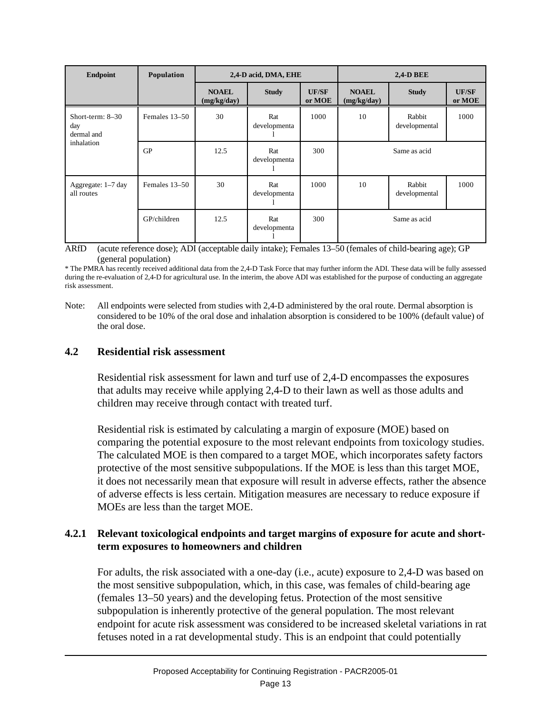| <b>Endpoint</b>                         | Population    | 2,4-D acid, DMA, EHE        |                     |                        | <b>2,4-D BEE</b>            |                         |                        |
|-----------------------------------------|---------------|-----------------------------|---------------------|------------------------|-----------------------------|-------------------------|------------------------|
|                                         |               | <b>NOAEL</b><br>(mg/kg/day) | <b>Study</b>        | <b>UF/SF</b><br>or MOE | <b>NOAEL</b><br>(mg/kg/day) | <b>Study</b>            | <b>UF/SF</b><br>or MOE |
| Short-term: $8-30$<br>day<br>dermal and | Females 13-50 | 30                          | Rat<br>developmenta | 1000                   | 10                          | Rabbit<br>developmental | 1000                   |
| inhalation                              | GP            | 12.5                        | Rat<br>developmenta | 300                    |                             | Same as acid            |                        |
| Aggregate: 1-7 day<br>all routes        | Females 13–50 | 30                          | Rat<br>developmenta | 1000                   | 10                          | Rabbit<br>developmental | 1000                   |
|                                         | GP/children   | 12.5                        | Rat<br>developmenta | 300                    |                             | Same as acid            |                        |

ARfD (acute reference dose); ADI (acceptable daily intake); Females 13–50 (females of child-bearing age); GP (general population)

\* The PMRA has recently received additional data from the 2,4-D Task Force that may further inform the ADI. These data will be fully assessed during the re-evaluation of 2,4-D for agricultural use. In the interim, the above ADI was established for the purpose of conducting an aggregate risk assessment.

Note: All endpoints were selected from studies with 2,4-D administered by the oral route. Dermal absorption is considered to be 10% of the oral dose and inhalation absorption is considered to be 100% (default value) of the oral dose.

#### **4.2 Residential risk assessment**

Residential risk assessment for lawn and turf use of 2,4-D encompasses the exposures that adults may receive while applying 2,4-D to their lawn as well as those adults and children may receive through contact with treated turf.

Residential risk is estimated by calculating a margin of exposure (MOE) based on comparing the potential exposure to the most relevant endpoints from toxicology studies. The calculated MOE is then compared to a target MOE, which incorporates safety factors protective of the most sensitive subpopulations. If the MOE is less than this target MOE, it does not necessarily mean that exposure will result in adverse effects, rather the absence of adverse effects is less certain. Mitigation measures are necessary to reduce exposure if MOEs are less than the target MOE.

#### **4.2.1 Relevant toxicological endpoints and target margins of exposure for acute and shortterm exposures to homeowners and children**

For adults, the risk associated with a one-day (i.e., acute) exposure to 2,4-D was based on the most sensitive subpopulation, which, in this case, was females of child-bearing age (females 13–50 years) and the developing fetus. Protection of the most sensitive subpopulation is inherently protective of the general population. The most relevant endpoint for acute risk assessment was considered to be increased skeletal variations in rat fetuses noted in a rat developmental study. This is an endpoint that could potentially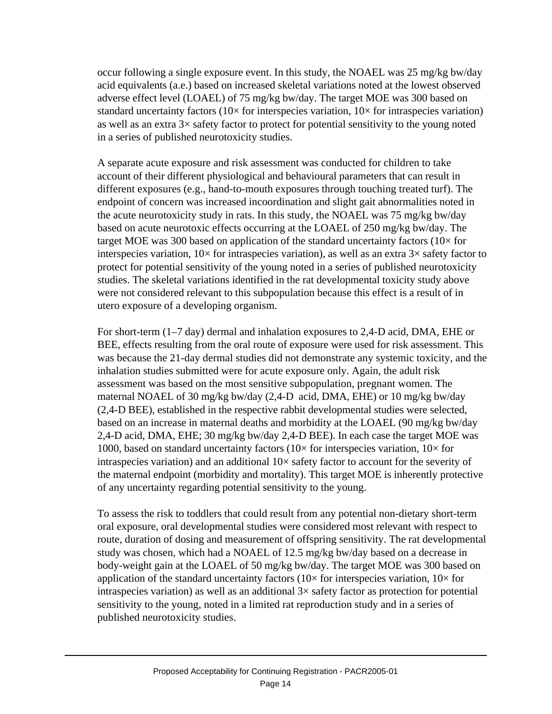occur following a single exposure event. In this study, the NOAEL was 25 mg/kg bw/day acid equivalents (a.e.) based on increased skeletal variations noted at the lowest observed adverse effect level (LOAEL) of 75 mg/kg bw/day. The target MOE was 300 based on standard uncertainty factors ( $10\times$  for interspecies variation,  $10\times$  for intraspecies variation) as well as an extra 3× safety factor to protect for potential sensitivity to the young noted in a series of published neurotoxicity studies.

A separate acute exposure and risk assessment was conducted for children to take account of their different physiological and behavioural parameters that can result in different exposures (e.g., hand-to-mouth exposures through touching treated turf). The endpoint of concern was increased incoordination and slight gait abnormalities noted in the acute neurotoxicity study in rats. In this study, the NOAEL was 75 mg/kg bw/day based on acute neurotoxic effects occurring at the LOAEL of 250 mg/kg bw/day. The target MOE was 300 based on application of the standard uncertainty factors ( $10\times$  for interspecies variation,  $10\times$  for intraspecies variation), as well as an extra  $3\times$  safety factor to protect for potential sensitivity of the young noted in a series of published neurotoxicity studies. The skeletal variations identified in the rat developmental toxicity study above were not considered relevant to this subpopulation because this effect is a result of in utero exposure of a developing organism.

For short-term (1–7 day) dermal and inhalation exposures to 2,4-D acid, DMA, EHE or BEE, effects resulting from the oral route of exposure were used for risk assessment. This was because the 21-day dermal studies did not demonstrate any systemic toxicity, and the inhalation studies submitted were for acute exposure only. Again, the adult risk assessment was based on the most sensitive subpopulation, pregnant women. The maternal NOAEL of 30 mg/kg bw/day (2,4-D acid, DMA, EHE) or 10 mg/kg bw/day (2,4-D BEE), established in the respective rabbit developmental studies were selected, based on an increase in maternal deaths and morbidity at the LOAEL (90 mg/kg bw/day 2,4-D acid, DMA, EHE; 30 mg/kg bw/day 2,4-D BEE). In each case the target MOE was 1000, based on standard uncertainty factors ( $10\times$  for interspecies variation,  $10\times$  for intraspecies variation) and an additional 10× safety factor to account for the severity of the maternal endpoint (morbidity and mortality). This target MOE is inherently protective of any uncertainty regarding potential sensitivity to the young.

To assess the risk to toddlers that could result from any potential non-dietary short-term oral exposure, oral developmental studies were considered most relevant with respect to route, duration of dosing and measurement of offspring sensitivity. The rat developmental study was chosen, which had a NOAEL of 12.5 mg/kg bw/day based on a decrease in body-weight gain at the LOAEL of 50 mg/kg bw/day. The target MOE was 300 based on application of the standard uncertainty factors ( $10\times$  for interspecies variation,  $10\times$  for intraspecies variation) as well as an additional  $3\times$  safety factor as protection for potential sensitivity to the young, noted in a limited rat reproduction study and in a series of published neurotoxicity studies.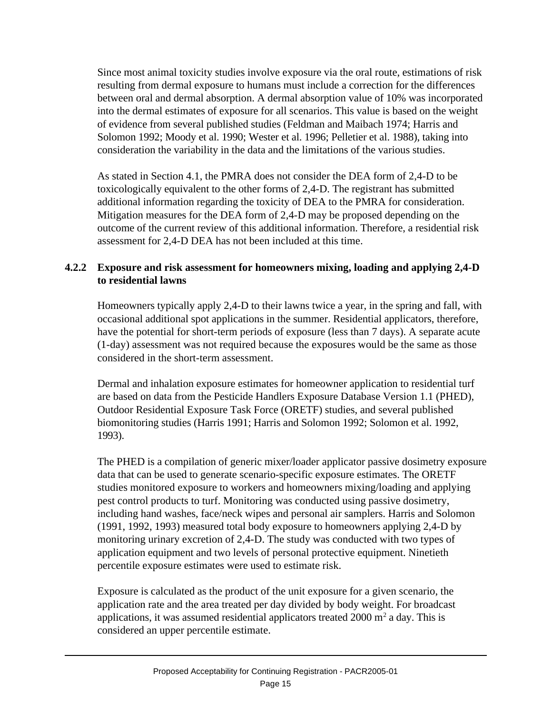Since most animal toxicity studies involve exposure via the oral route, estimations of risk resulting from dermal exposure to humans must include a correction for the differences between oral and dermal absorption. A dermal absorption value of 10% was incorporated into the dermal estimates of exposure for all scenarios. This value is based on the weight of evidence from several published studies (Feldman and Maibach 1974; Harris and Solomon 1992; Moody et al. 1990; Wester et al. 1996; Pelletier et al. 1988), taking into consideration the variability in the data and the limitations of the various studies.

As stated in Section 4.1, the PMRA does not consider the DEA form of 2,4-D to be toxicologically equivalent to the other forms of 2,4-D. The registrant has submitted additional information regarding the toxicity of DEA to the PMRA for consideration. Mitigation measures for the DEA form of 2,4-D may be proposed depending on the outcome of the current review of this additional information. Therefore, a residential risk assessment for 2,4-D DEA has not been included at this time.

## **4.2.2 Exposure and risk assessment for homeowners mixing, loading and applying 2,4-D to residential lawns**

Homeowners typically apply 2,4-D to their lawns twice a year, in the spring and fall, with occasional additional spot applications in the summer. Residential applicators, therefore, have the potential for short-term periods of exposure (less than 7 days). A separate acute (1-day) assessment was not required because the exposures would be the same as those considered in the short-term assessment.

Dermal and inhalation exposure estimates for homeowner application to residential turf are based on data from the Pesticide Handlers Exposure Database Version 1.1 (PHED), Outdoor Residential Exposure Task Force (ORETF) studies, and several published biomonitoring studies (Harris 1991; Harris and Solomon 1992; Solomon et al. 1992, 1993).

The PHED is a compilation of generic mixer/loader applicator passive dosimetry exposure data that can be used to generate scenario-specific exposure estimates. The ORETF studies monitored exposure to workers and homeowners mixing/loading and applying pest control products to turf. Monitoring was conducted using passive dosimetry, including hand washes, face/neck wipes and personal air samplers. Harris and Solomon (1991, 1992, 1993) measured total body exposure to homeowners applying 2,4-D by monitoring urinary excretion of 2,4-D. The study was conducted with two types of application equipment and two levels of personal protective equipment. Ninetieth percentile exposure estimates were used to estimate risk.

Exposure is calculated as the product of the unit exposure for a given scenario, the application rate and the area treated per day divided by body weight. For broadcast applications, it was assumed residential applicators treated  $2000 \text{ m}^2$  a day. This is considered an upper percentile estimate.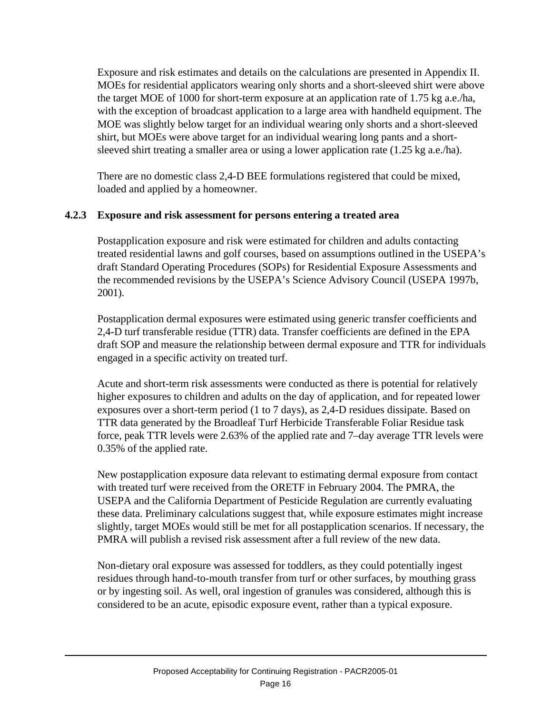Exposure and risk estimates and details on the calculations are presented in Appendix II. MOEs for residential applicators wearing only shorts and a short-sleeved shirt were above the target MOE of 1000 for short-term exposure at an application rate of 1.75 kg a.e./ha, with the exception of broadcast application to a large area with handheld equipment. The MOE was slightly below target for an individual wearing only shorts and a short-sleeved shirt, but MOEs were above target for an individual wearing long pants and a shortsleeved shirt treating a smaller area or using a lower application rate (1.25 kg a.e./ha).

There are no domestic class 2,4-D BEE formulations registered that could be mixed, loaded and applied by a homeowner.

### **4.2.3 Exposure and risk assessment for persons entering a treated area**

Postapplication exposure and risk were estimated for children and adults contacting treated residential lawns and golf courses, based on assumptions outlined in the USEPA's draft Standard Operating Procedures (SOPs) for Residential Exposure Assessments and the recommended revisions by the USEPA's Science Advisory Council (USEPA 1997b, 2001).

Postapplication dermal exposures were estimated using generic transfer coefficients and 2,4-D turf transferable residue (TTR) data. Transfer coefficients are defined in the EPA draft SOP and measure the relationship between dermal exposure and TTR for individuals engaged in a specific activity on treated turf.

Acute and short-term risk assessments were conducted as there is potential for relatively higher exposures to children and adults on the day of application, and for repeated lower exposures over a short-term period (1 to 7 days), as 2,4-D residues dissipate. Based on TTR data generated by the Broadleaf Turf Herbicide Transferable Foliar Residue task force, peak TTR levels were 2.63% of the applied rate and 7–day average TTR levels were 0.35% of the applied rate.

New postapplication exposure data relevant to estimating dermal exposure from contact with treated turf were received from the ORETF in February 2004. The PMRA, the USEPA and the California Department of Pesticide Regulation are currently evaluating these data. Preliminary calculations suggest that, while exposure estimates might increase slightly, target MOEs would still be met for all postapplication scenarios. If necessary, the PMRA will publish a revised risk assessment after a full review of the new data.

Non-dietary oral exposure was assessed for toddlers, as they could potentially ingest residues through hand-to-mouth transfer from turf or other surfaces, by mouthing grass or by ingesting soil. As well, oral ingestion of granules was considered, although this is considered to be an acute, episodic exposure event, rather than a typical exposure.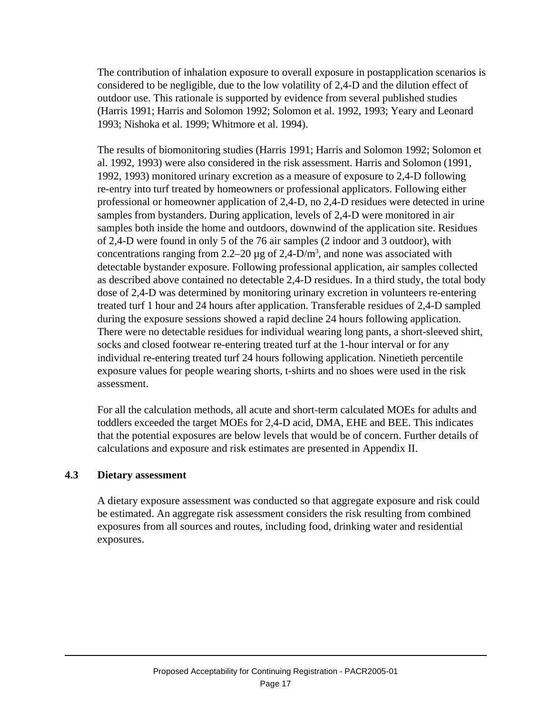The contribution of inhalation exposure to overall exposure in postapplication scenarios is considered to be negligible, due to the low volatility of 2,4-D and the dilution effect of outdoor use. This rationale is supported by evidence from several published studies (Harris 1991; Harris and Solomon 1992; Solomon et al. 1992, 1993; Yeary and Leonard 1993; Nishoka et al. 1999; Whitmore et al. 1994).

The results of biomonitoring studies (Harris 1991; Harris and Solomon 1992; Solomon et al. 1992, 1993) were also considered in the risk assessment. Harris and Solomon (1991, 1992, 1993) monitored urinary excretion as a measure of exposure to 2,4-D following re-entry into turf treated by homeowners or professional applicators. Following either professional or homeowner application of 2,4-D, no 2,4-D residues were detected in urine samples from bystanders. During application, levels of 2,4-D were monitored in air samples both inside the home and outdoors, downwind of the application site. Residues of 2,4-D were found in only 5 of the 76 air samples (2 indoor and 3 outdoor), with concentrations ranging from 2.2–20  $\mu$ g of 2,4-D/m<sup>3</sup>, and none was associated with detectable bystander exposure. Following professional application, air samples collected as described above contained no detectable 2,4-D residues. In a third study, the total body dose of 2,4-D was determined by monitoring urinary excretion in volunteers re-entering treated turf 1 hour and 24 hours after application. Transferable residues of 2,4-D sampled during the exposure sessions showed a rapid decline 24 hours following application. There were no detectable residues for individual wearing long pants, a short-sleeved shirt, socks and closed footwear re-entering treated turf at the 1-hour interval or for any individual re-entering treated turf 24 hours following application. Ninetieth percentile exposure values for people wearing shorts, t-shirts and no shoes were used in the risk assessment.

For all the calculation methods, all acute and short-term calculated MOEs for adults and toddlers exceeded the target MOEs for 2,4-D acid, DMA, EHE and BEE. This indicates that the potential exposures are below levels that would be of concern. Further details of calculations and exposure and risk estimates are presented in Appendix II.

#### **4.3 Dietary assessment**

A dietary exposure assessment was conducted so that aggregate exposure and risk could be estimated. An aggregate risk assessment considers the risk resulting from combined exposures from all sources and routes, including food, drinking water and residential exposures.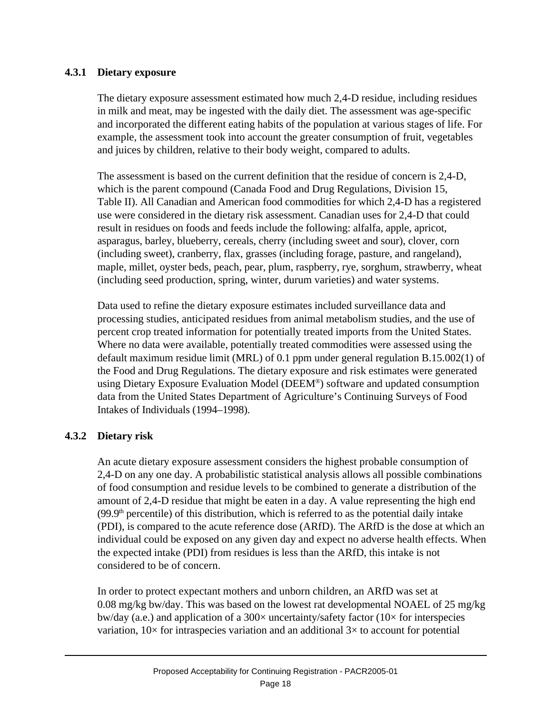#### **4.3.1 Dietary exposure**

The dietary exposure assessment estimated how much 2,4-D residue, including residues in milk and meat, may be ingested with the daily diet. The assessment was age-specific and incorporated the different eating habits of the population at various stages of life. For example, the assessment took into account the greater consumption of fruit, vegetables and juices by children, relative to their body weight, compared to adults.

The assessment is based on the current definition that the residue of concern is 2,4-D, which is the parent compound (Canada Food and Drug Regulations, Division 15, Table II). All Canadian and American food commodities for which 2,4-D has a registered use were considered in the dietary risk assessment. Canadian uses for 2,4-D that could result in residues on foods and feeds include the following: alfalfa, apple, apricot, asparagus, barley, blueberry, cereals, cherry (including sweet and sour), clover, corn (including sweet), cranberry, flax, grasses (including forage, pasture, and rangeland), maple, millet, oyster beds, peach, pear, plum, raspberry, rye, sorghum, strawberry, wheat (including seed production, spring, winter, durum varieties) and water systems.

Data used to refine the dietary exposure estimates included surveillance data and processing studies, anticipated residues from animal metabolism studies, and the use of percent crop treated information for potentially treated imports from the United States. Where no data were available, potentially treated commodities were assessed using the default maximum residue limit (MRL) of 0.1 ppm under general regulation B.15.002(1) of the Food and Drug Regulations. The dietary exposure and risk estimates were generated using Dietary Exposure Evaluation Model (DEEM® ) software and updated consumption data from the United States Department of Agriculture's Continuing Surveys of Food Intakes of Individuals (1994–1998).

# **4.3.2 Dietary risk**

An acute dietary exposure assessment considers the highest probable consumption of 2,4-D on any one day. A probabilistic statistical analysis allows all possible combinations of food consumption and residue levels to be combined to generate a distribution of the amount of 2,4-D residue that might be eaten in a day. A value representing the high end  $(99.9<sup>th</sup>)$  percentile) of this distribution, which is referred to as the potential daily intake (PDI), is compared to the acute reference dose (ARfD). The ARfD is the dose at which an individual could be exposed on any given day and expect no adverse health effects. When the expected intake (PDI) from residues is less than the ARfD, this intake is not considered to be of concern.

In order to protect expectant mothers and unborn children, an ARfD was set at 0.08 mg/kg bw/day. This was based on the lowest rat developmental NOAEL of 25 mg/kg bw/day (a.e.) and application of a  $300\times$  uncertainty/safety factor ( $10\times$  for interspecies variation,  $10\times$  for intraspecies variation and an additional  $3\times$  to account for potential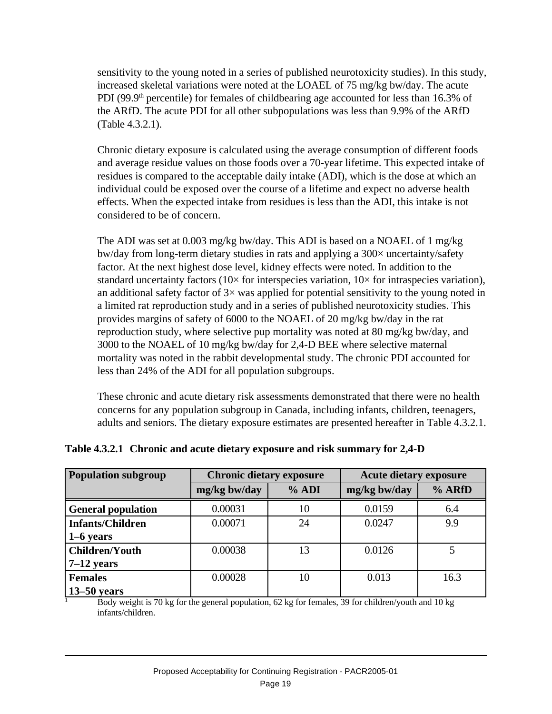sensitivity to the young noted in a series of published neurotoxicity studies). In this study, increased skeletal variations were noted at the LOAEL of 75 mg/kg bw/day. The acute PDI (99.9<sup>th</sup> percentile) for females of childbearing age accounted for less than 16.3% of the ARfD. The acute PDI for all other subpopulations was less than 9.9% of the ARfD (Table 4.3.2.1).

Chronic dietary exposure is calculated using the average consumption of different foods and average residue values on those foods over a 70-year lifetime. This expected intake of residues is compared to the acceptable daily intake (ADI), which is the dose at which an individual could be exposed over the course of a lifetime and expect no adverse health effects. When the expected intake from residues is less than the ADI, this intake is not considered to be of concern.

The ADI was set at 0.003 mg/kg bw/day. This ADI is based on a NOAEL of 1 mg/kg bw/day from long-term dietary studies in rats and applying a 300× uncertainty/safety factor. At the next highest dose level, kidney effects were noted. In addition to the standard uncertainty factors ( $10\times$  for interspecies variation,  $10\times$  for intraspecies variation), an additional safety factor of  $3\times$  was applied for potential sensitivity to the young noted in a limited rat reproduction study and in a series of published neurotoxicity studies. This provides margins of safety of 6000 to the NOAEL of 20 mg/kg bw/day in the rat reproduction study, where selective pup mortality was noted at 80 mg/kg bw/day, and 3000 to the NOAEL of 10 mg/kg bw/day for 2,4-D BEE where selective maternal mortality was noted in the rabbit developmental study. The chronic PDI accounted for less than 24% of the ADI for all population subgroups.

These chronic and acute dietary risk assessments demonstrated that there were no health concerns for any population subgroup in Canada, including infants, children, teenagers, adults and seniors. The dietary exposure estimates are presented hereafter in Table 4.3.2.1.

| <b>Population subgroup</b> | <b>Chronic dietary exposure</b> |         | <b>Acute dietary exposure</b> |        |  |
|----------------------------|---------------------------------|---------|-------------------------------|--------|--|
|                            | mg/kg bw/day                    | $%$ ADI | mg/kg bw/day                  | % ARfD |  |
| <b>General population</b>  | 0.00031                         | 10      | 0.0159                        | 6.4    |  |
| <b>Infants/Children</b>    | 0.00071                         | 24      | 0.0247                        | 9.9    |  |
| $1-6$ years                |                                 |         |                               |        |  |
| <b>Children/Youth</b>      | 0.00038                         | 13      | 0.0126                        |        |  |
| $7-12$ years               |                                 |         |                               |        |  |
| <b>Females</b>             | 0.00028                         | 10      | 0.013                         | 16.3   |  |
| $13-50$ years              |                                 |         |                               |        |  |

# **Table 4.3.2.1 Chronic and acute dietary exposure and risk summary for 2,4-D**

<sup>1</sup> Body weight is 70 kg for the general population, 62 kg for females, 39 for children/youth and 10 kg infants/children.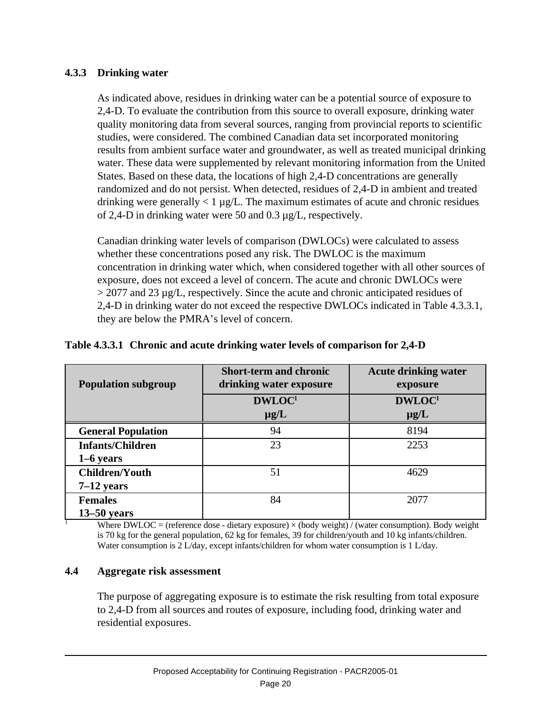## **4.3.3 Drinking water**

As indicated above, residues in drinking water can be a potential source of exposure to 2,4-D. To evaluate the contribution from this source to overall exposure, drinking water quality monitoring data from several sources, ranging from provincial reports to scientific studies, were considered. The combined Canadian data set incorporated monitoring results from ambient surface water and groundwater, as well as treated municipal drinking water. These data were supplemented by relevant monitoring information from the United States. Based on these data, the locations of high 2,4-D concentrations are generally randomized and do not persist. When detected, residues of 2,4-D in ambient and treated drinking were generally  $\langle 1 \mu g/L$ . The maximum estimates of acute and chronic residues of 2,4-D in drinking water were 50 and 0.3 µg/L, respectively.

Canadian drinking water levels of comparison (DWLOCs) were calculated to assess whether these concentrations posed any risk. The DWLOC is the maximum concentration in drinking water which, when considered together with all other sources of exposure, does not exceed a level of concern. The acute and chronic DWLOCs were > 2077 and 23 µg/L, respectively. Since the acute and chronic anticipated residues of 2,4-D in drinking water do not exceed the respective DWLOCs indicated in Table 4.3.3.1, they are below the PMRA's level of concern.

| <b>Population subgroup</b> | <b>Short-term and chronic</b><br>drinking water exposure | <b>Acute drinking water</b><br>exposure |
|----------------------------|----------------------------------------------------------|-----------------------------------------|
|                            | DWLOC <sup>1</sup><br>$\mu$ g/L                          | DWLOC <sup>1</sup><br>$\mu$ g/L         |
| <b>General Population</b>  | 94                                                       | 8194                                    |
| <b>Infants/Children</b>    | 23                                                       | 2253                                    |
| $1-6$ years                |                                                          |                                         |
| <b>Children/Youth</b>      | 51                                                       | 4629                                    |
| $7-12$ years               |                                                          |                                         |
| <b>Females</b>             | 84                                                       | 2077                                    |
| $13-50$ years              |                                                          |                                         |

#### **Table 4.3.3.1 Chronic and acute drinking water levels of comparison for 2,4-D**

<sup>1</sup> Where DWLOC = (reference dose - dietary exposure)  $\times$  (body weight) / (water consumption). Body weight is 70 kg for the general population, 62 kg for females, 39 for children/youth and 10 kg infants/children. Water consumption is 2 L/day, except infants/children for whom water consumption is 1 L/day.

#### **4.4 Aggregate risk assessment**

The purpose of aggregating exposure is to estimate the risk resulting from total exposure to 2,4-D from all sources and routes of exposure, including food, drinking water and residential exposures.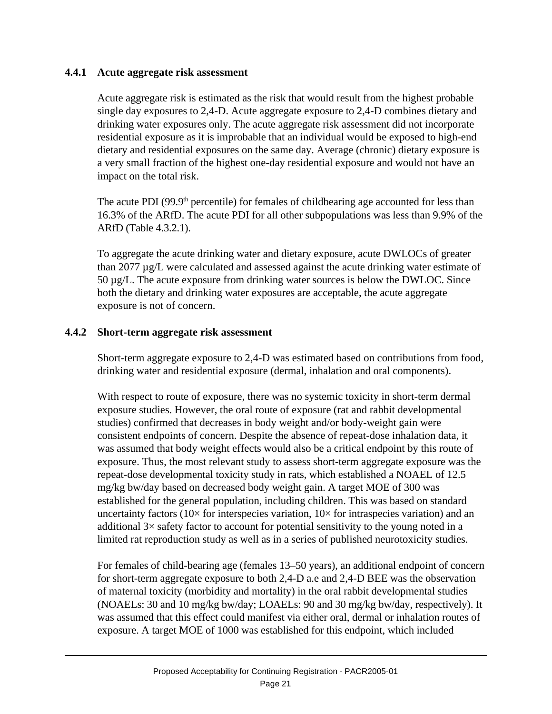#### **4.4.1 Acute aggregate risk assessment**

Acute aggregate risk is estimated as the risk that would result from the highest probable single day exposures to 2,4-D. Acute aggregate exposure to 2,4-D combines dietary and drinking water exposures only. The acute aggregate risk assessment did not incorporate residential exposure as it is improbable that an individual would be exposed to high-end dietary and residential exposures on the same day. Average (chronic) dietary exposure is a very small fraction of the highest one-day residential exposure and would not have an impact on the total risk.

The acute PDI  $(99.9<sup>th</sup>$  percentile) for females of childbearing age accounted for less than 16.3% of the ARfD. The acute PDI for all other subpopulations was less than 9.9% of the ARfD (Table 4.3.2.1).

To aggregate the acute drinking water and dietary exposure, acute DWLOCs of greater than 2077 µg/L were calculated and assessed against the acute drinking water estimate of 50 µg/L. The acute exposure from drinking water sources is below the DWLOC. Since both the dietary and drinking water exposures are acceptable, the acute aggregate exposure is not of concern.

#### **4.4.2 Short-term aggregate risk assessment**

Short-term aggregate exposure to 2,4-D was estimated based on contributions from food, drinking water and residential exposure (dermal, inhalation and oral components).

With respect to route of exposure, there was no systemic toxicity in short-term dermal exposure studies. However, the oral route of exposure (rat and rabbit developmental studies) confirmed that decreases in body weight and/or body-weight gain were consistent endpoints of concern. Despite the absence of repeat-dose inhalation data, it was assumed that body weight effects would also be a critical endpoint by this route of exposure. Thus, the most relevant study to assess short-term aggregate exposure was the repeat-dose developmental toxicity study in rats, which established a NOAEL of 12.5 mg/kg bw/day based on decreased body weight gain. A target MOE of 300 was established for the general population, including children. This was based on standard uncertainty factors ( $10\times$  for interspecies variation,  $10\times$  for intraspecies variation) and an additional  $3\times$  safety factor to account for potential sensitivity to the young noted in a limited rat reproduction study as well as in a series of published neurotoxicity studies.

For females of child-bearing age (females 13–50 years), an additional endpoint of concern for short-term aggregate exposure to both 2,4-D a.e and 2,4-D BEE was the observation of maternal toxicity (morbidity and mortality) in the oral rabbit developmental studies (NOAELs: 30 and 10 mg/kg bw/day; LOAELs: 90 and 30 mg/kg bw/day, respectively). It was assumed that this effect could manifest via either oral, dermal or inhalation routes of exposure. A target MOE of 1000 was established for this endpoint, which included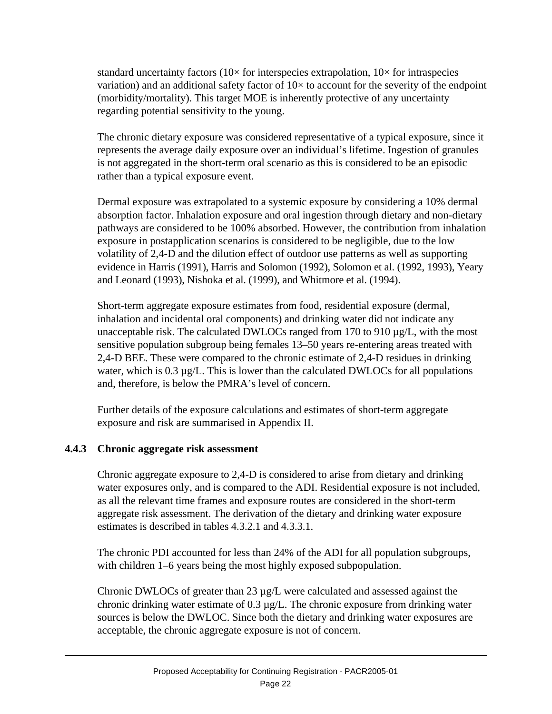standard uncertainty factors ( $10\times$  for interspecies extrapolation,  $10\times$  for intraspecies variation) and an additional safety factor of  $10\times$  to account for the severity of the endpoint (morbidity/mortality). This target MOE is inherently protective of any uncertainty regarding potential sensitivity to the young.

The chronic dietary exposure was considered representative of a typical exposure, since it represents the average daily exposure over an individual's lifetime. Ingestion of granules is not aggregated in the short-term oral scenario as this is considered to be an episodic rather than a typical exposure event.

Dermal exposure was extrapolated to a systemic exposure by considering a 10% dermal absorption factor. Inhalation exposure and oral ingestion through dietary and non-dietary pathways are considered to be 100% absorbed. However, the contribution from inhalation exposure in postapplication scenarios is considered to be negligible, due to the low volatility of 2,4-D and the dilution effect of outdoor use patterns as well as supporting evidence in Harris (1991), Harris and Solomon (1992), Solomon et al. (1992, 1993), Yeary and Leonard (1993), Nishoka et al. (1999), and Whitmore et al. (1994).

Short-term aggregate exposure estimates from food, residential exposure (dermal, inhalation and incidental oral components) and drinking water did not indicate any unacceptable risk. The calculated DWLOCs ranged from 170 to 910 µg/L, with the most sensitive population subgroup being females 13–50 years re-entering areas treated with 2,4-D BEE. These were compared to the chronic estimate of 2,4-D residues in drinking water, which is  $0.3 \mu g/L$ . This is lower than the calculated DWLOCs for all populations and, therefore, is below the PMRA's level of concern.

Further details of the exposure calculations and estimates of short-term aggregate exposure and risk are summarised in Appendix II.

# **4.4.3 Chronic aggregate risk assessment**

Chronic aggregate exposure to 2,4-D is considered to arise from dietary and drinking water exposures only, and is compared to the ADI. Residential exposure is not included, as all the relevant time frames and exposure routes are considered in the short-term aggregate risk assessment. The derivation of the dietary and drinking water exposure estimates is described in tables 4.3.2.1 and 4.3.3.1.

The chronic PDI accounted for less than 24% of the ADI for all population subgroups, with children 1–6 years being the most highly exposed subpopulation.

Chronic DWLOCs of greater than  $23 \mu g/L$  were calculated and assessed against the chronic drinking water estimate of 0.3 µg/L. The chronic exposure from drinking water sources is below the DWLOC. Since both the dietary and drinking water exposures are acceptable, the chronic aggregate exposure is not of concern.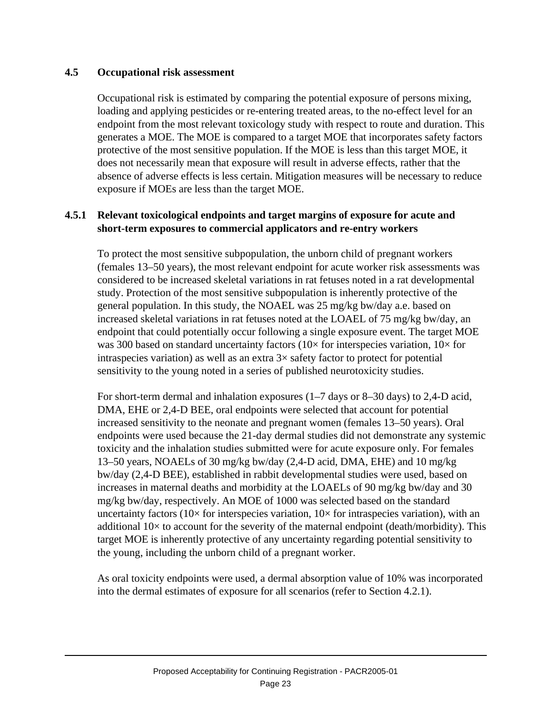#### **4.5 Occupational risk assessment**

Occupational risk is estimated by comparing the potential exposure of persons mixing, loading and applying pesticides or re-entering treated areas, to the no-effect level for an endpoint from the most relevant toxicology study with respect to route and duration. This generates a MOE. The MOE is compared to a target MOE that incorporates safety factors protective of the most sensitive population. If the MOE is less than this target MOE, it does not necessarily mean that exposure will result in adverse effects, rather that the absence of adverse effects is less certain. Mitigation measures will be necessary to reduce exposure if MOEs are less than the target MOE.

#### **4.5.1 Relevant toxicological endpoints and target margins of exposure for acute and short-term exposures to commercial applicators and re-entry workers**

To protect the most sensitive subpopulation, the unborn child of pregnant workers (females 13–50 years), the most relevant endpoint for acute worker risk assessments was considered to be increased skeletal variations in rat fetuses noted in a rat developmental study. Protection of the most sensitive subpopulation is inherently protective of the general population. In this study, the NOAEL was 25 mg/kg bw/day a.e. based on increased skeletal variations in rat fetuses noted at the LOAEL of 75 mg/kg bw/day, an endpoint that could potentially occur following a single exposure event. The target MOE was 300 based on standard uncertainty factors ( $10\times$  for interspecies variation,  $10\times$  for intraspecies variation) as well as an extra  $3\times$  safety factor to protect for potential sensitivity to the young noted in a series of published neurotoxicity studies.

For short-term dermal and inhalation exposures (1–7 days or 8–30 days) to 2,4-D acid, DMA, EHE or 2,4-D BEE, oral endpoints were selected that account for potential increased sensitivity to the neonate and pregnant women (females 13–50 years). Oral endpoints were used because the 21-day dermal studies did not demonstrate any systemic toxicity and the inhalation studies submitted were for acute exposure only. For females 13–50 years, NOAELs of 30 mg/kg bw/day (2,4-D acid, DMA, EHE) and 10 mg/kg bw/day (2,4-D BEE), established in rabbit developmental studies were used, based on increases in maternal deaths and morbidity at the LOAELs of 90 mg/kg bw/day and 30 mg/kg bw/day, respectively. An MOE of 1000 was selected based on the standard uncertainty factors ( $10\times$  for interspecies variation,  $10\times$  for intraspecies variation), with an additional  $10\times$  to account for the severity of the maternal endpoint (death/morbidity). This target MOE is inherently protective of any uncertainty regarding potential sensitivity to the young, including the unborn child of a pregnant worker.

As oral toxicity endpoints were used, a dermal absorption value of 10% was incorporated into the dermal estimates of exposure for all scenarios (refer to Section 4.2.1).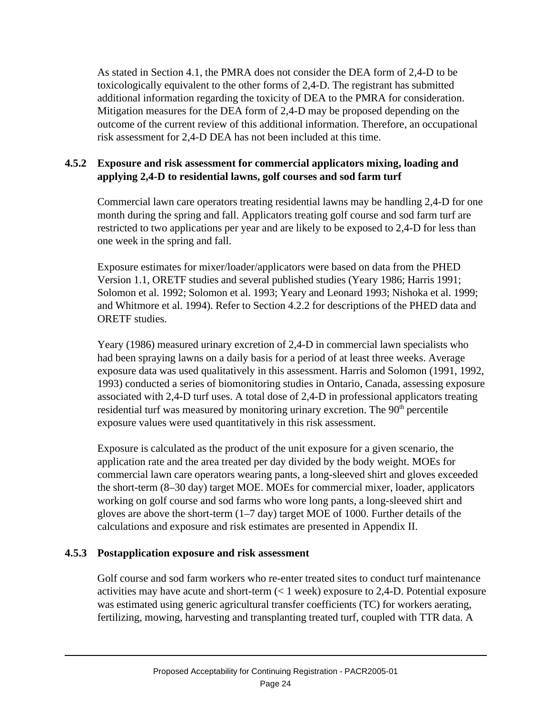As stated in Section 4.1, the PMRA does not consider the DEA form of 2,4-D to be toxicologically equivalent to the other forms of 2,4-D. The registrant has submitted additional information regarding the toxicity of DEA to the PMRA for consideration. Mitigation measures for the DEA form of 2,4-D may be proposed depending on the outcome of the current review of this additional information. Therefore, an occupational risk assessment for 2,4-D DEA has not been included at this time.

## **4.5.2 Exposure and risk assessment for commercial applicators mixing, loading and applying 2,4-D to residential lawns, golf courses and sod farm turf**

Commercial lawn care operators treating residential lawns may be handling 2,4-D for one month during the spring and fall. Applicators treating golf course and sod farm turf are restricted to two applications per year and are likely to be exposed to 2,4-D for less than one week in the spring and fall.

Exposure estimates for mixer/loader/applicators were based on data from the PHED Version 1.1, ORETF studies and several published studies (Yeary 1986; Harris 1991; Solomon et al. 1992; Solomon et al. 1993; Yeary and Leonard 1993; Nishoka et al. 1999; and Whitmore et al. 1994). Refer to Section 4.2.2 for descriptions of the PHED data and ORETF studies.

Yeary (1986) measured urinary excretion of 2,4-D in commercial lawn specialists who had been spraying lawns on a daily basis for a period of at least three weeks. Average exposure data was used qualitatively in this assessment. Harris and Solomon (1991, 1992, 1993) conducted a series of biomonitoring studies in Ontario, Canada, assessing exposure associated with 2,4-D turf uses. A total dose of 2,4-D in professional applicators treating residential turf was measured by monitoring urinary excretion. The 90<sup>th</sup> percentile exposure values were used quantitatively in this risk assessment.

Exposure is calculated as the product of the unit exposure for a given scenario, the application rate and the area treated per day divided by the body weight. MOEs for commercial lawn care operators wearing pants, a long-sleeved shirt and gloves exceeded the short-term (8–30 day) target MOE. MOEs for commercial mixer, loader, applicators working on golf course and sod farms who wore long pants, a long-sleeved shirt and gloves are above the short-term (1–7 day) target MOE of 1000. Further details of the calculations and exposure and risk estimates are presented in Appendix II.

# **4.5.3 Postapplication exposure and risk assessment**

Golf course and sod farm workers who re-enter treated sites to conduct turf maintenance activities may have acute and short-term (< 1 week) exposure to 2,4-D. Potential exposure was estimated using generic agricultural transfer coefficients (TC) for workers aerating, fertilizing, mowing, harvesting and transplanting treated turf, coupled with TTR data. A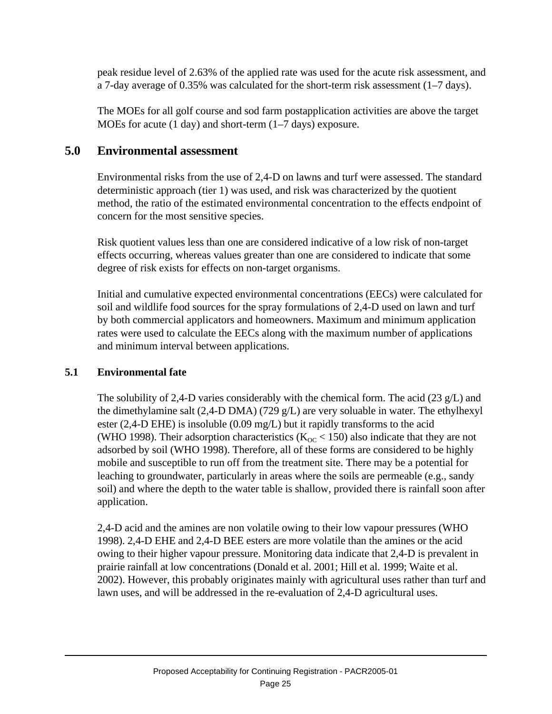peak residue level of 2.63% of the applied rate was used for the acute risk assessment, and a 7-day average of 0.35% was calculated for the short-term risk assessment (1–7 days).

The MOEs for all golf course and sod farm postapplication activities are above the target MOEs for acute (1 day) and short-term (1–7 days) exposure.

# **5.0 Environmental assessment**

Environmental risks from the use of 2,4-D on lawns and turf were assessed. The standard deterministic approach (tier 1) was used, and risk was characterized by the quotient method, the ratio of the estimated environmental concentration to the effects endpoint of concern for the most sensitive species.

Risk quotient values less than one are considered indicative of a low risk of non-target effects occurring, whereas values greater than one are considered to indicate that some degree of risk exists for effects on non-target organisms.

Initial and cumulative expected environmental concentrations (EECs) were calculated for soil and wildlife food sources for the spray formulations of 2,4-D used on lawn and turf by both commercial applicators and homeowners. Maximum and minimum application rates were used to calculate the EECs along with the maximum number of applications and minimum interval between applications.

# **5.1 Environmental fate**

The solubility of 2,4-D varies considerably with the chemical form. The acid  $(23 \text{ g/L})$  and the dimethylamine salt  $(2,4-D DMA)$  (729 g/L) are very soluable in water. The ethylhexyl ester (2,4-D EHE) is insoluble (0.09 mg/L) but it rapidly transforms to the acid (WHO 1998). Their adsorption characteristics ( $K_{OC}$  < 150) also indicate that they are not adsorbed by soil (WHO 1998). Therefore, all of these forms are considered to be highly mobile and susceptible to run off from the treatment site. There may be a potential for leaching to groundwater, particularly in areas where the soils are permeable (e.g., sandy soil) and where the depth to the water table is shallow, provided there is rainfall soon after application.

2,4-D acid and the amines are non volatile owing to their low vapour pressures (WHO 1998). 2,4-D EHE and 2,4-D BEE esters are more volatile than the amines or the acid owing to their higher vapour pressure. Monitoring data indicate that 2,4-D is prevalent in prairie rainfall at low concentrations (Donald et al. 2001; Hill et al. 1999; Waite et al. 2002). However, this probably originates mainly with agricultural uses rather than turf and lawn uses, and will be addressed in the re-evaluation of 2,4-D agricultural uses.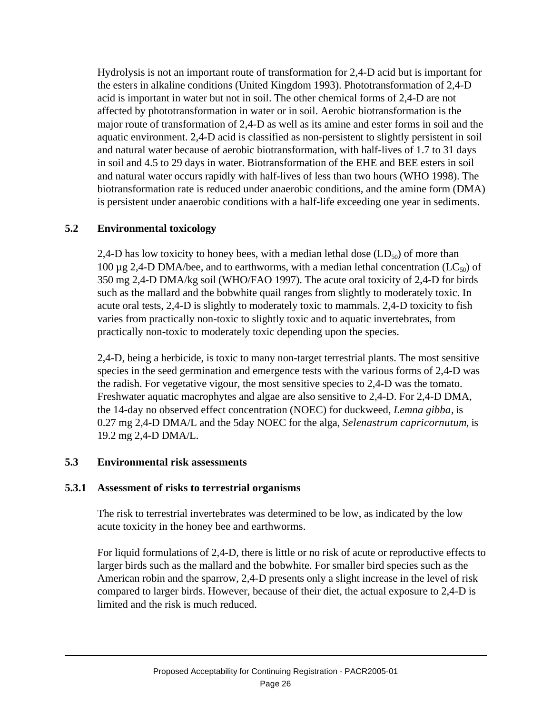Hydrolysis is not an important route of transformation for 2,4-D acid but is important for the esters in alkaline conditions (United Kingdom 1993). Phototransformation of 2,4-D acid is important in water but not in soil. The other chemical forms of 2,4-D are not affected by phototransformation in water or in soil. Aerobic biotransformation is the major route of transformation of 2,4-D as well as its amine and ester forms in soil and the aquatic environment. 2,4-D acid is classified as non-persistent to slightly persistent in soil and natural water because of aerobic biotransformation, with half-lives of 1.7 to 31 days in soil and 4.5 to 29 days in water. Biotransformation of the EHE and BEE esters in soil and natural water occurs rapidly with half-lives of less than two hours (WHO 1998). The biotransformation rate is reduced under anaerobic conditions, and the amine form (DMA) is persistent under anaerobic conditions with a half-life exceeding one year in sediments.

# **5.2 Environmental toxicology**

2,4-D has low toxicity to honey bees, with a median lethal dose  $(LD<sub>50</sub>)$  of more than 100  $\mu$ g 2,4-D DMA/bee, and to earthworms, with a median lethal concentration (LC<sub>50</sub>) of 350 mg 2,4-D DMA/kg soil (WHO/FAO 1997). The acute oral toxicity of 2,4-D for birds such as the mallard and the bobwhite quail ranges from slightly to moderately toxic. In acute oral tests, 2,4-D is slightly to moderately toxic to mammals. 2,4-D toxicity to fish varies from practically non-toxic to slightly toxic and to aquatic invertebrates, from practically non-toxic to moderately toxic depending upon the species.

2,4-D, being a herbicide, is toxic to many non-target terrestrial plants. The most sensitive species in the seed germination and emergence tests with the various forms of 2,4-D was the radish. For vegetative vigour, the most sensitive species to 2,4-D was the tomato. Freshwater aquatic macrophytes and algae are also sensitive to 2,4-D. For 2,4-D DMA, the 14-day no observed effect concentration (NOEC) for duckweed, *Lemna gibba*, is 0.27 mg 2,4-D DMA/L and the 5day NOEC for the alga, *Selenastrum capricornutum*, is 19.2 mg 2,4-D DMA/L.

# **5.3 Environmental risk assessments**

# **5.3.1 Assessment of risks to terrestrial organisms**

The risk to terrestrial invertebrates was determined to be low, as indicated by the low acute toxicity in the honey bee and earthworms.

For liquid formulations of 2,4-D, there is little or no risk of acute or reproductive effects to larger birds such as the mallard and the bobwhite. For smaller bird species such as the American robin and the sparrow, 2,4-D presents only a slight increase in the level of risk compared to larger birds. However, because of their diet, the actual exposure to 2,4-D is limited and the risk is much reduced.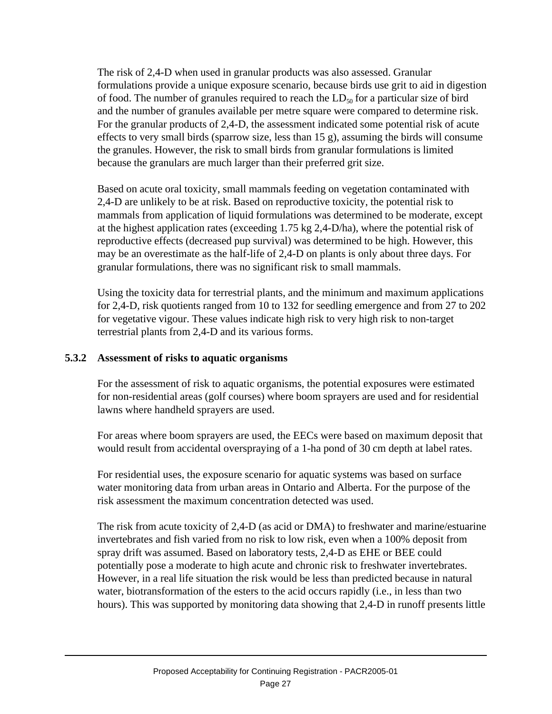The risk of 2,4-D when used in granular products was also assessed. Granular formulations provide a unique exposure scenario, because birds use grit to aid in digestion of food. The number of granules required to reach the  $LD_{50}$  for a particular size of bird and the number of granules available per metre square were compared to determine risk. For the granular products of 2,4-D, the assessment indicated some potential risk of acute effects to very small birds (sparrow size, less than 15 g), assuming the birds will consume the granules. However, the risk to small birds from granular formulations is limited because the granulars are much larger than their preferred grit size.

Based on acute oral toxicity, small mammals feeding on vegetation contaminated with 2,4-D are unlikely to be at risk. Based on reproductive toxicity, the potential risk to mammals from application of liquid formulations was determined to be moderate, except at the highest application rates (exceeding 1.75 kg 2,4-D/ha), where the potential risk of reproductive effects (decreased pup survival) was determined to be high. However, this may be an overestimate as the half-life of 2,4-D on plants is only about three days. For granular formulations, there was no significant risk to small mammals.

Using the toxicity data for terrestrial plants, and the minimum and maximum applications for 2,4-D, risk quotients ranged from 10 to 132 for seedling emergence and from 27 to 202 for vegetative vigour. These values indicate high risk to very high risk to non-target terrestrial plants from 2,4-D and its various forms.

#### **5.3.2 Assessment of risks to aquatic organisms**

For the assessment of risk to aquatic organisms, the potential exposures were estimated for non-residential areas (golf courses) where boom sprayers are used and for residential lawns where handheld sprayers are used.

For areas where boom sprayers are used, the EECs were based on maximum deposit that would result from accidental overspraying of a 1-ha pond of 30 cm depth at label rates.

For residential uses, the exposure scenario for aquatic systems was based on surface water monitoring data from urban areas in Ontario and Alberta. For the purpose of the risk assessment the maximum concentration detected was used.

The risk from acute toxicity of 2,4-D (as acid or DMA) to freshwater and marine/estuarine invertebrates and fish varied from no risk to low risk, even when a 100% deposit from spray drift was assumed. Based on laboratory tests, 2,4-D as EHE or BEE could potentially pose a moderate to high acute and chronic risk to freshwater invertebrates. However, in a real life situation the risk would be less than predicted because in natural water, biotransformation of the esters to the acid occurs rapidly (i.e., in less than two hours). This was supported by monitoring data showing that 2,4-D in runoff presents little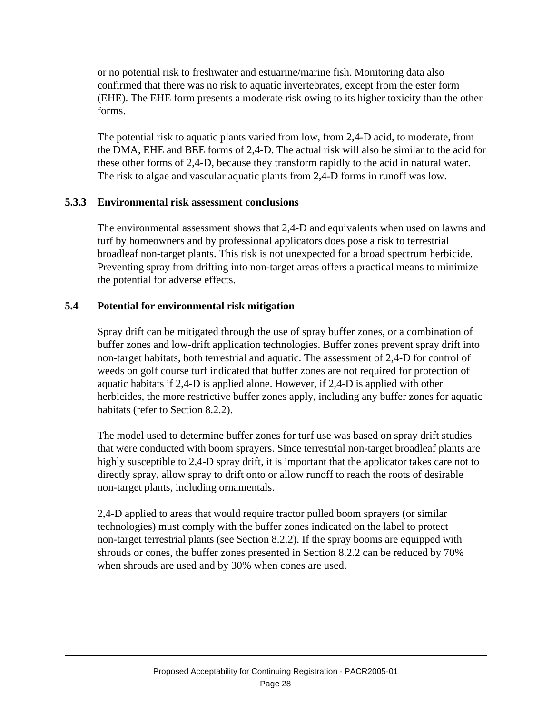or no potential risk to freshwater and estuarine/marine fish. Monitoring data also confirmed that there was no risk to aquatic invertebrates, except from the ester form (EHE). The EHE form presents a moderate risk owing to its higher toxicity than the other forms.

The potential risk to aquatic plants varied from low, from 2,4-D acid, to moderate, from the DMA, EHE and BEE forms of 2,4-D. The actual risk will also be similar to the acid for these other forms of 2,4-D, because they transform rapidly to the acid in natural water. The risk to algae and vascular aquatic plants from 2,4-D forms in runoff was low.

#### **5.3.3 Environmental risk assessment conclusions**

The environmental assessment shows that 2,4-D and equivalents when used on lawns and turf by homeowners and by professional applicators does pose a risk to terrestrial broadleaf non-target plants. This risk is not unexpected for a broad spectrum herbicide. Preventing spray from drifting into non-target areas offers a practical means to minimize the potential for adverse effects.

#### **5.4 Potential for environmental risk mitigation**

Spray drift can be mitigated through the use of spray buffer zones, or a combination of buffer zones and low-drift application technologies. Buffer zones prevent spray drift into non-target habitats, both terrestrial and aquatic. The assessment of 2,4-D for control of weeds on golf course turf indicated that buffer zones are not required for protection of aquatic habitats if 2,4-D is applied alone. However, if 2,4-D is applied with other herbicides, the more restrictive buffer zones apply, including any buffer zones for aquatic habitats (refer to Section 8.2.2).

The model used to determine buffer zones for turf use was based on spray drift studies that were conducted with boom sprayers. Since terrestrial non-target broadleaf plants are highly susceptible to 2,4-D spray drift, it is important that the applicator takes care not to directly spray, allow spray to drift onto or allow runoff to reach the roots of desirable non-target plants, including ornamentals.

2,4-D applied to areas that would require tractor pulled boom sprayers (or similar technologies) must comply with the buffer zones indicated on the label to protect non-target terrestrial plants (see Section 8.2.2). If the spray booms are equipped with shrouds or cones, the buffer zones presented in Section 8.2.2 can be reduced by 70% when shrouds are used and by 30% when cones are used.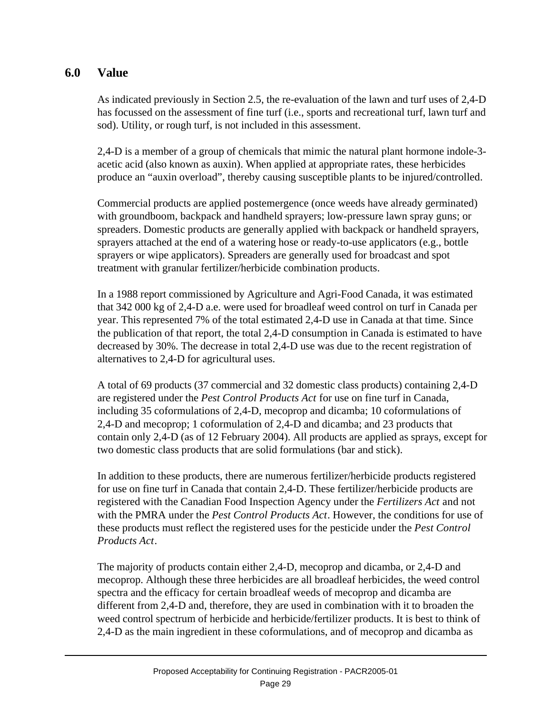# **6.0 Value**

As indicated previously in Section 2.5, the re-evaluation of the lawn and turf uses of 2,4-D has focussed on the assessment of fine turf (i.e., sports and recreational turf, lawn turf and sod). Utility, or rough turf, is not included in this assessment.

2,4-D is a member of a group of chemicals that mimic the natural plant hormone indole-3 acetic acid (also known as auxin). When applied at appropriate rates, these herbicides produce an "auxin overload", thereby causing susceptible plants to be injured/controlled.

Commercial products are applied postemergence (once weeds have already germinated) with groundboom, backpack and handheld sprayers; low-pressure lawn spray guns; or spreaders. Domestic products are generally applied with backpack or handheld sprayers, sprayers attached at the end of a watering hose or ready-to-use applicators (e.g., bottle sprayers or wipe applicators). Spreaders are generally used for broadcast and spot treatment with granular fertilizer/herbicide combination products.

In a 1988 report commissioned by Agriculture and Agri-Food Canada, it was estimated that 342 000 kg of 2,4-D a.e. were used for broadleaf weed control on turf in Canada per year. This represented 7% of the total estimated 2,4-D use in Canada at that time. Since the publication of that report, the total 2,4-D consumption in Canada is estimated to have decreased by 30%. The decrease in total 2,4-D use was due to the recent registration of alternatives to 2,4-D for agricultural uses.

A total of 69 products (37 commercial and 32 domestic class products) containing 2,4-D are registered under the *Pest Control Products Act* for use on fine turf in Canada, including 35 coformulations of 2,4-D, mecoprop and dicamba; 10 coformulations of 2,4-D and mecoprop; 1 coformulation of 2,4-D and dicamba; and 23 products that contain only 2,4-D (as of 12 February 2004). All products are applied as sprays, except for two domestic class products that are solid formulations (bar and stick).

In addition to these products, there are numerous fertilizer/herbicide products registered for use on fine turf in Canada that contain 2,4-D. These fertilizer/herbicide products are registered with the Canadian Food Inspection Agency under the *Fertilizers Act* and not with the PMRA under the *Pest Control Products Act*. However, the conditions for use of these products must reflect the registered uses for the pesticide under the *Pest Control Products Act*.

The majority of products contain either 2,4-D, mecoprop and dicamba, or 2,4-D and mecoprop. Although these three herbicides are all broadleaf herbicides, the weed control spectra and the efficacy for certain broadleaf weeds of mecoprop and dicamba are different from 2,4-D and, therefore, they are used in combination with it to broaden the weed control spectrum of herbicide and herbicide/fertilizer products. It is best to think of 2,4-D as the main ingredient in these coformulations, and of mecoprop and dicamba as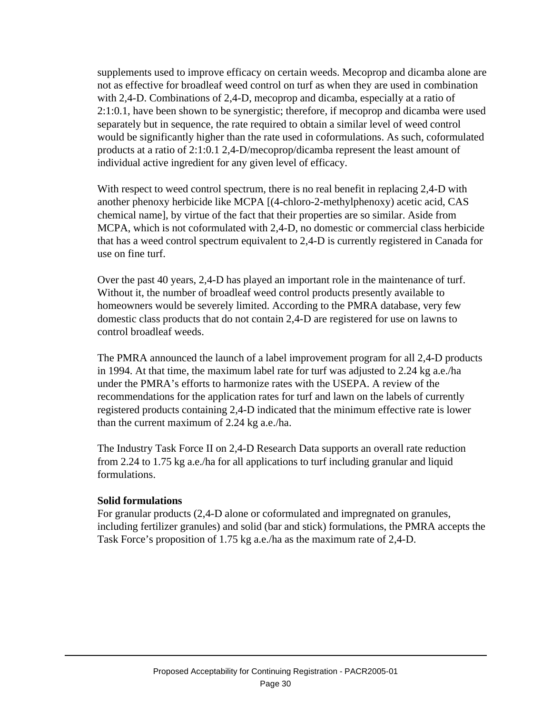supplements used to improve efficacy on certain weeds. Mecoprop and dicamba alone are not as effective for broadleaf weed control on turf as when they are used in combination with 2,4-D. Combinations of 2,4-D, mecoprop and dicamba, especially at a ratio of 2:1:0.1, have been shown to be synergistic; therefore, if mecoprop and dicamba were used separately but in sequence, the rate required to obtain a similar level of weed control would be significantly higher than the rate used in coformulations. As such, coformulated products at a ratio of 2:1:0.1 2,4-D/mecoprop/dicamba represent the least amount of individual active ingredient for any given level of efficacy.

With respect to weed control spectrum, there is no real benefit in replacing 2,4-D with another phenoxy herbicide like MCPA [(4-chloro-2-methylphenoxy) acetic acid, CAS chemical name], by virtue of the fact that their properties are so similar. Aside from MCPA, which is not coformulated with 2,4-D, no domestic or commercial class herbicide that has a weed control spectrum equivalent to 2,4-D is currently registered in Canada for use on fine turf.

Over the past 40 years, 2,4-D has played an important role in the maintenance of turf. Without it, the number of broadleaf weed control products presently available to homeowners would be severely limited. According to the PMRA database, very few domestic class products that do not contain 2,4-D are registered for use on lawns to control broadleaf weeds.

The PMRA announced the launch of a label improvement program for all 2,4-D products in 1994. At that time, the maximum label rate for turf was adjusted to 2.24 kg a.e./ha under the PMRA's efforts to harmonize rates with the USEPA. A review of the recommendations for the application rates for turf and lawn on the labels of currently registered products containing 2,4-D indicated that the minimum effective rate is lower than the current maximum of 2.24 kg a.e./ha.

The Industry Task Force II on 2,4-D Research Data supports an overall rate reduction from 2.24 to 1.75 kg a.e./ha for all applications to turf including granular and liquid formulations.

#### **Solid formulations**

For granular products (2,4-D alone or coformulated and impregnated on granules, including fertilizer granules) and solid (bar and stick) formulations, the PMRA accepts the Task Force's proposition of 1.75 kg a.e./ha as the maximum rate of 2,4-D.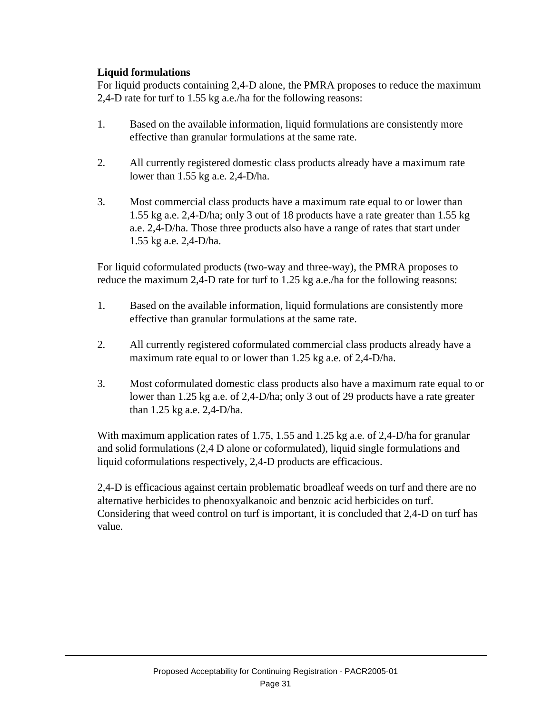## **Liquid formulations**

For liquid products containing 2,4-D alone, the PMRA proposes to reduce the maximum 2,4-D rate for turf to 1.55 kg a.e./ha for the following reasons:

- 1. Based on the available information, liquid formulations are consistently more effective than granular formulations at the same rate.
- 2. All currently registered domestic class products already have a maximum rate lower than 1.55 kg a.e. 2,4-D/ha.
- 3. Most commercial class products have a maximum rate equal to or lower than 1.55 kg a.e. 2,4-D/ha; only 3 out of 18 products have a rate greater than 1.55 kg a.e. 2,4-D/ha. Those three products also have a range of rates that start under 1.55 kg a.e. 2,4-D/ha.

For liquid coformulated products (two-way and three-way), the PMRA proposes to reduce the maximum 2,4-D rate for turf to 1.25 kg a.e./ha for the following reasons:

- 1. Based on the available information, liquid formulations are consistently more effective than granular formulations at the same rate.
- 2. All currently registered coformulated commercial class products already have a maximum rate equal to or lower than 1.25 kg a.e. of 2,4-D/ha.
- 3. Most coformulated domestic class products also have a maximum rate equal to or lower than 1.25 kg a.e. of 2,4-D/ha; only 3 out of 29 products have a rate greater than 1.25 kg a.e. 2,4-D/ha.

With maximum application rates of 1.75, 1.55 and 1.25 kg a.e. of 2,4-D/ha for granular and solid formulations (2,4 D alone or coformulated), liquid single formulations and liquid coformulations respectively, 2,4-D products are efficacious.

2,4-D is efficacious against certain problematic broadleaf weeds on turf and there are no alternative herbicides to phenoxyalkanoic and benzoic acid herbicides on turf. Considering that weed control on turf is important, it is concluded that 2,4-D on turf has value.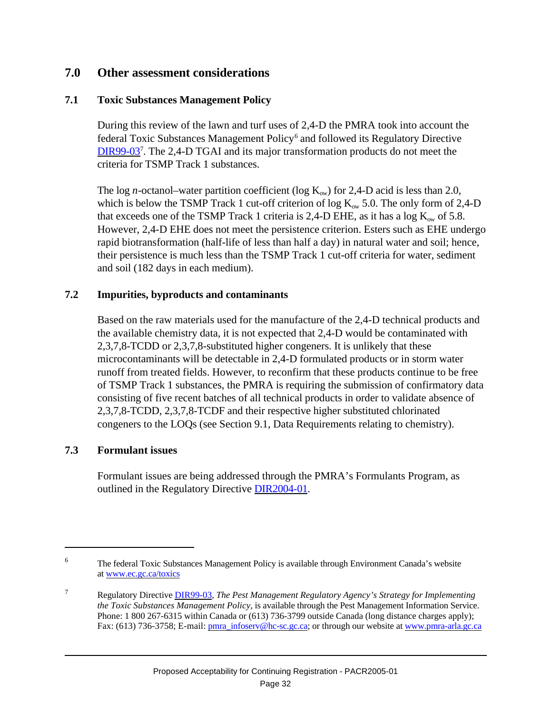# **7.0 Other assessment considerations**

#### **7.1 Toxic Substances Management Policy**

During this review of the lawn and turf uses of 2,4-D the PMRA took into account the federal Toxic Substances Management Policy<sup>6</sup> and followed its Regulatory Directive [DIR99-03](http://www.pmra-arla.gc.ca/english/pdf/dir/dir9903-e.pdf)<sup>7</sup>. The 2,4-D TGAI and its major transformation products do not meet the criteria for TSMP Track 1 substances.

The log *n*-octanol–water partition coefficient (log  $K_{ow}$ ) for 2,4-D acid is less than 2.0, which is below the TSMP Track 1 cut-off criterion of log  $K_{ow}$  5.0. The only form of 2,4-D that exceeds one of the TSMP Track 1 criteria is 2,4-D EHE, as it has a log  $K_{ow}$  of 5.8. However, 2,4-D EHE does not meet the persistence criterion. Esters such as EHE undergo rapid biotransformation (half-life of less than half a day) in natural water and soil; hence, their persistence is much less than the TSMP Track 1 cut-off criteria for water, sediment and soil (182 days in each medium).

#### **7.2 Impurities, byproducts and contaminants**

Based on the raw materials used for the manufacture of the 2,4-D technical products and the available chemistry data, it is not expected that 2,4-D would be contaminated with 2,3,7,8-TCDD or 2,3,7,8-substituted higher congeners. It is unlikely that these microcontaminants will be detectable in 2,4-D formulated products or in storm water runoff from treated fields. However, to reconfirm that these products continue to be free of TSMP Track 1 substances, the PMRA is requiring the submission of confirmatory data consisting of five recent batches of all technical products in order to validate absence of 2,3,7,8-TCDD, 2,3,7,8-TCDF and their respective higher substituted chlorinated congeners to the LOQs (see Section 9.1, Data Requirements relating to chemistry).

#### **7.3 Formulant issues**

Formulant issues are being addressed through the PMRA's Formulants Program, as outlined in the Regulatory Directiv[e DIR2004-01.](http://www.pmra-arla.gc.ca/english/pdf/dir/dir2004-01-e.pdf)

<sup>&</sup>lt;sup>6</sup> The federal Toxic Substances Management Policy is available through Environment Canada's website a[t www.ec.gc.ca/toxics](http://www.ec.gc.ca/toxics)

<sup>7</sup> Regulatory Directive [DIR99-03,](http://www.pmra-arla.gc.ca/english/pdf/dir/dir9903-e.pdf) *The Pest Management Regulatory Agency's Strategy for Implementing the Toxic Substances Management Policy*, is available through the Pest Management Information Service. Phone: 1 800 267-6315 within Canada or (613) 736-3799 outside Canada (long distance charges apply); Fax: (613) 736-3758; E-mail[: pmra\\_infoserv@hc-sc.gc.ca;](mailto:pmra_infoserv@hc-sc.gc.ca) or through our website at [www.pmra-arla.gc.ca](http://www.pmra-arla.gc.ca)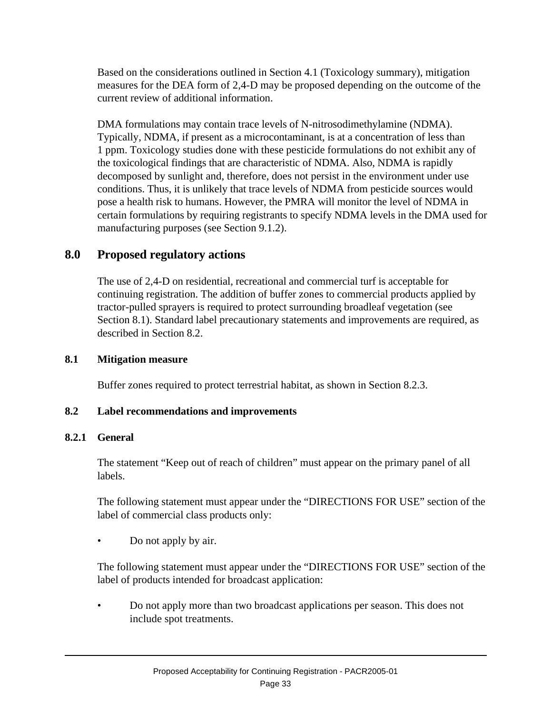Based on the considerations outlined in Section 4.1 (Toxicology summary), mitigation measures for the DEA form of 2,4-D may be proposed depending on the outcome of the current review of additional information.

DMA formulations may contain trace levels of N-nitrosodimethylamine (NDMA). Typically, NDMA, if present as a microcontaminant, is at a concentration of less than 1 ppm. Toxicology studies done with these pesticide formulations do not exhibit any of the toxicological findings that are characteristic of NDMA. Also, NDMA is rapidly decomposed by sunlight and, therefore, does not persist in the environment under use conditions. Thus, it is unlikely that trace levels of NDMA from pesticide sources would pose a health risk to humans. However, the PMRA will monitor the level of NDMA in certain formulations by requiring registrants to specify NDMA levels in the DMA used for manufacturing purposes (see Section 9.1.2).

# **8.0 Proposed regulatory actions**

The use of 2,4-D on residential, recreational and commercial turf is acceptable for continuing registration. The addition of buffer zones to commercial products applied by tractor-pulled sprayers is required to protect surrounding broadleaf vegetation (see Section 8.1). Standard label precautionary statements and improvements are required, as described in Section 8.2.

## **8.1 Mitigation measure**

Buffer zones required to protect terrestrial habitat, as shown in Section 8.2.3.

# **8.2 Label recommendations and improvements**

# **8.2.1 General**

The statement "Keep out of reach of children" must appear on the primary panel of all labels.

The following statement must appear under the "DIRECTIONS FOR USE" section of the label of commercial class products only:

• Do not apply by air.

The following statement must appear under the "DIRECTIONS FOR USE" section of the label of products intended for broadcast application:

• Do not apply more than two broadcast applications per season. This does not include spot treatments.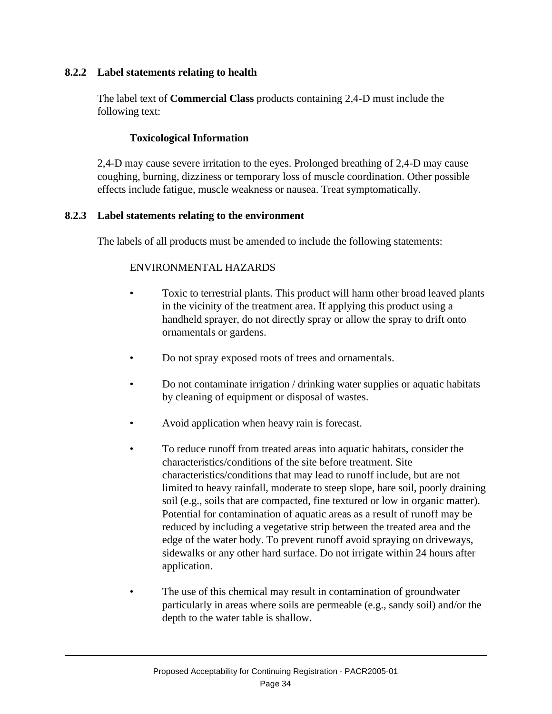#### **8.2.2 Label statements relating to health**

The label text of **Commercial Class** products containing 2,4-D must include the following text:

#### **Toxicological Information**

2,4-D may cause severe irritation to the eyes. Prolonged breathing of 2,4-D may cause coughing, burning, dizziness or temporary loss of muscle coordination. Other possible effects include fatigue, muscle weakness or nausea. Treat symptomatically.

#### **8.2.3 Label statements relating to the environment**

The labels of all products must be amended to include the following statements:

# ENVIRONMENTAL HAZARDS

- Toxic to terrestrial plants. This product will harm other broad leaved plants in the vicinity of the treatment area. If applying this product using a handheld sprayer, do not directly spray or allow the spray to drift onto ornamentals or gardens.
- Do not spray exposed roots of trees and ornamentals.
- Do not contaminate irrigation / drinking water supplies or aquatic habitats by cleaning of equipment or disposal of wastes.
- Avoid application when heavy rain is forecast.
- To reduce runoff from treated areas into aquatic habitats, consider the characteristics/conditions of the site before treatment. Site characteristics/conditions that may lead to runoff include, but are not limited to heavy rainfall, moderate to steep slope, bare soil, poorly draining soil (e.g., soils that are compacted, fine textured or low in organic matter). Potential for contamination of aquatic areas as a result of runoff may be reduced by including a vegetative strip between the treated area and the edge of the water body. To prevent runoff avoid spraying on driveways, sidewalks or any other hard surface. Do not irrigate within 24 hours after application.
- The use of this chemical may result in contamination of groundwater particularly in areas where soils are permeable (e.g., sandy soil) and/or the depth to the water table is shallow.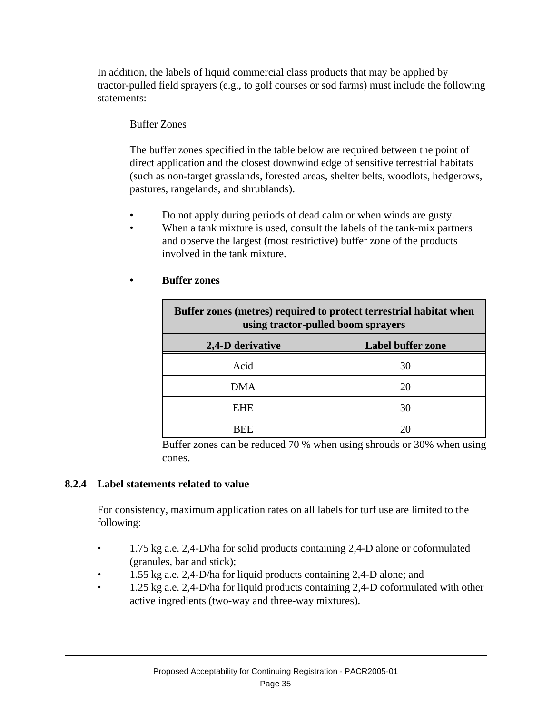In addition, the labels of liquid commercial class products that may be applied by tractor-pulled field sprayers (e.g., to golf courses or sod farms) must include the following statements:

## Buffer Zones

The buffer zones specified in the table below are required between the point of direct application and the closest downwind edge of sensitive terrestrial habitats (such as non-target grasslands, forested areas, shelter belts, woodlots, hedgerows, pastures, rangelands, and shrublands).

- Do not apply during periods of dead calm or when winds are gusty.
- When a tank mixture is used, consult the labels of the tank-mix partners and observe the largest (most restrictive) buffer zone of the products involved in the tank mixture.

| Buffer zones (metres) required to protect terrestrial habitat when<br>using tractor-pulled boom sprayers |                          |  |  |  |  |  |  |
|----------------------------------------------------------------------------------------------------------|--------------------------|--|--|--|--|--|--|
| 2,4-D derivative                                                                                         | <b>Label buffer zone</b> |  |  |  |  |  |  |
| Acid                                                                                                     | 30                       |  |  |  |  |  |  |
| <b>DMA</b>                                                                                               | 20                       |  |  |  |  |  |  |
| <b>EHE</b>                                                                                               | 30                       |  |  |  |  |  |  |
|                                                                                                          |                          |  |  |  |  |  |  |

#### **• Buffer zones**

Buffer zones can be reduced 70 % when using shrouds or 30% when using cones.

#### **8.2.4 Label statements related to value**

For consistency, maximum application rates on all labels for turf use are limited to the following:

- 1.75 kg a.e. 2,4-D/ha for solid products containing 2,4-D alone or coformulated (granules, bar and stick);
- 1.55 kg a.e. 2,4-D/ha for liquid products containing 2,4-D alone; and
- 1.25 kg a.e. 2,4-D/ha for liquid products containing 2,4-D coformulated with other active ingredients (two-way and three-way mixtures).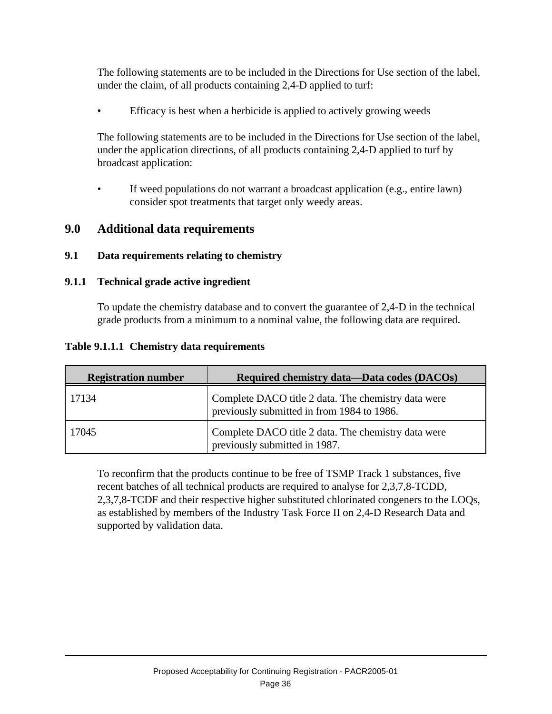The following statements are to be included in the Directions for Use section of the label, under the claim, of all products containing 2,4-D applied to turf:

Efficacy is best when a herbicide is applied to actively growing weeds

The following statements are to be included in the Directions for Use section of the label, under the application directions, of all products containing 2,4-D applied to turf by broadcast application:

• If weed populations do not warrant a broadcast application (e.g., entire lawn) consider spot treatments that target only weedy areas.

# **9.0 Additional data requirements**

# **9.1 Data requirements relating to chemistry**

### **9.1.1 Technical grade active ingredient**

To update the chemistry database and to convert the guarantee of 2,4-D in the technical grade products from a minimum to a nominal value, the following data are required.

#### **Table 9.1.1.1 Chemistry data requirements**

| <b>Registration number</b> | Required chemistry data-Data codes (DACOs)                                                        |
|----------------------------|---------------------------------------------------------------------------------------------------|
| 17134                      | Complete DACO title 2 data. The chemistry data were<br>previously submitted in from 1984 to 1986. |
| 17045                      | Complete DACO title 2 data. The chemistry data were<br>previously submitted in 1987.              |

To reconfirm that the products continue to be free of TSMP Track 1 substances, five recent batches of all technical products are required to analyse for 2,3,7,8-TCDD, 2,3,7,8-TCDF and their respective higher substituted chlorinated congeners to the LOQs, as established by members of the Industry Task Force II on 2,4-D Research Data and supported by validation data.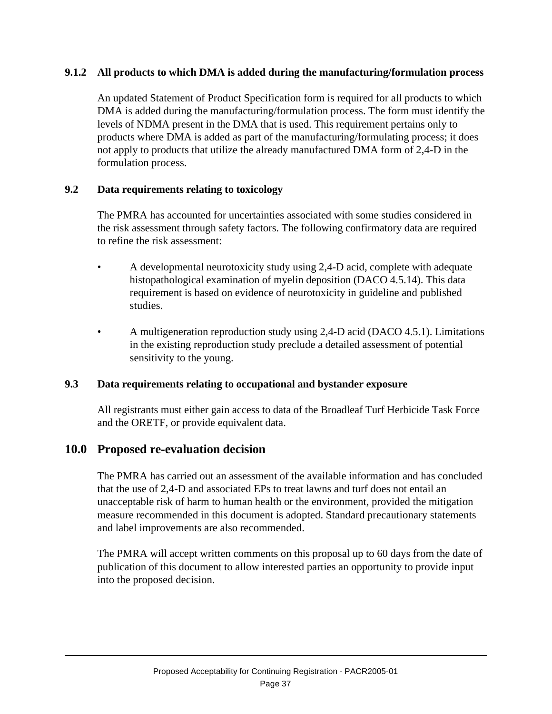### **9.1.2 All products to which DMA is added during the manufacturing/formulation process**

An updated Statement of Product Specification form is required for all products to which DMA is added during the manufacturing/formulation process. The form must identify the levels of NDMA present in the DMA that is used. This requirement pertains only to products where DMA is added as part of the manufacturing/formulating process; it does not apply to products that utilize the already manufactured DMA form of 2,4-D in the formulation process.

#### **9.2 Data requirements relating to toxicology**

The PMRA has accounted for uncertainties associated with some studies considered in the risk assessment through safety factors. The following confirmatory data are required to refine the risk assessment:

- A developmental neurotoxicity study using 2,4-D acid, complete with adequate histopathological examination of myelin deposition (DACO 4.5.14). This data requirement is based on evidence of neurotoxicity in guideline and published studies.
- A multigeneration reproduction study using 2,4-D acid (DACO 4.5.1). Limitations in the existing reproduction study preclude a detailed assessment of potential sensitivity to the young.

# **9.3 Data requirements relating to occupational and bystander exposure**

All registrants must either gain access to data of the Broadleaf Turf Herbicide Task Force and the ORETF, or provide equivalent data.

# **10.0 Proposed re-evaluation decision**

The PMRA has carried out an assessment of the available information and has concluded that the use of 2,4-D and associated EPs to treat lawns and turf does not entail an unacceptable risk of harm to human health or the environment, provided the mitigation measure recommended in this document is adopted. Standard precautionary statements and label improvements are also recommended.

The PMRA will accept written comments on this proposal up to 60 days from the date of publication of this document to allow interested parties an opportunity to provide input into the proposed decision.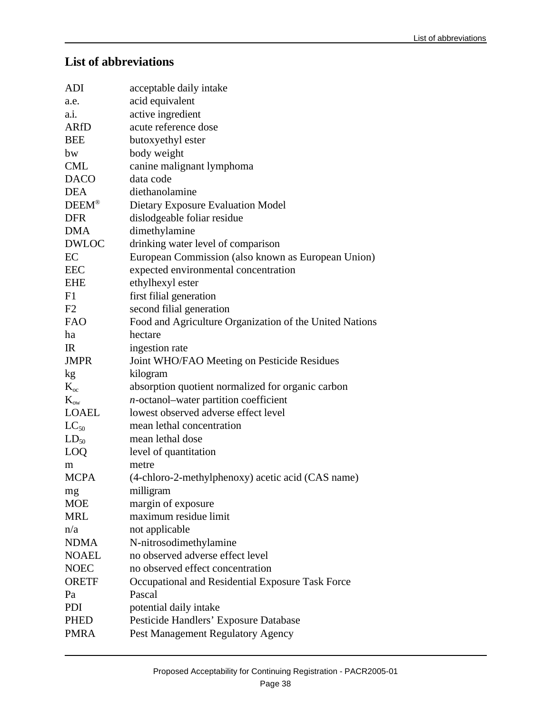# **List of abbreviations**

| acid equivalent<br>active ingredient<br>acute reference dose<br>butoxyethyl ester<br>body weight<br>canine malignant lymphoma<br>data code<br>diethanolamine<br>Dietary Exposure Evaluation Model<br>dislodgeable foliar residue<br>dimethylamine<br>drinking water level of comparison<br>European Commission (also known as European Union)<br>expected environmental concentration<br>ethylhexyl ester<br>first filial generation<br>second filial generation<br>Food and Agriculture Organization of the United Nations<br>hectare<br>ingestion rate<br>Joint WHO/FAO Meeting on Pesticide Residues<br>kilogram<br>absorption quotient normalized for organic carbon<br>$n$ -octanol-water partition coefficient<br>lowest observed adverse effect level<br>mean lethal concentration<br>mean lethal dose<br>level of quantitation<br>metre<br>(4-chloro-2-methylphenoxy) acetic acid (CAS name)<br>milligram<br>margin of exposure<br>maximum residue limit<br>not applicable<br>N-nitrosodimethylamine<br>no observed adverse effect level<br>no observed effect concentration<br>Occupational and Residential Exposure Task Force<br>Pascal | <b>ADI</b>   | acceptable daily intake               |
|----------------------------------------------------------------------------------------------------------------------------------------------------------------------------------------------------------------------------------------------------------------------------------------------------------------------------------------------------------------------------------------------------------------------------------------------------------------------------------------------------------------------------------------------------------------------------------------------------------------------------------------------------------------------------------------------------------------------------------------------------------------------------------------------------------------------------------------------------------------------------------------------------------------------------------------------------------------------------------------------------------------------------------------------------------------------------------------------------------------------------------------------------|--------------|---------------------------------------|
|                                                                                                                                                                                                                                                                                                                                                                                                                                                                                                                                                                                                                                                                                                                                                                                                                                                                                                                                                                                                                                                                                                                                                    | a.e.         |                                       |
|                                                                                                                                                                                                                                                                                                                                                                                                                                                                                                                                                                                                                                                                                                                                                                                                                                                                                                                                                                                                                                                                                                                                                    | a.i.         |                                       |
|                                                                                                                                                                                                                                                                                                                                                                                                                                                                                                                                                                                                                                                                                                                                                                                                                                                                                                                                                                                                                                                                                                                                                    | <b>ARfD</b>  |                                       |
|                                                                                                                                                                                                                                                                                                                                                                                                                                                                                                                                                                                                                                                                                                                                                                                                                                                                                                                                                                                                                                                                                                                                                    | <b>BEE</b>   |                                       |
|                                                                                                                                                                                                                                                                                                                                                                                                                                                                                                                                                                                                                                                                                                                                                                                                                                                                                                                                                                                                                                                                                                                                                    | bw           |                                       |
|                                                                                                                                                                                                                                                                                                                                                                                                                                                                                                                                                                                                                                                                                                                                                                                                                                                                                                                                                                                                                                                                                                                                                    | <b>CML</b>   |                                       |
|                                                                                                                                                                                                                                                                                                                                                                                                                                                                                                                                                                                                                                                                                                                                                                                                                                                                                                                                                                                                                                                                                                                                                    | <b>DACO</b>  |                                       |
|                                                                                                                                                                                                                                                                                                                                                                                                                                                                                                                                                                                                                                                                                                                                                                                                                                                                                                                                                                                                                                                                                                                                                    | <b>DEA</b>   |                                       |
|                                                                                                                                                                                                                                                                                                                                                                                                                                                                                                                                                                                                                                                                                                                                                                                                                                                                                                                                                                                                                                                                                                                                                    | <b>DEEM®</b> |                                       |
|                                                                                                                                                                                                                                                                                                                                                                                                                                                                                                                                                                                                                                                                                                                                                                                                                                                                                                                                                                                                                                                                                                                                                    | <b>DFR</b>   |                                       |
|                                                                                                                                                                                                                                                                                                                                                                                                                                                                                                                                                                                                                                                                                                                                                                                                                                                                                                                                                                                                                                                                                                                                                    | <b>DMA</b>   |                                       |
|                                                                                                                                                                                                                                                                                                                                                                                                                                                                                                                                                                                                                                                                                                                                                                                                                                                                                                                                                                                                                                                                                                                                                    | <b>DWLOC</b> |                                       |
|                                                                                                                                                                                                                                                                                                                                                                                                                                                                                                                                                                                                                                                                                                                                                                                                                                                                                                                                                                                                                                                                                                                                                    | EC           |                                       |
|                                                                                                                                                                                                                                                                                                                                                                                                                                                                                                                                                                                                                                                                                                                                                                                                                                                                                                                                                                                                                                                                                                                                                    | <b>EEC</b>   |                                       |
|                                                                                                                                                                                                                                                                                                                                                                                                                                                                                                                                                                                                                                                                                                                                                                                                                                                                                                                                                                                                                                                                                                                                                    | <b>EHE</b>   |                                       |
|                                                                                                                                                                                                                                                                                                                                                                                                                                                                                                                                                                                                                                                                                                                                                                                                                                                                                                                                                                                                                                                                                                                                                    | F1           |                                       |
|                                                                                                                                                                                                                                                                                                                                                                                                                                                                                                                                                                                                                                                                                                                                                                                                                                                                                                                                                                                                                                                                                                                                                    | F2           |                                       |
|                                                                                                                                                                                                                                                                                                                                                                                                                                                                                                                                                                                                                                                                                                                                                                                                                                                                                                                                                                                                                                                                                                                                                    | <b>FAO</b>   |                                       |
|                                                                                                                                                                                                                                                                                                                                                                                                                                                                                                                                                                                                                                                                                                                                                                                                                                                                                                                                                                                                                                                                                                                                                    | ha           |                                       |
|                                                                                                                                                                                                                                                                                                                                                                                                                                                                                                                                                                                                                                                                                                                                                                                                                                                                                                                                                                                                                                                                                                                                                    | $_{\rm IR}$  |                                       |
|                                                                                                                                                                                                                                                                                                                                                                                                                                                                                                                                                                                                                                                                                                                                                                                                                                                                                                                                                                                                                                                                                                                                                    | <b>JMPR</b>  |                                       |
|                                                                                                                                                                                                                                                                                                                                                                                                                                                                                                                                                                                                                                                                                                                                                                                                                                                                                                                                                                                                                                                                                                                                                    | kg           |                                       |
|                                                                                                                                                                                                                                                                                                                                                                                                                                                                                                                                                                                                                                                                                                                                                                                                                                                                                                                                                                                                                                                                                                                                                    | $K_{\infty}$ |                                       |
|                                                                                                                                                                                                                                                                                                                                                                                                                                                                                                                                                                                                                                                                                                                                                                                                                                                                                                                                                                                                                                                                                                                                                    | $K_{ow}$     |                                       |
|                                                                                                                                                                                                                                                                                                                                                                                                                                                                                                                                                                                                                                                                                                                                                                                                                                                                                                                                                                                                                                                                                                                                                    | <b>LOAEL</b> |                                       |
|                                                                                                                                                                                                                                                                                                                                                                                                                                                                                                                                                                                                                                                                                                                                                                                                                                                                                                                                                                                                                                                                                                                                                    | $LC_{50}$    |                                       |
|                                                                                                                                                                                                                                                                                                                                                                                                                                                                                                                                                                                                                                                                                                                                                                                                                                                                                                                                                                                                                                                                                                                                                    | $LD_{50}$    |                                       |
|                                                                                                                                                                                                                                                                                                                                                                                                                                                                                                                                                                                                                                                                                                                                                                                                                                                                                                                                                                                                                                                                                                                                                    | LOQ          |                                       |
|                                                                                                                                                                                                                                                                                                                                                                                                                                                                                                                                                                                                                                                                                                                                                                                                                                                                                                                                                                                                                                                                                                                                                    | m            |                                       |
|                                                                                                                                                                                                                                                                                                                                                                                                                                                                                                                                                                                                                                                                                                                                                                                                                                                                                                                                                                                                                                                                                                                                                    | <b>MCPA</b>  |                                       |
|                                                                                                                                                                                                                                                                                                                                                                                                                                                                                                                                                                                                                                                                                                                                                                                                                                                                                                                                                                                                                                                                                                                                                    | mg           |                                       |
|                                                                                                                                                                                                                                                                                                                                                                                                                                                                                                                                                                                                                                                                                                                                                                                                                                                                                                                                                                                                                                                                                                                                                    | <b>MOE</b>   |                                       |
|                                                                                                                                                                                                                                                                                                                                                                                                                                                                                                                                                                                                                                                                                                                                                                                                                                                                                                                                                                                                                                                                                                                                                    | <b>MRL</b>   |                                       |
|                                                                                                                                                                                                                                                                                                                                                                                                                                                                                                                                                                                                                                                                                                                                                                                                                                                                                                                                                                                                                                                                                                                                                    | n/a          |                                       |
|                                                                                                                                                                                                                                                                                                                                                                                                                                                                                                                                                                                                                                                                                                                                                                                                                                                                                                                                                                                                                                                                                                                                                    | <b>NDMA</b>  |                                       |
|                                                                                                                                                                                                                                                                                                                                                                                                                                                                                                                                                                                                                                                                                                                                                                                                                                                                                                                                                                                                                                                                                                                                                    | <b>NOAEL</b> |                                       |
|                                                                                                                                                                                                                                                                                                                                                                                                                                                                                                                                                                                                                                                                                                                                                                                                                                                                                                                                                                                                                                                                                                                                                    | <b>NOEC</b>  |                                       |
|                                                                                                                                                                                                                                                                                                                                                                                                                                                                                                                                                                                                                                                                                                                                                                                                                                                                                                                                                                                                                                                                                                                                                    | <b>ORETF</b> |                                       |
|                                                                                                                                                                                                                                                                                                                                                                                                                                                                                                                                                                                                                                                                                                                                                                                                                                                                                                                                                                                                                                                                                                                                                    | Pa           |                                       |
|                                                                                                                                                                                                                                                                                                                                                                                                                                                                                                                                                                                                                                                                                                                                                                                                                                                                                                                                                                                                                                                                                                                                                    | PDI          | potential daily intake                |
|                                                                                                                                                                                                                                                                                                                                                                                                                                                                                                                                                                                                                                                                                                                                                                                                                                                                                                                                                                                                                                                                                                                                                    | <b>PHED</b>  | Pesticide Handlers' Exposure Database |
|                                                                                                                                                                                                                                                                                                                                                                                                                                                                                                                                                                                                                                                                                                                                                                                                                                                                                                                                                                                                                                                                                                                                                    | <b>PMRA</b>  | Pest Management Regulatory Agency     |
|                                                                                                                                                                                                                                                                                                                                                                                                                                                                                                                                                                                                                                                                                                                                                                                                                                                                                                                                                                                                                                                                                                                                                    |              |                                       |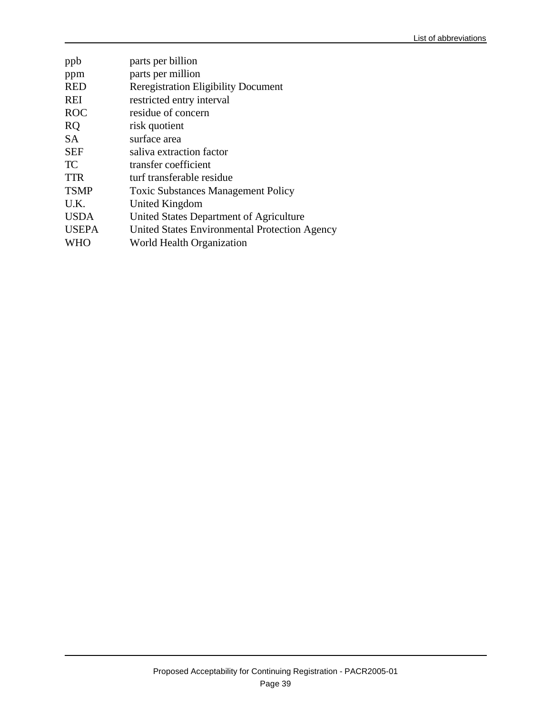| ppb          | parts per billion                             |
|--------------|-----------------------------------------------|
| ppm          | parts per million                             |
| <b>RED</b>   | <b>Reregistration Eligibility Document</b>    |
| <b>REI</b>   | restricted entry interval                     |
| <b>ROC</b>   | residue of concern                            |
| <b>RQ</b>    | risk quotient                                 |
| <b>SA</b>    | surface area                                  |
| <b>SEF</b>   | saliva extraction factor                      |
| TC           | transfer coefficient                          |
| <b>TTR</b>   | turf transferable residue                     |
| <b>TSMP</b>  | <b>Toxic Substances Management Policy</b>     |
| U.K.         | United Kingdom                                |
| <b>USDA</b>  | United States Department of Agriculture       |
| <b>USEPA</b> | United States Environmental Protection Agency |
| <b>WHO</b>   | World Health Organization                     |
|              |                                               |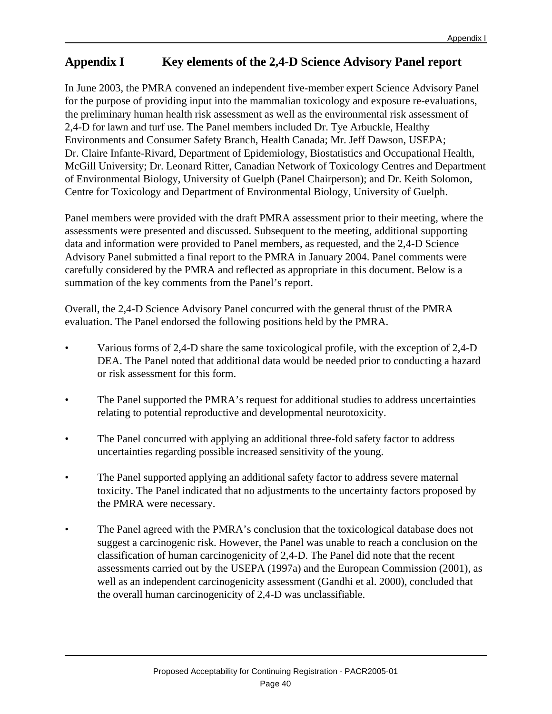# **Appendix I Key elements of the 2,4-D Science Advisory Panel report**

In June 2003, the PMRA convened an independent five-member expert Science Advisory Panel for the purpose of providing input into the mammalian toxicology and exposure re-evaluations, the preliminary human health risk assessment as well as the environmental risk assessment of 2,4-D for lawn and turf use. The Panel members included Dr. Tye Arbuckle, Healthy Environments and Consumer Safety Branch, Health Canada; Mr. Jeff Dawson, USEPA; Dr. Claire Infante-Rivard, Department of Epidemiology, Biostatistics and Occupational Health, McGill University; Dr. Leonard Ritter, Canadian Network of Toxicology Centres and Department of Environmental Biology, University of Guelph (Panel Chairperson); and Dr. Keith Solomon, Centre for Toxicology and Department of Environmental Biology, University of Guelph.

Panel members were provided with the draft PMRA assessment prior to their meeting, where the assessments were presented and discussed. Subsequent to the meeting, additional supporting data and information were provided to Panel members, as requested, and the 2,4-D Science Advisory Panel submitted a final report to the PMRA in January 2004. Panel comments were carefully considered by the PMRA and reflected as appropriate in this document. Below is a summation of the key comments from the Panel's report.

Overall, the 2,4-D Science Advisory Panel concurred with the general thrust of the PMRA evaluation. The Panel endorsed the following positions held by the PMRA.

- Various forms of 2,4-D share the same toxicological profile, with the exception of 2,4-D DEA. The Panel noted that additional data would be needed prior to conducting a hazard or risk assessment for this form.
- The Panel supported the PMRA's request for additional studies to address uncertainties relating to potential reproductive and developmental neurotoxicity.
- The Panel concurred with applying an additional three-fold safety factor to address uncertainties regarding possible increased sensitivity of the young.
- The Panel supported applying an additional safety factor to address severe maternal toxicity. The Panel indicated that no adjustments to the uncertainty factors proposed by the PMRA were necessary.
- The Panel agreed with the PMRA's conclusion that the toxicological database does not suggest a carcinogenic risk. However, the Panel was unable to reach a conclusion on the classification of human carcinogenicity of 2,4-D. The Panel did note that the recent assessments carried out by the USEPA (1997a) and the European Commission (2001), as well as an independent carcinogenicity assessment (Gandhi et al. 2000), concluded that the overall human carcinogenicity of 2,4-D was unclassifiable.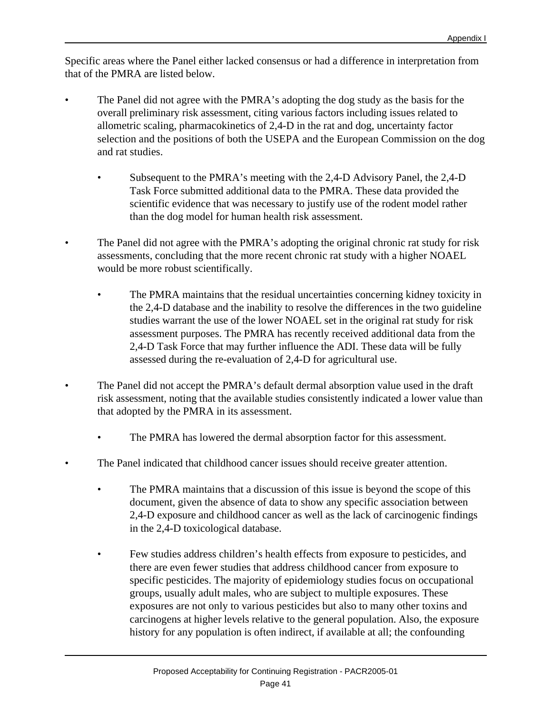Specific areas where the Panel either lacked consensus or had a difference in interpretation from that of the PMRA are listed below.

- The Panel did not agree with the PMRA's adopting the dog study as the basis for the overall preliminary risk assessment, citing various factors including issues related to allometric scaling, pharmacokinetics of 2,4-D in the rat and dog, uncertainty factor selection and the positions of both the USEPA and the European Commission on the dog and rat studies.
	- Subsequent to the PMRA's meeting with the 2,4-D Advisory Panel, the 2,4-D Task Force submitted additional data to the PMRA. These data provided the scientific evidence that was necessary to justify use of the rodent model rather than the dog model for human health risk assessment.
- The Panel did not agree with the PMRA's adopting the original chronic rat study for risk assessments, concluding that the more recent chronic rat study with a higher NOAEL would be more robust scientifically.
	- The PMRA maintains that the residual uncertainties concerning kidney toxicity in the 2,4-D database and the inability to resolve the differences in the two guideline studies warrant the use of the lower NOAEL set in the original rat study for risk assessment purposes. The PMRA has recently received additional data from the 2,4-D Task Force that may further influence the ADI. These data will be fully assessed during the re-evaluation of 2,4-D for agricultural use.
- The Panel did not accept the PMRA's default dermal absorption value used in the draft risk assessment, noting that the available studies consistently indicated a lower value than that adopted by the PMRA in its assessment.
	- The PMRA has lowered the dermal absorption factor for this assessment.
- The Panel indicated that childhood cancer issues should receive greater attention.
	- The PMRA maintains that a discussion of this issue is beyond the scope of this document, given the absence of data to show any specific association between 2,4-D exposure and childhood cancer as well as the lack of carcinogenic findings in the 2,4-D toxicological database.
	- Few studies address children's health effects from exposure to pesticides, and there are even fewer studies that address childhood cancer from exposure to specific pesticides. The majority of epidemiology studies focus on occupational groups, usually adult males, who are subject to multiple exposures. These exposures are not only to various pesticides but also to many other toxins and carcinogens at higher levels relative to the general population. Also, the exposure history for any population is often indirect, if available at all; the confounding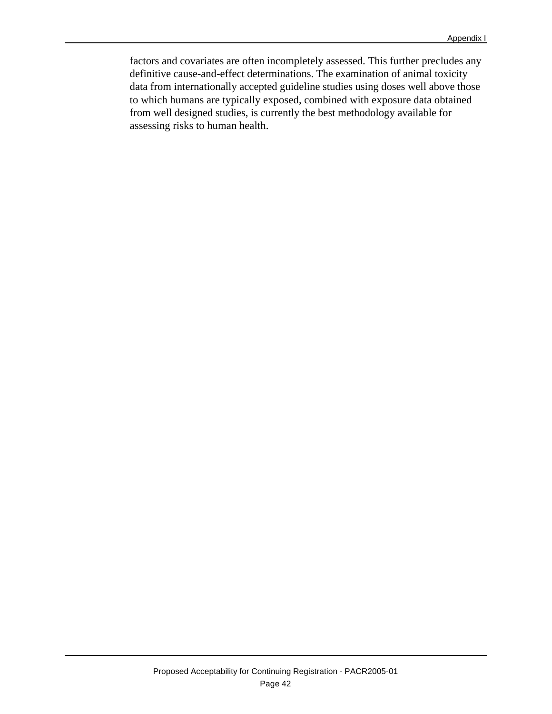factors and covariates are often incompletely assessed. This further precludes any definitive cause-and-effect determinations. The examination of animal toxicity data from internationally accepted guideline studies using doses well above those to which humans are typically exposed, combined with exposure data obtained from well designed studies, is currently the best methodology available for assessing risks to human health.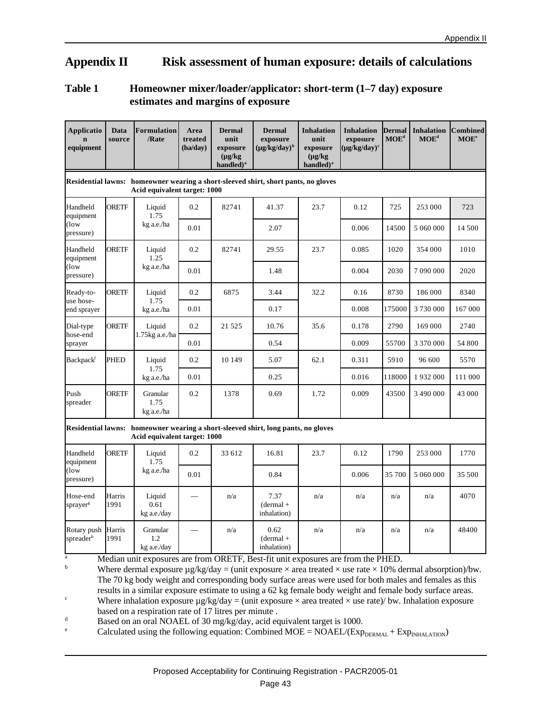# **Appendix II Risk assessment of human exposure: details of calculations**

#### **Table 1 Homeowner mixer/loader/applicator: short-term (1–7 day) exposure estimates and margins of exposure**

| <b>Applicatio</b><br>equipment            | Data<br>source                                                                                                     | <b>Formulation</b><br>/Rate    | Area<br>treated<br>(ha/day) | <b>Dermal</b><br>unit<br>exposure<br>$(\mu g/kg)$<br>handled) $a$ | <b>Dermal</b><br>exposure<br>$(\mu g/kg/day)^b$                                                                      | <b>Inhalation</b><br>unit<br>exposure<br>$(\mu g/kg)$<br>handled) <sup>a</sup> | <b>Inhalation</b><br>exposure<br>$(\mu g/kg/day)^c$ | <b>Dermal</b><br>MOE <sup>d</sup> | <b>Inhalation</b><br>$MOE^d$ | <b>Combined</b><br>$MOE^e$ |  |
|-------------------------------------------|--------------------------------------------------------------------------------------------------------------------|--------------------------------|-----------------------------|-------------------------------------------------------------------|----------------------------------------------------------------------------------------------------------------------|--------------------------------------------------------------------------------|-----------------------------------------------------|-----------------------------------|------------------------------|----------------------------|--|
|                                           | Residential lawns: homeowner wearing a short-sleeved shirt, short pants, no gloves<br>Acid equivalent target: 1000 |                                |                             |                                                                   |                                                                                                                      |                                                                                |                                                     |                                   |                              |                            |  |
| Handheld<br>equipment                     | ORETF                                                                                                              | Liquid<br>1.75                 | 0.2                         | 82741                                                             | 41.37                                                                                                                | 23.7                                                                           | 0.12                                                | 725                               | 253 000                      | 723                        |  |
| $($ low<br>pressure)                      |                                                                                                                    | kg a.e./ha                     | 0.01                        |                                                                   | 2.07                                                                                                                 |                                                                                | 0.006                                               | 14500                             | 5 060 000                    | 14 500                     |  |
| Handheld<br>equipment                     | <b>ORETF</b>                                                                                                       | Liquid<br>1.25                 | 0.2                         | 82741                                                             | 29.55                                                                                                                | 23.7                                                                           | 0.085                                               | 1020                              | 354 000                      | 1010                       |  |
| $($ low<br>pressure)                      |                                                                                                                    | kg a.e./ha                     | 0.01                        |                                                                   | 1.48                                                                                                                 |                                                                                | 0.004                                               | 2030                              | 7 090 000                    | 2020                       |  |
| Ready-to-                                 | <b>ORETF</b>                                                                                                       | Liquid                         | 0.2                         | 6875                                                              | 3.44                                                                                                                 | 32.2                                                                           | 0.16                                                | 8730                              | 186 000                      | 8340                       |  |
| use hose-<br>end sprayer                  |                                                                                                                    | 1.75<br>kg a.e./ha             | 0.01                        |                                                                   | 0.17                                                                                                                 |                                                                                | 0.008                                               | 175000                            | 3730000                      | 167 000                    |  |
| Dial-type<br>hose-end<br>sprayer          | <b>ORETF</b>                                                                                                       | Liquid<br>$1.75$ kg a.e./ha    | 0.2                         | 21 5 25                                                           | 10.76                                                                                                                | 35.6                                                                           | 0.178                                               | 2790                              | 169 000                      | 2740                       |  |
|                                           |                                                                                                                    |                                | 0.01                        |                                                                   | 0.54                                                                                                                 |                                                                                | 0.009                                               | 55700                             | 3 370 000                    | 54 800                     |  |
| Backpack <sup>f</sup>                     | <b>PHED</b>                                                                                                        | Liquid<br>1.75<br>kg a.e./ha   | 0.2                         | 10 149                                                            | 5.07                                                                                                                 | 62.1                                                                           | 0.311                                               | 5910                              | 96 600                       | 5570                       |  |
|                                           |                                                                                                                    |                                | 0.01                        |                                                                   | 0.25                                                                                                                 |                                                                                | 0.016                                               | 118000                            | 1932000                      | 111 000                    |  |
| Push<br>spreader                          | <b>ORETF</b>                                                                                                       | Granular<br>1.75<br>kg a.e./ha | 0.2                         | 1378                                                              | 0.69                                                                                                                 | 1.72                                                                           | 0.009                                               | 43500                             | 3 490 000                    | 43 000                     |  |
|                                           |                                                                                                                    | Acid equivalent target: 1000   |                             |                                                                   | Residential lawns: homeowner wearing a short-sleeved shirt, long pants, no gloves                                    |                                                                                |                                                     |                                   |                              |                            |  |
| Handheld<br>equipment                     | ORETF                                                                                                              | Liquid<br>1.75                 | 0.2                         | 33 612                                                            | 16.81                                                                                                                | 23.7                                                                           | 0.12                                                | 1790                              | 253 000                      | 1770                       |  |
| (low<br>pressure)                         |                                                                                                                    | kg a.e./ha                     | 0.01                        |                                                                   | 0.84                                                                                                                 |                                                                                | 0.006                                               | 35 700                            | 5 060 000                    | 35 500                     |  |
| Hose-end<br>sprayer <sup>g</sup>          | Harris<br>1991                                                                                                     | Liquid<br>0.61<br>kg a.e./day  |                             | n/a                                                               | 7.37<br>$(dermal +$<br>inhalation)                                                                                   | n/a                                                                            | n/a                                                 | n/a                               | n/a                          | 4070                       |  |
| Rotary push<br>spreader <sup>h</sup><br>a | Harris<br>1991                                                                                                     | Granular<br>1.2<br>kg a.e./day |                             | n/a                                                               | 0.62<br>$(dermal +$<br>inhalation)<br>Median unit exposures are from ORETE Rest fit unit exposures are from the PHED | n/a                                                                            | n/a                                                 | n/a                               | n/a                          | 48400                      |  |

es are from ORETF, Best-fit unit exposures are from the PHED.

<sup>b</sup> Where dermal exposure  $\mu$ g/kg/day = (unit exposure  $\times$  area treated  $\times$  use rate  $\times$  10% dermal absorption)/bw. The 70 kg body weight and corresponding body surface areas were used for both males and females as this results in a similar exposure estimate to using a 62 kg female body weight and female body surface areas.

<sup>c</sup> Where inhalation exposure  $\mu$ g/kg/day = (unit exposure  $\times$  area treated  $\times$  use rate)/ bw. Inhalation exposure based on a respiration rate of 17 litres per minute .

 $d$  Based on an oral NOAEL of 30 mg/kg/day, acid equivalent target is 1000.

<sup>e</sup> Calculated using the following equation: Combined MOE = NOAEL/( $Exp_{DERMAL}$  +  $Exp_{INHALATION}$ )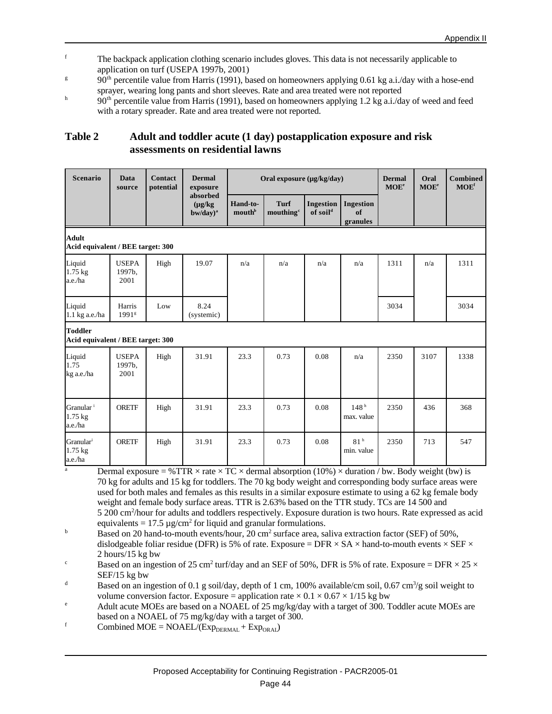- <sup>f</sup> The backpack application clothing scenario includes gloves. This data is not necessarily applicable to application on turf (USEPA 1997b, 2001)
- g  $90<sup>th</sup>$  percentile value from Harris (1991), based on homeowners applying 0.61 kg a.i./day with a hose-end sprayer, wearing long pants and short sleeves. Rate and area treated were not reported
- h  $90<sup>th</sup>$  percentile value from Harris (1991), based on homeowners applying 1.2 kg a.i./day of weed and feed with a rotary spreader. Rate and area treated were not reported.

# **Table 2 Adult and toddler acute (1 day) postapplication exposure and risk assessments on residential lawns**

| <b>Scenario</b>                                     | Data<br>source                 | <b>Contact</b><br>potential | <b>Dermal</b><br>exposure                   |                                | Oral exposure (µg/kg/day)     |                                          |                                |      | Oral<br>MOE <sup>e</sup> | <b>Combined</b><br>MOE <sup>f</sup> |
|-----------------------------------------------------|--------------------------------|-----------------------------|---------------------------------------------|--------------------------------|-------------------------------|------------------------------------------|--------------------------------|------|--------------------------|-------------------------------------|
|                                                     |                                |                             | absorbed<br>$(\mu g/kg)$<br>$b$ w/day $)^a$ | Hand-to-<br>mouth <sup>b</sup> | Turf<br>mouthing <sup>c</sup> | <b>Ingestion</b><br>of soil <sup>d</sup> | Ingestion<br>of<br>granules    |      |                          |                                     |
| <b>Adult</b><br>Acid equivalent / BEE target: 300   |                                |                             |                                             |                                |                               |                                          |                                |      |                          |                                     |
| Liquid<br>$1.75$ kg<br>a.e./ha                      | <b>USEPA</b><br>1997b.<br>2001 | High                        | 19.07                                       | n/a                            | n/a                           | n/a                                      | n/a                            | 1311 | n/a                      | 1311                                |
| Liquid<br>1.1 kg a.e./ha                            | Harris<br>1991 <sup>g</sup>    | Low                         | 8.24<br>(systemic)                          |                                |                               |                                          |                                | 3034 |                          | 3034                                |
| <b>Toddler</b><br>Acid equivalent / BEE target: 300 |                                |                             |                                             |                                |                               |                                          |                                |      |                          |                                     |
| Liquid<br>1.75<br>kg a.e./ha                        | <b>USEPA</b><br>1997b.<br>2001 | High                        | 31.91                                       | 23.3                           | 0.73                          | 0.08                                     | n/a                            | 2350 | 3107                     | 1338                                |
| Granular <sup>i</sup><br>$1.75$ kg<br>a.e./ha       | <b>ORETF</b>                   | High                        | 31.91                                       | 23.3                           | 0.73                          | 0.08                                     | 148 <sup>h</sup><br>max. value | 2350 | 436                      | 368                                 |
| Granular <sup>i</sup><br>$1.75$ kg<br>a.e./ha       | <b>ORETF</b>                   | High                        | 31.91                                       | 23.3                           | 0.73                          | 0.08                                     | 81 <sup>h</sup><br>min. value  | 2350 | 713                      | 547                                 |

<sup>a</sup> Dermal exposure = %TTR  $\times$  rate  $\times$  TC  $\times$  dermal absorption (10%)  $\times$  duration / bw. Body weight (bw) is 70 kg for adults and 15 kg for toddlers. The 70 kg body weight and corresponding body surface areas were used for both males and females as this results in a similar exposure estimate to using a 62 kg female body weight and female body surface areas. TTR is 2.63% based on the TTR study. TCs are 14 500 and 5 200 cm<sup>2</sup> /hour for adults and toddlers respectively. Exposure duration is two hours. Rate expressed as acid equivalents =  $17.5 \mu$ g/cm<sup>2</sup> for liquid and granular formulations.

<sup>b</sup> Based on 20 hand-to-mouth events/hour, 20 cm<sup>2</sup> surface area, saliva extraction factor (SEF) of 50%, dislodgeable foliar residue (DFR) is 5% of rate. Exposure = DFR  $\times$  SA  $\times$  hand-to-mouth events  $\times$  SEF  $\times$ 2 hours/15 kg bw

<sup>c</sup> Based on an ingestion of 25 cm<sup>2</sup> turf/day and an SEF of 50%, DFR is 5% of rate. Exposure = DFR  $\times$  25  $\times$ SEF/15 kg bw

Based on an ingestion of 0.1 g soil/day, depth of 1 cm, 100% available/cm soil, 0.67 cm<sup>3</sup>/g soil weight to volume conversion factor. Exposure = application rate  $\times$  0.1  $\times$  0.67  $\times$  1/15 kg bw

Adult acute MOEs are based on a NOAEL of 25 mg/kg/day with a target of 300. Toddler acute MOEs are based on a NOAEL of 75 mg/kg/day with a target of 300.

f Combined MOE = NOAEL/( $Exp<sub>DERMAL</sub> + Exp<sub>ORAI</sub>$ )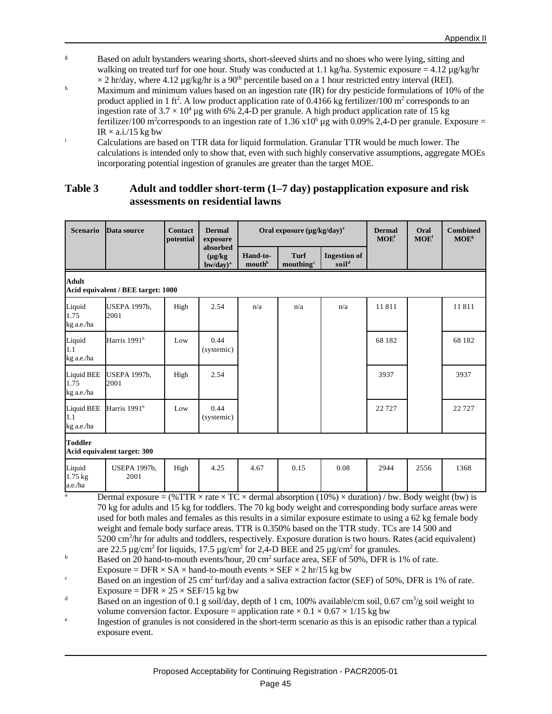- <sup>g</sup> Based on adult bystanders wearing shorts, short-sleeved shirts and no shoes who were lying, sitting and walking on treated turf for one hour. Study was conducted at 1.1 kg/ha. Systemic exposure = 4.12 µg/kg/hr  $\times$  2 hr/day, where 4.12 µg/kg/hr is a 90<sup>th</sup> percentile based on a 1 hour restricted entry interval (REI).
- h Maximum and minimum values based on an ingestion rate (IR) for dry pesticide formulations of 10% of the product applied in 1 ft<sup>2</sup>. A low product application rate of 0.4166 kg fertilizer/100 m<sup>2</sup> corresponds to an ingestion rate of  $3.7 \times 10^4$  µg with 6% 2,4-D per granule. A high product application rate of 15 kg fertilizer/100 m<sup>2</sup>corresponds to an ingestion rate of  $1.36 \times 10^6$  µg with 0.09% 2,4-D per granule. Exposure =  $IR \times a.i.$ /15 kg bw
- <sup>i</sup> Calculations are based on TTR data for liquid formulation. Granular TTR would be much lower. The calculations is intended only to show that, even with such highly conservative assumptions, aggregate MOEs incorporating potential ingestion of granules are greater than the target MOE.

#### **Table 3 Adult and toddler short-term (1–7 day) postapplication exposure and risk assessments on residential lawns**

| Scenario                                | Data source                                                                                                                                                                                                                                                                                   | <b>Contact</b><br>potential | <b>Dermal</b><br>exposure                   |                    | Oral exposure $(\mu g/kg/day)^e$     | <b>Dermal</b><br>MOE <sup>f</sup>        | Oral<br>MOE <sup>f</sup> | <b>Combined</b><br><b>MOE</b> <sup>g</sup> |        |  |
|-----------------------------------------|-----------------------------------------------------------------------------------------------------------------------------------------------------------------------------------------------------------------------------------------------------------------------------------------------|-----------------------------|---------------------------------------------|--------------------|--------------------------------------|------------------------------------------|--------------------------|--------------------------------------------|--------|--|
|                                         |                                                                                                                                                                                                                                                                                               |                             | absorbed<br>$(\mu g/kg)$<br>$b$ w/day $)^a$ | Hand-to-<br>mouthb | <b>Turf</b><br>mouthing <sup>c</sup> | <b>Ingestion of</b><br>soil <sup>d</sup> |                          |                                            |        |  |
| Adult                                   | Acid equivalent / BEE target: 1000                                                                                                                                                                                                                                                            |                             |                                             |                    |                                      |                                          |                          |                                            |        |  |
| Liquid<br>1.75<br>kg a.e./ha            | <b>USEPA 1997b,</b><br>2001                                                                                                                                                                                                                                                                   | High                        | 2.54                                        | n/a                | n/a                                  | n/a                                      | 11811                    |                                            | 11811  |  |
| Liquid<br>1.1<br>kg a.e./ha             | Harris 1991 <sup>h</sup>                                                                                                                                                                                                                                                                      | Low                         | 0.44<br>(systemic)                          |                    |                                      |                                          | 68 182                   |                                            | 68 182 |  |
| <b>Liquid BEE</b><br>1.75<br>kg a.e./ha | <b>USEPA 1997b,</b><br>2001                                                                                                                                                                                                                                                                   | High                        | 2.54                                        |                    |                                      |                                          | 3937                     |                                            | 3937   |  |
| Liquid BEE<br>1.1<br>kg a.e./ha         | Harris 1991 <sup>h</sup>                                                                                                                                                                                                                                                                      | Low                         | 0.44<br>(systemic)                          |                    |                                      |                                          | 22727                    |                                            | 22727  |  |
| <b>Toddler</b>                          | Acid equivalent target: 300                                                                                                                                                                                                                                                                   |                             |                                             |                    |                                      |                                          |                          |                                            |        |  |
| Liquid<br>$1.75$ kg<br>a.e./ha          | <b>USEPA 1997b,</b><br>2001                                                                                                                                                                                                                                                                   | High                        | 4.25                                        | 4.67               | 0.15                                 | 0.08                                     | 2944                     | 2556                                       | 1368   |  |
| a                                       | Dermal exposure = $(\% TTR \times \text{rate} \times TC \times \text{dermal absorption } (10\%) \times \text{duration}) / \text{bw}$ . Body weight (bw) is<br>$70.1$ , from the contract from the flux $70.1$ , $1.1$ , $1.1$ , $1.1$ , $1.1$ , $1.1$ , $1.1$ , $1.1$ , $1.1$ , $1.1$ , $1.1$ |                             |                                             |                    |                                      |                                          |                          |                                            |        |  |

70 kg for adults and 15 kg for toddlers. The 70 kg body weight and corresponding body surface areas were used for both males and females as this results in a similar exposure estimate to using a 62 kg female body weight and female body surface areas. TTR is 0.350% based on the TTR study. TCs are 14 500 and 5200 cm<sup>2</sup>/hr for adults and toddlers, respectively. Exposure duration is two hours. Rates (acid equivalent) are 22.5  $\mu$ g/cm<sup>2</sup> for liquids, 17.5  $\mu$ g/cm<sup>2</sup> for 2,4-D BEE and 25  $\mu$ g/cm<sup>2</sup> for granules.

<sup>b</sup> Based on 20 hand-to-mouth events/hour, 20 cm<sup>2</sup> surface area, SEF of 50%, DFR is 1% of rate. Exposure = DFR  $\times$  SA  $\times$  hand-to-mouth events  $\times$  SEF  $\times$  2 hr/15 kg bw

Based on an ingestion of 25 cm<sup>2</sup> turf/day and a saliva extraction factor (SEF) of 50%, DFR is 1% of rate. Exposure =  $DFR \times 25 \times SEF/15$  kg bw

Based on an ingestion of 0.1 g soil/day, depth of 1 cm, 100% available/cm soil, 0.67 cm<sup>3</sup>/g soil weight to volume conversion factor. Exposure = application rate  $\times$  0.1  $\times$  0.67  $\times$  1/15 kg bw

e Ingestion of granules is not considered in the short-term scenario as this is an episodic rather than a typical exposure event.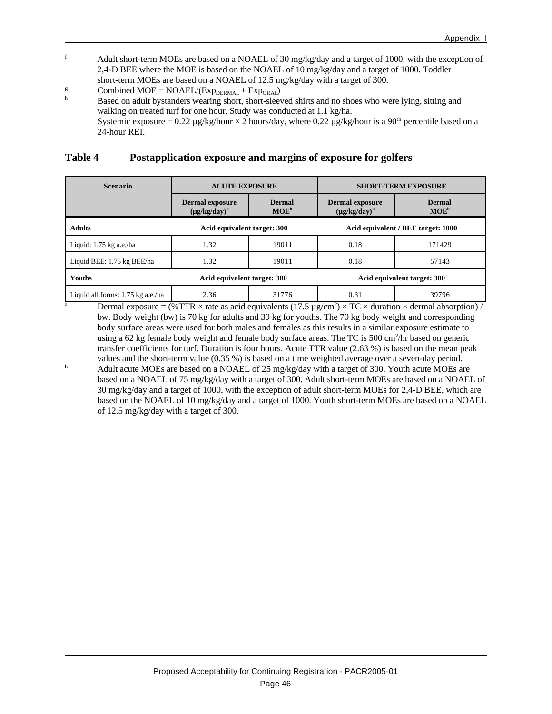- <sup>f</sup> Adult short-term MOEs are based on a NOAEL of 30 mg/kg/day and a target of 1000, with the exception of 2,4-D BEE where the MOE is based on the NOAEL of 10 mg/kg/day and a target of 1000. Toddler short-term MOEs are based on a NOAEL of 12.5 mg/kg/day with a target of 300.
- <sup>g</sup> Combined MOE = NOAEL/( $Exp<sub>DERMAL</sub> + Exp<sub>ORAL</sub>$ )
- Based on adult bystanders wearing short, short-sleeved shirts and no shoes who were lying, sitting and walking on treated turf for one hour. Study was conducted at 1.1 kg/ha. Systemic exposure =  $0.22 \mu$ g/kg/hour  $\times$  2 hours/day, where  $0.22 \mu$ g/kg/hour is a 90<sup>th</sup> percentile based on a 24-hour REI.

#### **Table 4 Postapplication exposure and margins of exposure for golfers**

| <b>Scenario</b>                   | <b>ACUTE EXPOSURE</b>                        |                          |                                              | <b>SHORT-TERM EXPOSURE</b> |  |  |  |
|-----------------------------------|----------------------------------------------|--------------------------|----------------------------------------------|----------------------------|--|--|--|
|                                   | <b>Dermal exposure</b><br>$(\mu g/kg/day)^a$ | <b>Dermal</b><br>$MOE^b$ | <b>Dermal exposure</b><br>$(\mu g/kg/day)^a$ | <b>Dermal</b><br>$MOE^b$   |  |  |  |
| <b>Adults</b>                     | Acid equivalent target: 300                  |                          | Acid equivalent / BEE target: 1000           |                            |  |  |  |
| Liquid: $1.75$ kg a.e./ha         | 1.32                                         | 19011                    | 0.18                                         | 171429                     |  |  |  |
| Liquid BEE: 1.75 kg BEE/ha        | 1.32                                         | 19011                    | 0.18                                         | 57143                      |  |  |  |
| Youths                            | Acid equivalent target: 300                  |                          | Acid equivalent target: 300                  |                            |  |  |  |
| Liquid all forms: 1.75 kg a.e./ha | 2.36                                         | 31776                    | 0.31                                         | 39796                      |  |  |  |

<sup>a</sup> Dermal exposure =  $(\% TTR \times \text{rate as acid equivalents} (17.5 \,\mu\text{g/cm}^2) \times TC \times \text{duration} \times \text{dermal absorption}) /$ bw. Body weight (bw) is 70 kg for adults and 39 kg for youths. The 70 kg body weight and corresponding body surface areas were used for both males and females as this results in a similar exposure estimate to using a 62 kg female body weight and female body surface areas. The TC is 500 cm<sup>2</sup>/hr based on generic transfer coefficients for turf. Duration is four hours. Acute TTR value (2.63 %) is based on the mean peak values and the short-term value (0.35 %) is based on a time weighted average over a seven-day period.

<sup>b</sup> Adult acute MOEs are based on a NOAEL of 25 mg/kg/day with a target of 300. Youth acute MOEs are based on a NOAEL of 75 mg/kg/day with a target of 300. Adult short-term MOEs are based on a NOAEL of 30 mg/kg/day and a target of 1000, with the exception of adult short-term MOEs for 2,4-D BEE, which are based on the NOAEL of 10 mg/kg/day and a target of 1000. Youth short-term MOEs are based on a NOAEL of 12.5 mg/kg/day with a target of 300.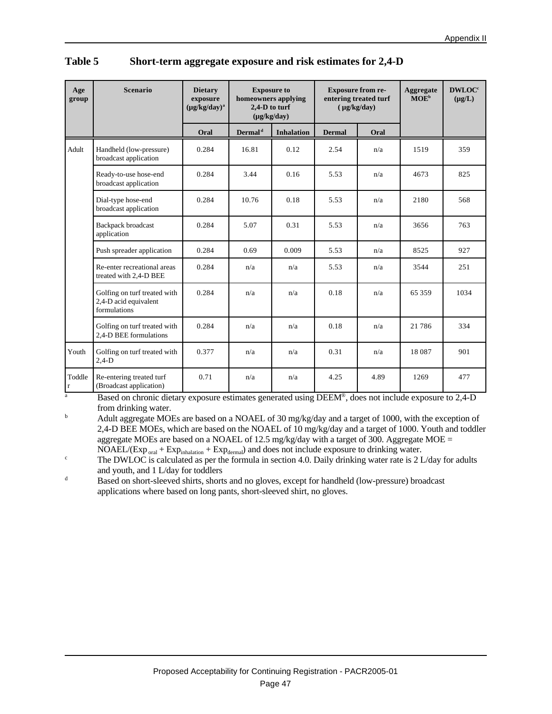| Age<br>group          | <b>Scenario</b>                                                       | <b>Dietary</b><br>exposure<br>$(\mu g/kg/day)^a$ | <b>Exposure to</b><br>homeowners applying<br>2,4-D to turf<br>$(\mu g/kg/day)$ |                   | <b>Exposure from re-</b><br>$(\mu g/kg/day)$ | entering treated turf | Aggregate<br>$MOE^b$ | <b>DWLOC®</b><br>$(\mu g/L)$ |
|-----------------------|-----------------------------------------------------------------------|--------------------------------------------------|--------------------------------------------------------------------------------|-------------------|----------------------------------------------|-----------------------|----------------------|------------------------------|
|                       |                                                                       | Oral                                             | Dermal <sup>d</sup>                                                            | <b>Inhalation</b> | <b>Dermal</b>                                | Oral                  |                      |                              |
| Adult                 | Handheld (low-pressure)<br>broadcast application                      | 0.284                                            | 16.81                                                                          | 0.12              | 2.54                                         | n/a                   | 1519                 | 359                          |
|                       | Ready-to-use hose-end<br>broadcast application                        | 0.284                                            | 3.44                                                                           | 0.16              | 5.53                                         | n/a                   | 4673                 | 825                          |
|                       | Dial-type hose-end<br>broadcast application                           | 0.284                                            | 10.76                                                                          | 0.18              | 5.53                                         | n/a                   | 2180                 | 568                          |
|                       | Backpack broadcast<br>application                                     | 0.284                                            | 5.07                                                                           | 0.31              | 5.53                                         | n/a                   | 3656                 | 763                          |
|                       | Push spreader application                                             | 0.284                                            | 0.69                                                                           | 0.009             | 5.53                                         | n/a                   | 8525                 | 927                          |
|                       | Re-enter recreational areas<br>treated with 2,4-D BEE                 | 0.284                                            | n/a                                                                            | n/a               | 5.53                                         | n/a                   | 3544                 | 251                          |
|                       | Golfing on turf treated with<br>2,4-D acid equivalent<br>formulations | 0.284                                            | n/a                                                                            | n/a               | 0.18                                         | n/a                   | 65 359               | 1034                         |
|                       | Golfing on turf treated with<br>2,4-D BEE formulations                | 0.284                                            | n/a                                                                            | n/a               | 0.18                                         | n/a                   | 21 786               | 334                          |
| Youth                 | Golfing on turf treated with<br>$2,4-D$                               | 0.377                                            | n/a                                                                            | n/a               | 0.31                                         | n/a                   | 18087                | 901                          |
| Toddle<br>$\mathbf r$ | Re-entering treated turf<br>(Broadcast application)                   | 0.71                                             | n/a                                                                            | n/a               | 4.25                                         | 4.89                  | 1269                 | 477                          |

| Table 5 | Short-term aggregate exposure and risk estimates for 2,4-D |
|---------|------------------------------------------------------------|
|---------|------------------------------------------------------------|

<sup>a</sup> Based on chronic dietary exposure estimates generated using DEEM®, does not include exposure to 2,4-D from drinking water.

<sup>b</sup> Adult aggregate MOEs are based on a NOAEL of 30 mg/kg/day and a target of 1000, with the exception of 2,4-D BEE MOEs, which are based on the NOAEL of 10 mg/kg/day and a target of 1000. Youth and toddler aggregate MOEs are based on a NOAEL of 12.5 mg/kg/day with a target of 300. Aggregate MOE  $=$  $NOAEL/(Exp_{oral} + Exp_{inhalation} + Exp_{dermal})$  and does not include exposure to drinking water.

<sup>c</sup> The DWLOC is calculated as per the formula in section 4.0. Daily drinking water rate is 2 L/day for adults and youth, and 1 L/day for toddlers

<sup>d</sup> Based on short-sleeved shirts, shorts and no gloves, except for handheld (low-pressure) broadcast applications where based on long pants, short-sleeved shirt, no gloves.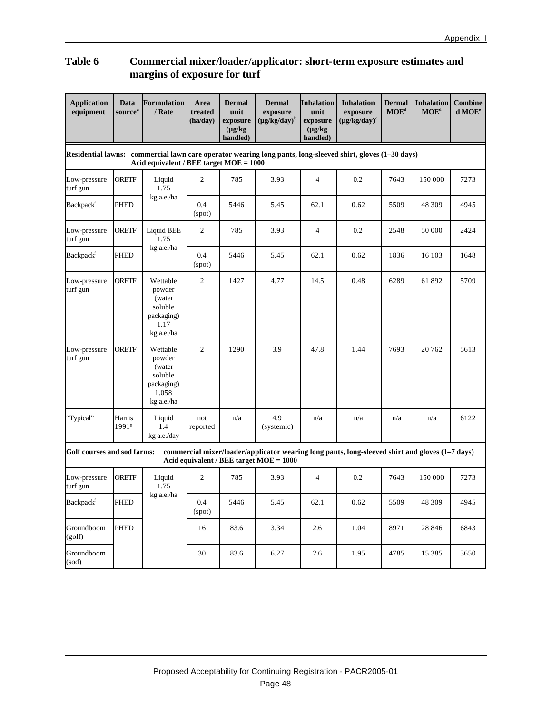#### **Table 6 Commercial mixer/loader/applicator: short-term exposure estimates and margins of exposure for turf**

| <b>Application</b><br>equipment                                                                                                                          | Data<br>source <sup>a</sup> | <b>Formulation</b><br>/ Rate                                                 | Area<br>treated<br>(ha/day) | <b>Dermal</b><br>unit<br>exposure<br>$(\mu g/kg)$<br>handled) | <b>Dermal</b><br>exposure<br>$(\mu g/kg/day)^b$                                                                                              | <b>Inhalation</b><br>unit<br>exposure<br>$(\mu g/kg)$<br>handled) | <b>Inhalation</b><br>exposure<br>$(\mu g/kg/day)^c$ | <b>Dermal</b><br>MOE <sup>d</sup> | <b>Inhalation</b><br>MOE <sup>d</sup> | <b>Combine</b><br>d MOE <sup>e</sup> |  |
|----------------------------------------------------------------------------------------------------------------------------------------------------------|-----------------------------|------------------------------------------------------------------------------|-----------------------------|---------------------------------------------------------------|----------------------------------------------------------------------------------------------------------------------------------------------|-------------------------------------------------------------------|-----------------------------------------------------|-----------------------------------|---------------------------------------|--------------------------------------|--|
| Residential lawns: commercial lawn care operator wearing long pants, long-sleeved shirt, gloves (1-30 days)<br>Acid equivalent / BEE target $MOE = 1000$ |                             |                                                                              |                             |                                                               |                                                                                                                                              |                                                                   |                                                     |                                   |                                       |                                      |  |
| Low-pressure<br>turf gun                                                                                                                                 | <b>ORETF</b>                | Liquid<br>1.75                                                               | 2                           | 785                                                           | 3.93                                                                                                                                         | $\overline{4}$                                                    | 0.2                                                 | 7643                              | 150 000                               | 7273                                 |  |
| Backpackf                                                                                                                                                | <b>PHED</b>                 | kg a.e./ha                                                                   | 0.4<br>(spot)               | 5446                                                          | 5.45                                                                                                                                         | 62.1                                                              | 0.62                                                | 5509                              | 48 309                                | 4945                                 |  |
| Low-pressure<br>turf gun                                                                                                                                 | <b>ORETF</b>                | <b>Liquid BEE</b><br>1.75                                                    | 2                           | 785                                                           | 3.93                                                                                                                                         | $\overline{4}$                                                    | 0.2                                                 | 2548                              | 50 000                                | 2424                                 |  |
| Backpack <sup>f</sup>                                                                                                                                    | PHED                        | kg a.e./ha                                                                   | 0.4<br>(spot)               | 5446                                                          | 5.45                                                                                                                                         | 62.1                                                              | 0.62                                                | 1836                              | 16 103                                | 1648                                 |  |
| Low-pressure<br>turf gun                                                                                                                                 | <b>ORETF</b>                | Wettable<br>powder<br>(water<br>soluble<br>packaging)<br>1.17<br>kg a.e./ha  | $\mathfrak{2}$              | 1427                                                          | 4.77                                                                                                                                         | 14.5                                                              | 0.48                                                | 6289                              | 61892                                 | 5709                                 |  |
| Low-pressure<br>turf gun                                                                                                                                 | <b>ORETF</b>                | Wettable<br>powder<br>(water<br>soluble<br>packaging)<br>1.058<br>kg a.e./ha | $\overline{c}$              | 1290                                                          | 3.9                                                                                                                                          | 47.8                                                              | 1.44                                                | 7693                              | 20762                                 | 5613                                 |  |
| "Typical"                                                                                                                                                | Harris<br>1991 <sup>g</sup> | Liquid<br>1.4<br>kg a.e./day                                                 | not<br>reported             | n/a                                                           | 4.9<br>(systemic)                                                                                                                            | n/a                                                               | n/a                                                 | n/a                               | n/a                                   | 6122                                 |  |
| Golf courses and sod farms:                                                                                                                              |                             |                                                                              |                             |                                                               | commercial mixer/loader/applicator wearing long pants, long-sleeved shirt and gloves (1-7 days)<br>Acid equivalent / BEE target $MOE = 1000$ |                                                                   |                                                     |                                   |                                       |                                      |  |
| Low-pressure<br>turf gun                                                                                                                                 | <b>ORETF</b>                | Liquid<br>1.75                                                               | 2                           | 785                                                           | 3.93                                                                                                                                         | 4                                                                 | 0.2                                                 | 7643                              | 150 000                               | 7273                                 |  |
| Backpackf                                                                                                                                                | <b>PHED</b>                 | kg a.e./ha                                                                   | 0.4<br>(spot)               | 5446                                                          | 5.45                                                                                                                                         | 62.1                                                              | 0.62                                                | 5509                              | 48 309                                | 4945                                 |  |
| Groundboom<br>(golf)                                                                                                                                     | <b>PHED</b>                 |                                                                              | 16                          | 83.6                                                          | 3.34                                                                                                                                         | 2.6                                                               | 1.04                                                | 8971                              | 28 8 4 6                              | 6843                                 |  |
| Groundboom<br>(sod)                                                                                                                                      |                             |                                                                              | 30                          | 83.6                                                          | 6.27                                                                                                                                         | 2.6                                                               | 1.95                                                | 4785                              | 15 3 8 5                              | 3650                                 |  |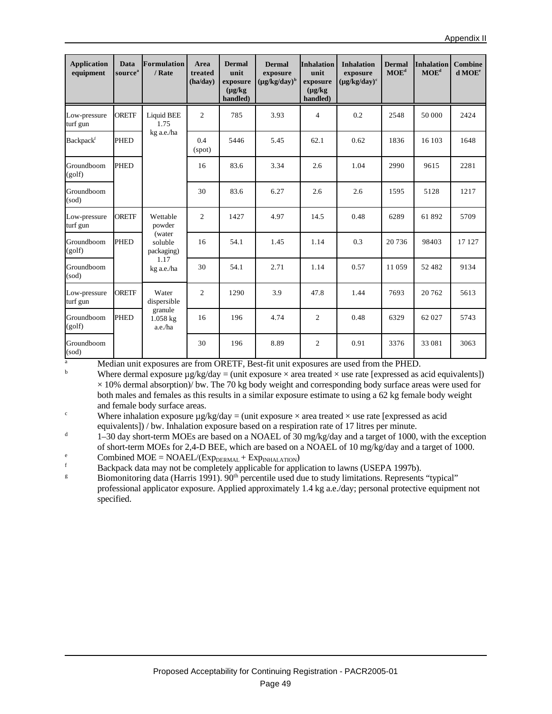| <b>Application</b><br>equipment | <b>Data</b><br>source <sup>a</sup> | <b>Formulation</b><br>/ Rate     | Area<br>treated<br>(ha/day) | <b>Dermal</b><br>unit<br>exposure<br>$(\mu g/kg)$<br>handled) | <b>Dermal</b><br>exposure<br>$(\mu g/kg/day)^b$ | <b>Inhalation</b><br>unit<br>exposure<br>$(\mu g/kg)$<br>handled) | <b>Inhalation</b><br>exposure<br>$(\mu g/kg/day)^c$ | <b>Dermal</b><br>$\mathbf{MOE}^{\mathbf{d}}$ | <b>Inhalation</b><br>MOE <sup>d</sup> | <b>Combine</b><br>d MOE <sup>e</sup> |
|---------------------------------|------------------------------------|----------------------------------|-----------------------------|---------------------------------------------------------------|-------------------------------------------------|-------------------------------------------------------------------|-----------------------------------------------------|----------------------------------------------|---------------------------------------|--------------------------------------|
| Low-pressure<br>turf gun        | <b>ORETF</b>                       | <b>Liquid BEE</b><br>1.75        | $\overline{c}$              | 785                                                           | 3.93                                            | 4                                                                 | 0.2                                                 | 2548                                         | 50 000                                | 2424                                 |
| Backpack <sup>f</sup>           | <b>PHED</b>                        | kg a.e./ha                       | 0.4<br>(spot)               | 5446                                                          | 5.45                                            | 62.1                                                              | 0.62                                                | 1836                                         | 16 103                                | 1648                                 |
| Groundboom<br>(golf)            | <b>PHED</b>                        |                                  | 16                          | 83.6                                                          | 3.34                                            | 2.6                                                               | 1.04                                                | 2990                                         | 9615                                  | 2281                                 |
| Groundboom<br>(sod)             |                                    |                                  | 30                          | 83.6                                                          | 6.27                                            | 2.6                                                               | 2.6                                                 | 1595                                         | 5128                                  | 1217                                 |
| Low-pressure<br>turf gun        | <b>ORETF</b>                       | Wettable<br>powder               | 2                           | 1427                                                          | 4.97                                            | 14.5                                                              | 0.48                                                | 6289                                         | 61892                                 | 5709                                 |
| Groundboom<br>(golf)            | <b>PHED</b>                        | (water<br>soluble<br>packaging)  | 16                          | 54.1                                                          | 1.45                                            | 1.14                                                              | 0.3                                                 | 20 736                                       | 98403                                 | 17 127                               |
| Groundboom<br>(sod)             |                                    | 1.17<br>kg a.e./ha               | 30                          | 54.1                                                          | 2.71                                            | 1.14                                                              | 0.57                                                | 11 059                                       | 52482                                 | 9134                                 |
| Low-pressure<br>turf gun        | <b>ORETF</b>                       | Water<br>dispersible             | $\mathfrak{2}$              | 1290                                                          | 3.9                                             | 47.8                                                              | 1.44                                                | 7693                                         | 20762                                 | 5613                                 |
| Groundboom<br>(golf)            | <b>PHED</b>                        | granule<br>$1.058$ kg<br>a.e./ha | 16                          | 196                                                           | 4.74                                            | $\overline{2}$                                                    | 0.48                                                | 6329                                         | 62 027                                | 5743                                 |
| Groundboom<br>(sod)             |                                    |                                  | 30                          | 196                                                           | 8.89                                            | $\overline{2}$                                                    | 0.91                                                | 3376                                         | 33 081                                | 3063                                 |

a<br>Median unit exposures are from ORETF, Best-fit unit exposures are used from the PHED.<br>Where dermal exposure uses  $\alpha$  and  $\alpha$  are transposure  $\alpha$  are transposed as a set of  $\alpha$ 

Where dermal exposure  $\mu$ g/kg/day = (unit exposure  $\times$  area treated  $\times$  use rate [expressed as acid equivalents])  $\times$  10% dermal absorption)/ bw. The 70 kg body weight and corresponding body surface areas were used for both males and females as this results in a similar exposure estimate to using a 62 kg female body weight and female body surface areas.

<sup>c</sup> Where inhalation exposure  $\mu$ g/kg/day = (unit exposure  $\times$  area treated  $\times$  use rate [expressed as acid equivalents]) / bw. Inhalation exposure based on a respiration rate of 17 litres per minute.

d 1–30 day short-term MOEs are based on a NOAEL of 30 mg/kg/day and a target of 1000, with the exception of short-term MOEs for 2,4-D BEE, which are based on a NOAEL of 10 mg/kg/day and a target of 1000.

 $e$  Combined MOE = NOAEL/(Exp<sub>DERMAL</sub> + Exp<sub>INHALATION</sub>)

Backpack data may not be completely applicable for application to lawns (USEPA 1997b).

<sup>g</sup> Biomonitoring data (Harris 1991). 90<sup>th</sup> percentile used due to study limitations. Represents "typical" professional applicator exposure. Applied approximately 1.4 kg a.e./day; personal protective equipment not specified.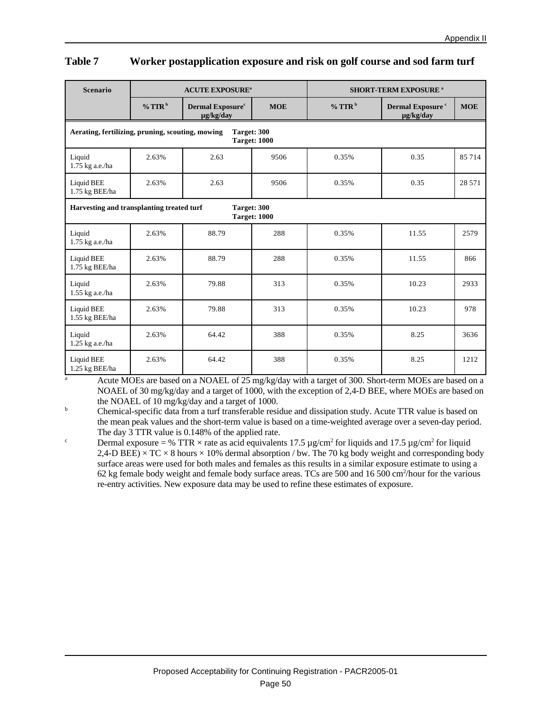#### **Table 7 Worker postapplication exposure and risk on golf course and sod farm turf**

| <b>Scenario</b>                                                                        | <b>ACUTE EXPOSURE<sup>a</sup></b> |                                                  |            | <b>SHORT-TERM EXPOSURE a</b> |                                           |            |
|----------------------------------------------------------------------------------------|-----------------------------------|--------------------------------------------------|------------|------------------------------|-------------------------------------------|------------|
|                                                                                        | % TTR <sup>b</sup>                | <b>Dermal Exposure</b> <sup>c</sup><br>ug/kg/day | <b>MOE</b> | $%$ TTR <sup>b</sup>         | Dermal Exposure <sup>c</sup><br>µg/kg/day | <b>MOE</b> |
| Aerating, fertilizing, pruning, scouting, mowing<br>Target: 300<br><b>Target: 1000</b> |                                   |                                                  |            |                              |                                           |            |
| Liquid<br>1.75 kg a.e./ha                                                              | 2.63%                             | 2.63                                             | 9506       | 0.35%                        | 0.35                                      | 85714      |
| <b>Liquid BEE</b><br>1.75 kg BEE/ha                                                    | 2.63%                             | 2.63                                             | 9506       | 0.35%                        | 0.35                                      | 28 571     |
| Harvesting and transplanting treated turf<br>Target: 300<br><b>Target: 1000</b>        |                                   |                                                  |            |                              |                                           |            |
| Liquid<br>1.75 kg a.e./ha                                                              | 2.63%                             | 88.79                                            | 288        | 0.35%                        | 11.55                                     | 2579       |
| Liquid BEE<br>1.75 kg BEE/ha                                                           | 2.63%                             | 88.79                                            | 288        | 0.35%                        | 11.55                                     | 866        |
| Liquid<br>1.55 kg a.e./ha                                                              | 2.63%                             | 79.88                                            | 313        | 0.35%                        | 10.23                                     | 2933       |
| Liquid BEE<br>1.55 kg BEE/ha                                                           | 2.63%                             | 79.88                                            | 313        | 0.35%                        | 10.23                                     | 978        |
| Liquid<br>1.25 kg a.e./ha                                                              | 2.63%                             | 64.42                                            | 388        | 0.35%                        | 8.25                                      | 3636       |
| <b>Liquid BEE</b><br>1.25 kg BEE/ha                                                    | 2.63%                             | 64.42                                            | 388        | 0.35%                        | 8.25                                      | 1212       |

Acute MOEs are based on a NOAEL of 25 mg/kg/day with a target of 300. Short-term MOEs are based on a NOAEL of 30 mg/kg/day and a target of 1000, with the exception of 2,4-D BEE, where MOEs are based on the NOAEL of 10 mg/kg/day and a target of 1000.

<sup>b</sup> Chemical-specific data from a turf transferable residue and dissipation study. Acute TTR value is based on the mean peak values and the short-term value is based on a time-weighted average over a seven-day period. The day 3 TTR value is 0.148% of the applied rate.

<sup>c</sup> Dermal exposure = % TTR  $\times$  rate as acid equivalents 17.5 µg/cm<sup>2</sup> for liquids and 17.5 µg/cm<sup>2</sup> for liquid 2,4-D BEE)  $\times$  TC  $\times$  8 hours  $\times$  10% dermal absorption / bw. The 70 kg body weight and corresponding body surface areas were used for both males and females as this results in a similar exposure estimate to using a 62 kg female body weight and female body surface areas. TCs are 500 and 16 500 cm<sup>2</sup>/hour for the various re-entry activities. New exposure data may be used to refine these estimates of exposure.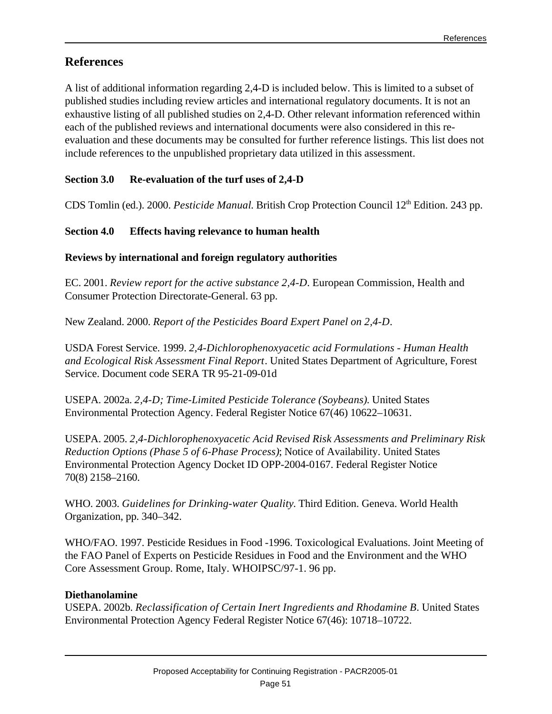# **References**

A list of additional information regarding 2,4-D is included below. This is limited to a subset of published studies including review articles and international regulatory documents. It is not an exhaustive listing of all published studies on 2,4-D. Other relevant information referenced within each of the published reviews and international documents were also considered in this reevaluation and these documents may be consulted for further reference listings. This list does not include references to the unpublished proprietary data utilized in this assessment.

# **Section 3.0 Re-evaluation of the turf uses of 2,4-D**

CDS Tomlin (ed.). 2000. *Pesticide Manual*. British Crop Protection Council 12th Edition. 243 pp.

### **Section 4.0 Effects having relevance to human health**

#### **Reviews by international and foreign regulatory authorities**

EC. 2001. *Review report for the active substance 2,4-D*. European Commission, Health and Consumer Protection Directorate-General. 63 pp.

New Zealand. 2000. *Report of the Pesticides Board Expert Panel on 2,4-D*.

USDA Forest Service. 1999. *2,4-Dichlorophenoxyacetic acid Formulations - Human Health and Ecological Risk Assessment Final Report*. United States Department of Agriculture, Forest Service. Document code SERA TR 95-21-09-01d

USEPA. 2002a. *2,4-D; Time-Limited Pesticide Tolerance (Soybeans)*. United States Environmental Protection Agency. Federal Register Notice 67(46) 10622–10631.

USEPA. 2005. *2,4-Dichlorophenoxyacetic Acid Revised Risk Assessments and Preliminary Risk Reduction Options (Phase 5 of 6-Phase Process)*; Notice of Availability. United States Environmental Protection Agency Docket ID OPP-2004-0167. Federal Register Notice 70(8) 2158–2160.

WHO. 2003. *Guidelines for Drinking-water Quality*. Third Edition. Geneva. World Health Organization, pp. 340–342.

WHO/FAO. 1997. Pesticide Residues in Food -1996. Toxicological Evaluations. Joint Meeting of the FAO Panel of Experts on Pesticide Residues in Food and the Environment and the WHO Core Assessment Group. Rome, Italy. WHOIPSC/97-1. 96 pp.

#### **Diethanolamine**

USEPA. 2002b. *Reclassification of Certain Inert Ingredients and Rhodamine B*. United States Environmental Protection Agency Federal Register Notice 67(46): 10718–10722.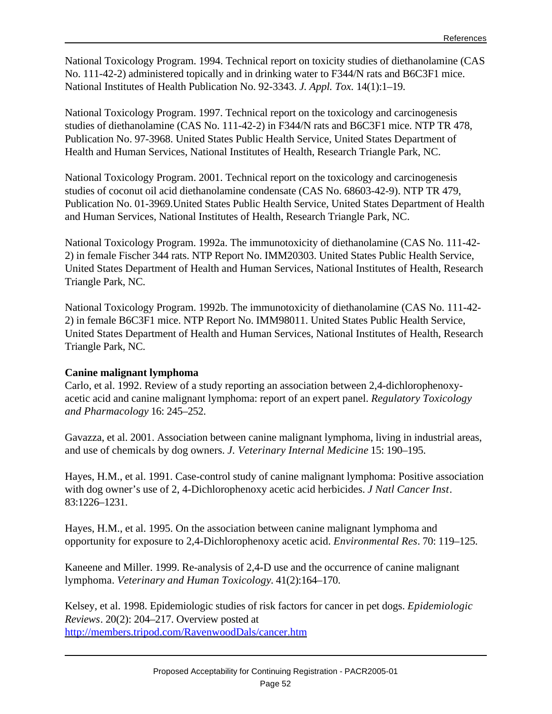National Toxicology Program. 1994. Technical report on toxicity studies of diethanolamine (CAS No. 111-42-2) administered topically and in drinking water to F344/N rats and B6C3F1 mice. National Institutes of Health Publication No. 92-3343. *J. Appl. Tox.* 14(1):1–19.

National Toxicology Program. 1997. Technical report on the toxicology and carcinogenesis studies of diethanolamine (CAS No. 111-42-2) in F344/N rats and B6C3F1 mice. NTP TR 478, Publication No. 97-3968. United States Public Health Service, United States Department of Health and Human Services, National Institutes of Health, Research Triangle Park, NC.

National Toxicology Program. 2001. Technical report on the toxicology and carcinogenesis studies of coconut oil acid diethanolamine condensate (CAS No. 68603-42-9). NTP TR 479, Publication No. 01-3969.United States Public Health Service, United States Department of Health and Human Services, National Institutes of Health, Research Triangle Park, NC.

National Toxicology Program. 1992a. The immunotoxicity of diethanolamine (CAS No. 111-42- 2) in female Fischer 344 rats. NTP Report No. IMM20303. United States Public Health Service, United States Department of Health and Human Services, National Institutes of Health, Research Triangle Park, NC.

National Toxicology Program. 1992b. The immunotoxicity of diethanolamine (CAS No. 111-42- 2) in female B6C3F1 mice. NTP Report No. IMM98011. United States Public Health Service, United States Department of Health and Human Services, National Institutes of Health, Research Triangle Park, NC.

#### **Canine malignant lymphoma**

Carlo, et al. 1992. Review of a study reporting an association between 2,4-dichlorophenoxyacetic acid and canine malignant lymphoma: report of an expert panel. *Regulatory Toxicology and Pharmacology* 16: 245–252.

Gavazza, et al. 2001. Association between canine malignant lymphoma, living in industrial areas, and use of chemicals by dog owners. *J. Veterinary Internal Medicine* 15: 190–195.

Hayes, H.M., et al. 1991. Case-control study of canine malignant lymphoma: Positive association with dog owner's use of 2, 4-Dichlorophenoxy acetic acid herbicides. *J Natl Cancer Inst*. 83:1226–1231.

Hayes, H.M., et al. 1995. On the association between canine malignant lymphoma and opportunity for exposure to 2,4-Dichlorophenoxy acetic acid. *Environmental Res*. 70: 119–125.

Kaneene and Miller. 1999. Re-analysis of 2,4-D use and the occurrence of canine malignant lymphoma. *Veterinary and Human Toxicology*. 41(2):164–170.

Kelsey, et al. 1998. Epidemiologic studies of risk factors for cancer in pet dogs. *Epidemiologic Reviews*. 20(2): 204–217. Overview posted at <http://members.tripod.com/RavenwoodDals/cancer.htm>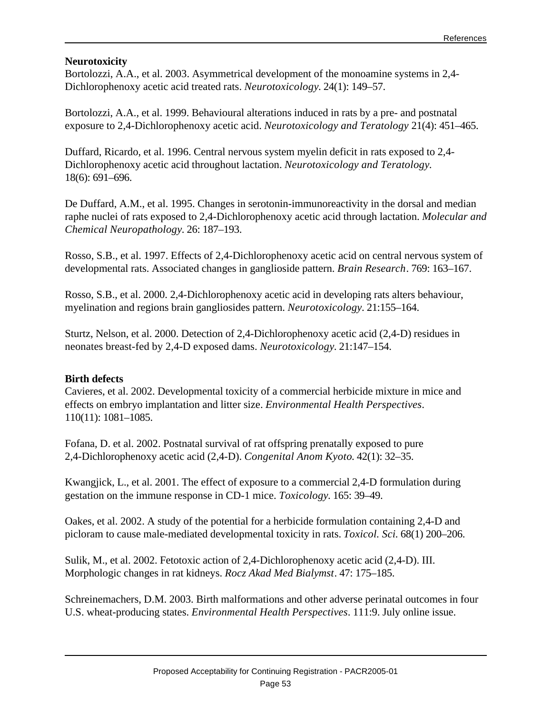#### **Neurotoxicity**

Bortolozzi, A.A., et al. 2003. Asymmetrical development of the monoamine systems in 2,4- Dichlorophenoxy acetic acid treated rats. *Neurotoxicology*. 24(1): 149–57.

Bortolozzi, A.A., et al. 1999. Behavioural alterations induced in rats by a pre- and postnatal exposure to 2,4-Dichlorophenoxy acetic acid. *Neurotoxicology and Teratology* 21(4): 451–465.

Duffard, Ricardo, et al. 1996. Central nervous system myelin deficit in rats exposed to 2,4- Dichlorophenoxy acetic acid throughout lactation. *Neurotoxicology and Teratology*. 18(6): 691–696.

De Duffard, A.M., et al. 1995. Changes in serotonin-immunoreactivity in the dorsal and median raphe nuclei of rats exposed to 2,4-Dichlorophenoxy acetic acid through lactation. *Molecular and Chemical Neuropathology*. 26: 187–193.

Rosso, S.B., et al. 1997. Effects of 2,4-Dichlorophenoxy acetic acid on central nervous system of developmental rats. Associated changes in ganglioside pattern. *Brain Research*. 769: 163–167.

Rosso, S.B., et al. 2000. 2,4-Dichlorophenoxy acetic acid in developing rats alters behaviour, myelination and regions brain gangliosides pattern. *Neurotoxicology*. 21:155–164.

Sturtz, Nelson, et al. 2000. Detection of 2,4-Dichlorophenoxy acetic acid (2,4-D) residues in neonates breast-fed by 2,4-D exposed dams. *Neurotoxicology*. 21:147–154.

#### **Birth defects**

Cavieres, et al. 2002. Developmental toxicity of a commercial herbicide mixture in mice and effects on embryo implantation and litter size. *Environmental Health Perspectives*. 110(11): 1081–1085.

Fofana, D. et al. 2002. Postnatal survival of rat offspring prenatally exposed to pure 2,4-Dichlorophenoxy acetic acid (2,4-D). *Congenital Anom Kyoto*. 42(1): 32–35.

Kwangjick, L., et al. 2001. The effect of exposure to a commercial 2,4-D formulation during gestation on the immune response in CD-1 mice. *Toxicology*. 165: 39–49.

Oakes, et al. 2002. A study of the potential for a herbicide formulation containing 2,4-D and picloram to cause male-mediated developmental toxicity in rats. *Toxicol. Sci.* 68(1) 200–206.

Sulik, M., et al. 2002. Fetotoxic action of 2,4-Dichlorophenoxy acetic acid (2,4-D). III. Morphologic changes in rat kidneys. *Rocz Akad Med Bialymst*. 47: 175–185.

Schreinemachers, D.M. 2003. Birth malformations and other adverse perinatal outcomes in four U.S. wheat-producing states. *Environmental Health Perspectives*. 111:9. July online issue.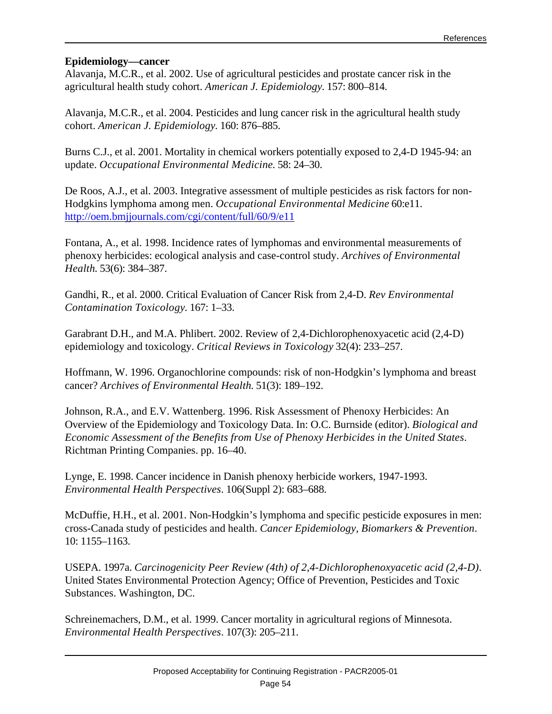#### **Epidemiology—cancer**

Alavanja, M.C.R., et al. 2002. Use of agricultural pesticides and prostate cancer risk in the agricultural health study cohort. *American J. Epidemiology*. 157: 800–814.

Alavanja, M.C.R., et al. 2004. Pesticides and lung cancer risk in the agricultural health study cohort. *American J. Epidemiology*. 160: 876–885.

Burns C.J., et al. 2001. Mortality in chemical workers potentially exposed to 2,4-D 1945-94: an update. *Occupational Environmental Medicine*. 58: 24–30.

De Roos, A.J., et al. 2003. Integrative assessment of multiple pesticides as risk factors for non-Hodgkins lymphoma among men. *Occupational Environmental Medicine* 60:e11. <http://oem.bmjjournals.com/cgi/content/full/60/9/e11>

Fontana, A., et al. 1998. Incidence rates of lymphomas and environmental measurements of phenoxy herbicides: ecological analysis and case-control study. *Archives of Environmental Health*. 53(6): 384–387.

Gandhi, R., et al. 2000. Critical Evaluation of Cancer Risk from 2,4-D. *Rev Environmental Contamination Toxicology*. 167: 1–33.

Garabrant D.H., and M.A. Phlibert. 2002. Review of 2,4-Dichlorophenoxyacetic acid (2,4-D) epidemiology and toxicology. *Critical Reviews in Toxicology* 32(4): 233–257.

Hoffmann, W. 1996. Organochlorine compounds: risk of non-Hodgkin's lymphoma and breast cancer? *Archives of Environmental Health*. 51(3): 189–192.

Johnson, R.A., and E.V. Wattenberg. 1996. Risk Assessment of Phenoxy Herbicides: An Overview of the Epidemiology and Toxicology Data. In: O.C. Burnside (editor). *Biological and Economic Assessment of the Benefits from Use of Phenoxy Herbicides in the United States*. Richtman Printing Companies. pp. 16–40.

Lynge, E. 1998. Cancer incidence in Danish phenoxy herbicide workers, 1947-1993. *Environmental Health Perspectives*. 106(Suppl 2): 683–688.

McDuffie, H.H., et al. 2001. Non-Hodgkin's lymphoma and specific pesticide exposures in men: cross-Canada study of pesticides and health. *Cancer Epidemiology, Biomarkers & Prevention*. 10: 1155–1163.

USEPA. 1997a. *Carcinogenicity Peer Review (4th) of 2,4-Dichlorophenoxyacetic acid (2,4-D)*. United States Environmental Protection Agency; Office of Prevention, Pesticides and Toxic Substances. Washington, DC.

Schreinemachers, D.M., et al. 1999. Cancer mortality in agricultural regions of Minnesota. *Environmental Health Perspectives*. 107(3): 205–211.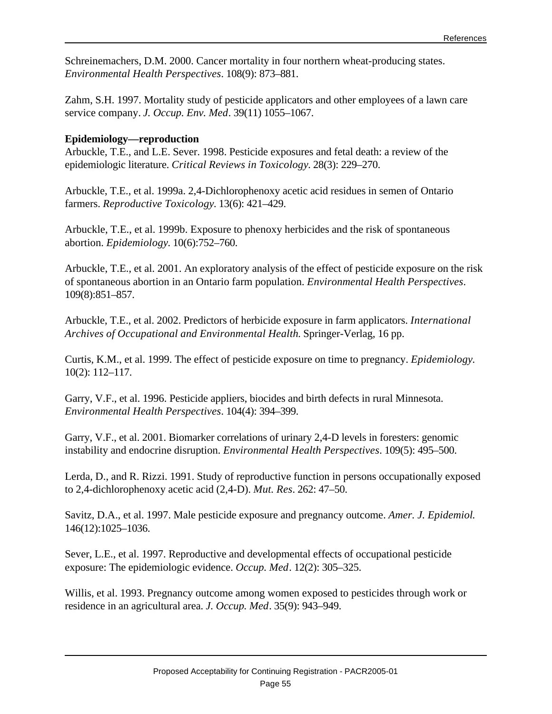Schreinemachers, D.M. 2000. Cancer mortality in four northern wheat-producing states. *Environmental Health Perspectives*. 108(9): 873–881.

Zahm, S.H. 1997. Mortality study of pesticide applicators and other employees of a lawn care service company. *J. Occup. Env. Med*. 39(11) 1055–1067.

#### **Epidemiology—reproduction**

Arbuckle, T.E., and L.E. Sever. 1998. Pesticide exposures and fetal death: a review of the epidemiologic literature. *Critical Reviews in Toxicology*. 28(3): 229–270.

Arbuckle, T.E., et al. 1999a. 2,4-Dichlorophenoxy acetic acid residues in semen of Ontario farmers. *Reproductive Toxicology*. 13(6): 421–429.

Arbuckle, T.E., et al. 1999b. Exposure to phenoxy herbicides and the risk of spontaneous abortion. *Epidemiology*. 10(6):752–760.

Arbuckle, T.E., et al. 2001. An exploratory analysis of the effect of pesticide exposure on the risk of spontaneous abortion in an Ontario farm population. *Environmental Health Perspectives*. 109(8):851–857.

Arbuckle, T.E., et al. 2002. Predictors of herbicide exposure in farm applicators. *International Archives of Occupational and Environmental Health*. Springer-Verlag, 16 pp.

Curtis, K.M., et al. 1999. The effect of pesticide exposure on time to pregnancy. *Epidemiology*. 10(2): 112–117.

Garry, V.F., et al. 1996. Pesticide appliers, biocides and birth defects in rural Minnesota. *Environmental Health Perspectives*. 104(4): 394–399.

Garry, V.F., et al. 2001. Biomarker correlations of urinary 2,4-D levels in foresters: genomic instability and endocrine disruption. *Environmental Health Perspectives*. 109(5): 495–500.

Lerda, D., and R. Rizzi. 1991. Study of reproductive function in persons occupationally exposed to 2,4-dichlorophenoxy acetic acid (2,4-D). *Mut. Res*. 262: 47–50.

Savitz, D.A., et al. 1997. Male pesticide exposure and pregnancy outcome. *Amer. J. Epidemiol*. 146(12):1025–1036.

Sever, L.E., et al. 1997. Reproductive and developmental effects of occupational pesticide exposure: The epidemiologic evidence. *Occup. Med*. 12(2): 305–325.

Willis, et al. 1993. Pregnancy outcome among women exposed to pesticides through work or residence in an agricultural area. *J. Occup. Med*. 35(9): 943–949.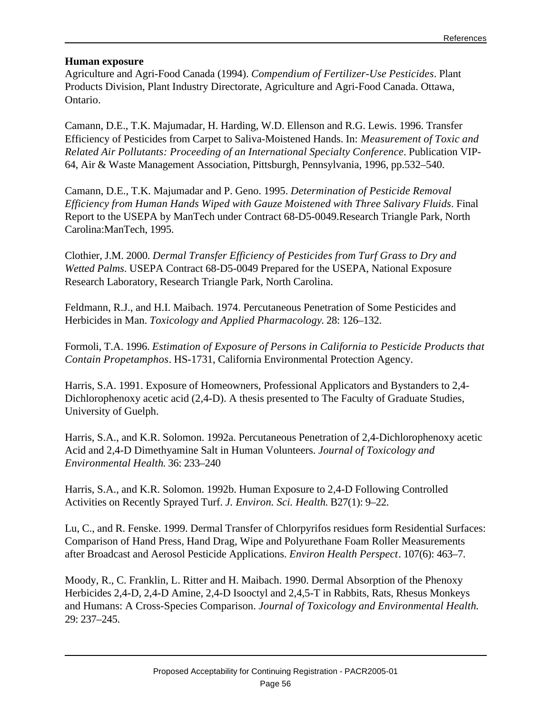#### **Human exposure**

Agriculture and Agri-Food Canada (1994). *Compendium of Fertilizer-Use Pesticides*. Plant Products Division, Plant Industry Directorate, Agriculture and Agri-Food Canada. Ottawa, Ontario.

Camann, D.E., T.K. Majumadar, H. Harding, W.D. Ellenson and R.G. Lewis. 1996. Transfer Efficiency of Pesticides from Carpet to Saliva-Moistened Hands. In: *Measurement of Toxic and Related Air Pollutants: Proceeding of an International Specialty Conference*. Publication VIP-64, Air & Waste Management Association, Pittsburgh, Pennsylvania, 1996, pp.532–540.

Camann, D.E., T.K. Majumadar and P. Geno. 1995. *Determination of Pesticide Removal Efficiency from Human Hands Wiped with Gauze Moistened with Three Salivary Fluids*. Final Report to the USEPA by ManTech under Contract 68-D5-0049.Research Triangle Park, North Carolina:ManTech, 1995.

Clothier, J.M. 2000. *Dermal Transfer Efficiency of Pesticides from Turf Grass to Dry and Wetted Palms*. USEPA Contract 68-D5-0049 Prepared for the USEPA, National Exposure Research Laboratory, Research Triangle Park, North Carolina.

Feldmann, R.J., and H.I. Maibach. 1974. Percutaneous Penetration of Some Pesticides and Herbicides in Man. *Toxicology and Applied Pharmacology*. 28: 126–132.

Formoli, T.A. 1996. *Estimation of Exposure of Persons in California to Pesticide Products that Contain Propetamphos*. HS-1731, California Environmental Protection Agency.

Harris, S.A. 1991. Exposure of Homeowners, Professional Applicators and Bystanders to 2,4- Dichlorophenoxy acetic acid (2,4-D). A thesis presented to The Faculty of Graduate Studies, University of Guelph.

Harris, S.A., and K.R. Solomon. 1992a. Percutaneous Penetration of 2,4-Dichlorophenoxy acetic Acid and 2,4-D Dimethyamine Salt in Human Volunteers. *Journal of Toxicology and Environmental Health*. 36: 233–240

Harris, S.A., and K.R. Solomon. 1992b. Human Exposure to 2,4-D Following Controlled Activities on Recently Sprayed Turf. *J. Environ. Sci. Health*. B27(1): 9–22.

Lu, C., and R. Fenske. 1999. Dermal Transfer of Chlorpyrifos residues form Residential Surfaces: Comparison of Hand Press, Hand Drag, Wipe and Polyurethane Foam Roller Measurements after Broadcast and Aerosol Pesticide Applications. *Environ Health Perspect*. 107(6): 463–7.

Moody, R., C. Franklin, L. Ritter and H. Maibach. 1990. Dermal Absorption of the Phenoxy Herbicides 2,4-D, 2,4-D Amine, 2,4-D Isooctyl and 2,4,5-T in Rabbits, Rats, Rhesus Monkeys and Humans: A Cross-Species Comparison. *Journal of Toxicology and Environmental Health*. 29: 237–245.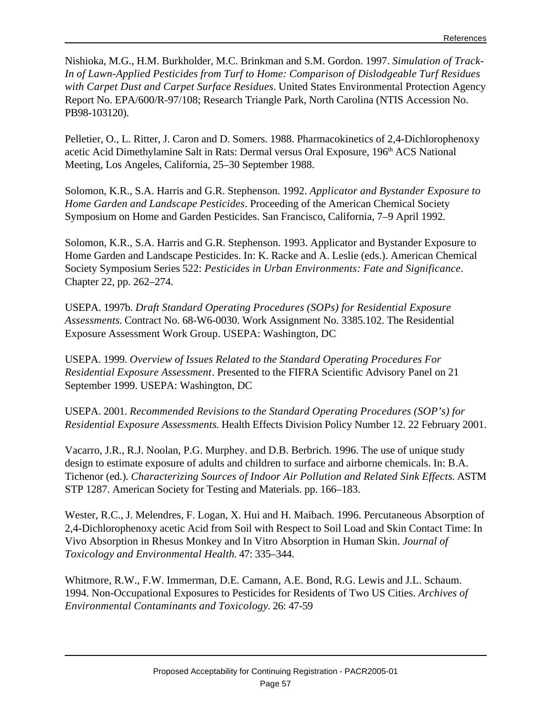Nishioka, M.G., H.M. Burkholder, M.C. Brinkman and S.M. Gordon. 1997. *Simulation of Track-In of Lawn-Applied Pesticides from Turf to Home: Comparison of Dislodgeable Turf Residues with Carpet Dust and Carpet Surface Residues.* United States Environmental Protection Agency Report No. EPA/600/R-97/108; Research Triangle Park, North Carolina (NTIS Accession No. PB98-103120).

Pelletier, O., L. Ritter, J. Caron and D. Somers. 1988. Pharmacokinetics of 2,4-Dichlorophenoxy acetic Acid Dimethylamine Salt in Rats: Dermal versus Oral Exposure, 196<sup>th</sup> ACS National Meeting, Los Angeles, California, 25–30 September 1988.

Solomon, K.R., S.A. Harris and G.R. Stephenson. 1992. *Applicator and Bystander Exposure to Home Garden and Landscape Pesticides*. Proceeding of the American Chemical Society Symposium on Home and Garden Pesticides. San Francisco, California, 7–9 April 1992.

Solomon, K.R., S.A. Harris and G.R. Stephenson. 1993. Applicator and Bystander Exposure to Home Garden and Landscape Pesticides. In: K. Racke and A. Leslie (eds.). American Chemical Society Symposium Series 522: *Pesticides in Urban Environments: Fate and Significance*. Chapter 22, pp. 262–274.

USEPA. 1997b. *Draft Standard Operating Procedures (SOPs) for Residential Exposure Assessments*. Contract No. 68-W6-0030. Work Assignment No. 3385.102. The Residential Exposure Assessment Work Group. USEPA: Washington, DC

USEPA. 1999. *Overview of Issues Related to the Standard Operating Procedures For Residential Exposure Assessment*. Presented to the FIFRA Scientific Advisory Panel on 21 September 1999. USEPA: Washington, DC

USEPA. 2001. *Recommended Revisions to the Standard Operating Procedures (SOP's) for Residential Exposure Assessments*. Health Effects Division Policy Number 12. 22 February 2001.

Vacarro, J.R., R.J. Noolan, P.G. Murphey. and D.B. Berbrich. 1996. The use of unique study design to estimate exposure of adults and children to surface and airborne chemicals. In: B.A. Tichenor (ed.). *Characterizing Sources of Indoor Air Pollution and Related Sink Effects*. ASTM STP 1287. American Society for Testing and Materials. pp. 166–183.

Wester, R.C., J. Melendres, F. Logan, X. Hui and H. Maibach. 1996. Percutaneous Absorption of 2,4-Dichlorophenoxy acetic Acid from Soil with Respect to Soil Load and Skin Contact Time: In Vivo Absorption in Rhesus Monkey and In Vitro Absorption in Human Skin. *Journal of Toxicology and Environmental Health*. 47: 335–344.

Whitmore, R.W., F.W. Immerman, D.E. Camann, A.E. Bond, R.G. Lewis and J.L. Schaum. 1994. Non-Occupational Exposures to Pesticides for Residents of Two US Cities. *Archives of Environmental Contaminants and Toxicology*. 26: 47-59